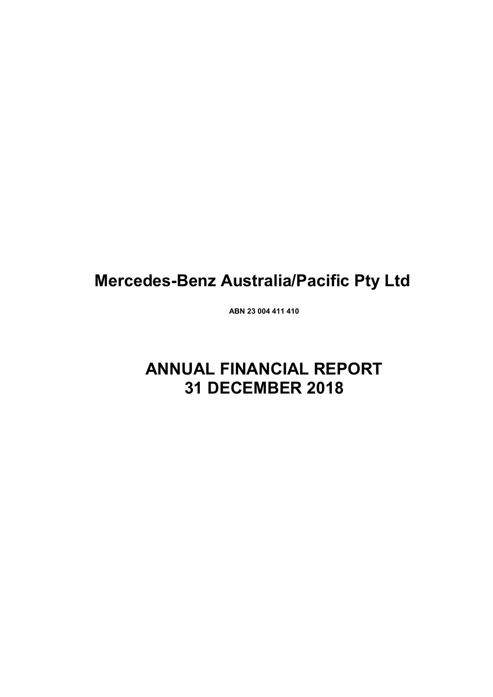# **Mercedes-Benz Australia/Pacific Pty Ltd**

**ABN 23 004 411 410**

# **ANNUAL FINANCIAL REPORT 31 DECEMBER 2018**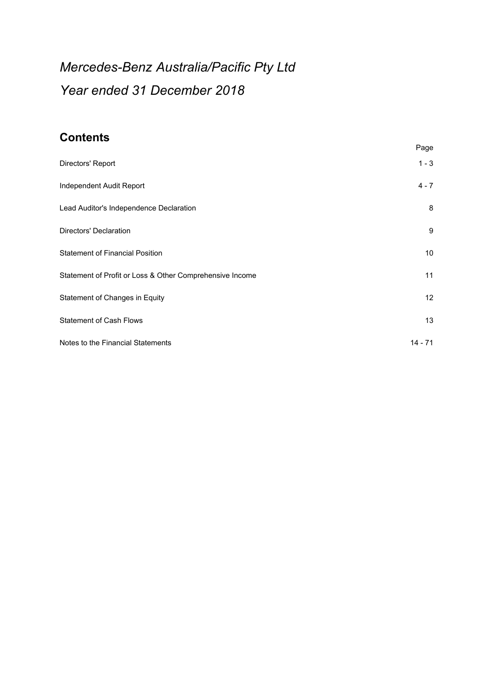# *Mercedes-Benz Australia/Pacific Pty Ltd Year ended 31 December 2018*

# **Contents**

|                                                          | Page      |
|----------------------------------------------------------|-----------|
| Directors' Report                                        | $1 - 3$   |
| Independent Audit Report                                 | $4 - 7$   |
| Lead Auditor's Independence Declaration                  | 8         |
| Directors' Declaration                                   | 9         |
| <b>Statement of Financial Position</b>                   | 10        |
| Statement of Profit or Loss & Other Comprehensive Income | 11        |
| Statement of Changes in Equity                           | 12        |
| <b>Statement of Cash Flows</b>                           | 13        |
| Notes to the Financial Statements                        | $14 - 71$ |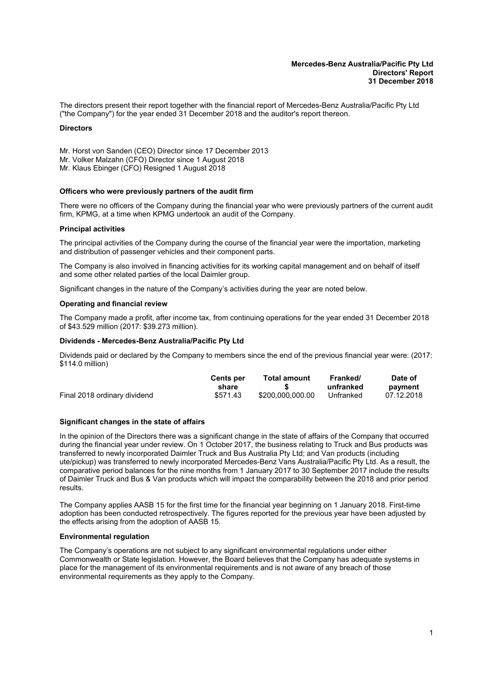#### **Mercedes-Benz Australia/Pacific Pty Ltd Directors' Report 31 December 2018**

<span id="page-2-0"></span>The directors present their report together with the financial report of Mercedes-Benz Australia/Pacific Pty Ltd ("the Company") for the year ended 31 December 2018 and the auditor's report thereon.

#### **Directors**

Mr. Horst von Sanden (CEO) Director since 17 December 2013

- Mr. Volker Malzahn (CFO) Director since 1 August 2018
- Mr. Klaus Ebinger (CFO) Resigned 1 August 2018

#### **Officers who were previously partners of the audit firm**

There were no officers of the Company during the financial year who were previously partners of the current audit firm, KPMG, at a time when KPMG undertook an audit of the Company.

#### **Principal activities**

The principal activities of the Company during the course of the financial year were the importation, marketing and distribution of passenger vehicles and their component parts.

The Company is also involved in financing activities for its working capital management and on behalf of itself and some other related parties of the local Daimler group.

Significant changes in the nature of the Company's activities during the year are noted below.

#### **Operating and financial review**

The Company made a profit, after income tax, from continuing operations for the year ended 31 December 2018 of \$43.529 million (2017: \$39.273 million).

#### **Dividends - Mercedes-Benz Australia/Pacific Pty Ltd**

Dividends paid or declared by the Company to members since the end of the previous financial year were: (2017: \$114.0 million)

|                              | <b>Cents per</b><br>share | Total amount     | Franked/<br>unfranked | Date of<br>payment |
|------------------------------|---------------------------|------------------|-----------------------|--------------------|
| Final 2018 ordinary dividend | \$571.43                  | \$200.000.000.00 | Unfranked             | 07.12.2018         |

#### **Significant changes in the state of affairs**

In the opinion of the Directors there was a significant change in the state of affairs of the Company that occurred during the financial year under review. On 1 October 2017, the business relating to Truck and Bus products was transferred to newly incorporated Daimler Truck and Bus Australia Pty Ltd; and Van products (including ute/pickup) was transferred to newly incorporated Mercedes-Benz Vans Australia/Pacific Pty Ltd. As a result, the comparative period balances for the nine months from 1 January 2017 to 30 September 2017 include the results of Daimler Truck and Bus & Van products which will impact the comparability between the 2018 and prior period results.

The Company applies AASB 15 for the first time for the financial year beginning on 1 January 2018. First-time adoption has been conducted retrospectively. The figures reported for the previous year have been adjusted by the effects arising from the adoption of AASB 15.

#### **Environmental regulation**

The Company's operations are not subject to any significant environmental regulations under either Commonwealth or State legislation. However, the Board believes that the Company has adequate systems in place for the management of its environmental requirements and is not aware of any breach of those environmental requirements as they apply to the Company.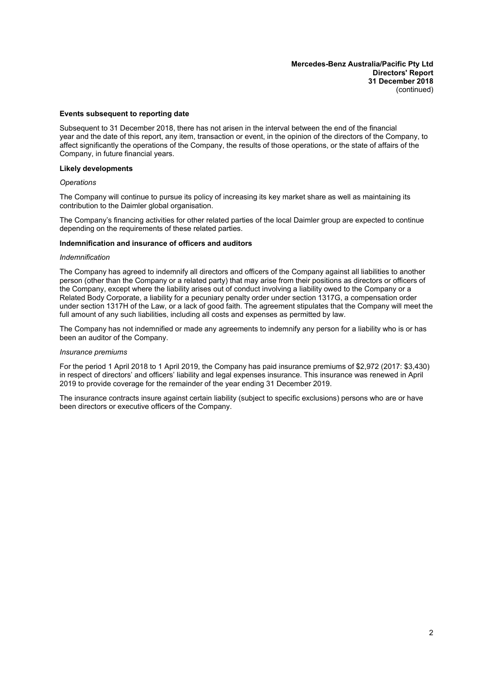**Mercedes-Benz Australia/Pacific Pty Ltd Directors' Report 31 December 2018** (continued)

#### **Events subsequent to reporting date**

Subsequent to 31 December 2018, there has not arisen in the interval between the end of the financial year and the date of this report, any item, transaction or event, in the opinion of the directors of the Company, to affect significantly the operations of the Company, the results of those operations, or the state of affairs of the Company, in future financial years.

#### **Likely developments**

#### *Operations*

The Company will continue to pursue its policy of increasing its key market share as well as maintaining its contribution to the Daimler global organisation.

The Company's financing activities for other related parties of the local Daimler group are expected to continue depending on the requirements of these related parties.

#### **Indemnification and insurance of officers and auditors**

#### *Indemnification*

The Company has agreed to indemnify all directors and officers of the Company against all liabilities to another person (other than the Company or a related party) that may arise from their positions as directors or officers of the Company, except where the liability arises out of conduct involving a liability owed to the Company or a Related Body Corporate, a liability for a pecuniary penalty order under section 1317G, a compensation order under section 1317H of the Law, or a lack of good faith. The agreement stipulates that the Company will meet the full amount of any such liabilities, including all costs and expenses as permitted by law.

The Company has not indemnified or made any agreements to indemnify any person for a liability who is or has been an auditor of the Company.

#### *Insurance premiums*

For the period 1 April 2018 to 1 April 2019, the Company has paid insurance premiums of \$2,972 (2017: \$3,430) in respect of directors' and officers' liability and legal expenses insurance. This insurance was renewed in April 2019 to provide coverage for the remainder of the year ending 31 December 2019.

The insurance contracts insure against certain liability (subject to specific exclusions) persons who are or have been directors or executive officers of the Company.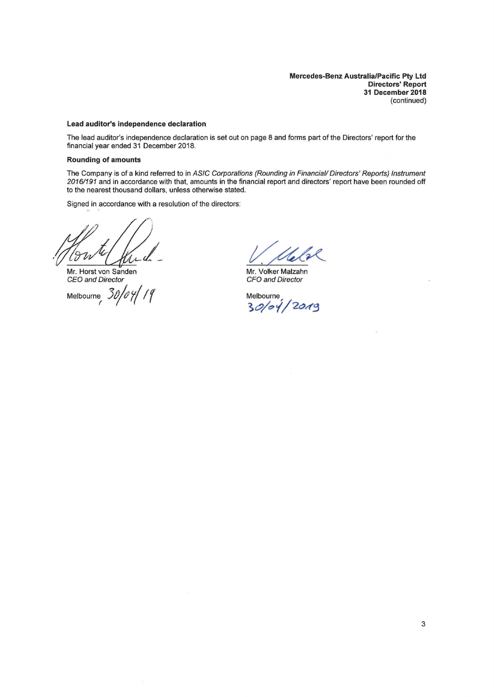**Mercedes-Benz Australia/Pacific Pty Ltd Directors' Report 31 December 2018**  (continued)

#### **Lead auditor's independence declaration**

The lead auditor's independence declaration is set out on page 8 and forms part of the Directors' report for the financial year ended 31 December 2018.

#### **Rounding of amounts**

The Company is of a kind referred to in ASIC Corporations (Rounding in Financial/ Directors' Reports) Instrument *20161191* and in accordance with that, amounts in the financial report and directors' report have been rounded off to the nearest thousand dollars, unless otherwise stated.

Signed in accordance with a resolution of the directors:

 $u$ 

Mr. Horst von Sanden CEO and Director

Melbourne<sub>, 30/04/19</sub>

Welk

Mr. Volker Malzahn CFO and Director

Melbourne  $30/04/2019$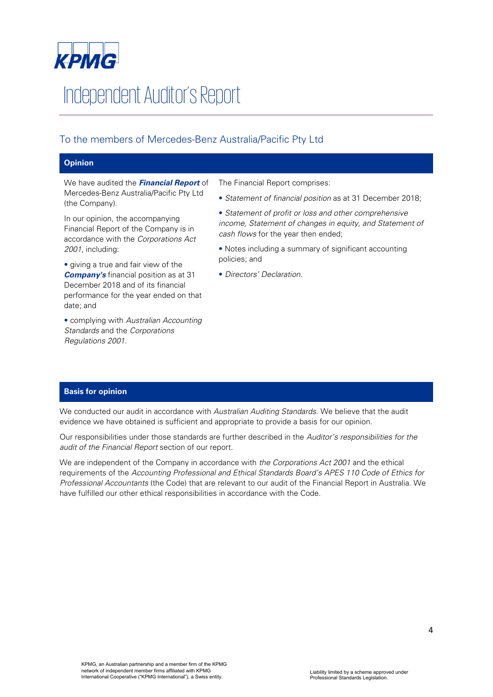

# Independent Auditor's Report

# To the members of Mercedes-Benz Australia/Pacific Pty Ltd

# **Opinion**

We have audited the *Financial Report* of Mercedes-Benz Australia/Pacific Pty Ltd (the Company).

In our opinion, the accompanying Financial Report of the Company is in accordance with the *Corporations Act 2001*, including:

• giving a true and fair view of the *Company's* financial position as at 31 December 2018 and of its financial performance for the year ended on that date; and

• complying with *Australian Accounting Standards* and the *Corporations Regulations 2001*.

The Financial Report comprises:

- *Statement of financial position* as at 31 December 2018;
- *Statement of profit or loss and other comprehensive income, Statement of changes in equity, and Statement of cash flows* for the year then ended;
- Notes including a summary of significant accounting policies; and
- *Directors' Declaration.*

# **Basis for opinion**

We conducted our audit in accordance with *Australian Auditing Standards*. We believe that the audit evidence we have obtained is sufficient and appropriate to provide a basis for our opinion.

Our responsibilities under those standards are further described in the *Auditor's responsibilities for the audit of the Financial Report* section of our report.

We are independent of the Company in accordance with *the Corporations Act 2001* and the ethical requirements of the *Accounting Professional and Ethical Standards Board's APES 110 Code of Ethics for Professional Accountants* (the Code) that are relevant to our audit of the Financial Report in Australia. We have fulfilled our other ethical responsibilities in accordance with the Code.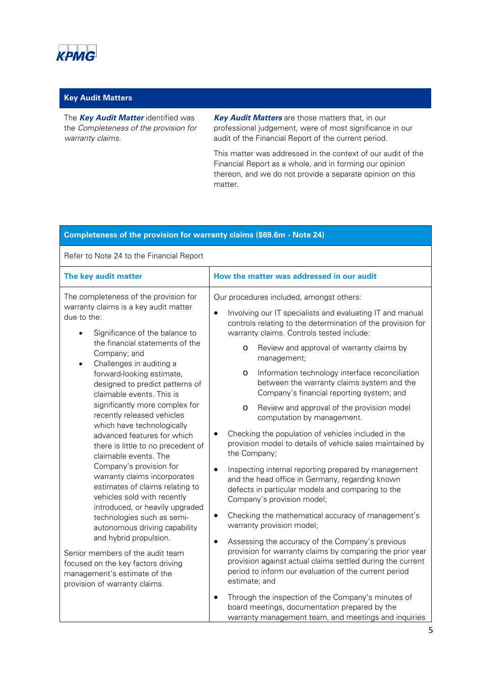

# **Key Audit Matters**

The *Key Audit Matter* identified was the *Completeness of the provision for warranty claims.* 

*Key Audit Matters* are those matters that, in our professional judgement, were of most significance in our audit of the Financial Report of the current period.

This matter was addressed in the context of our audit of the Financial Report as a whole, and in forming our opinion thereon, and we do not provide a separate opinion on this matter.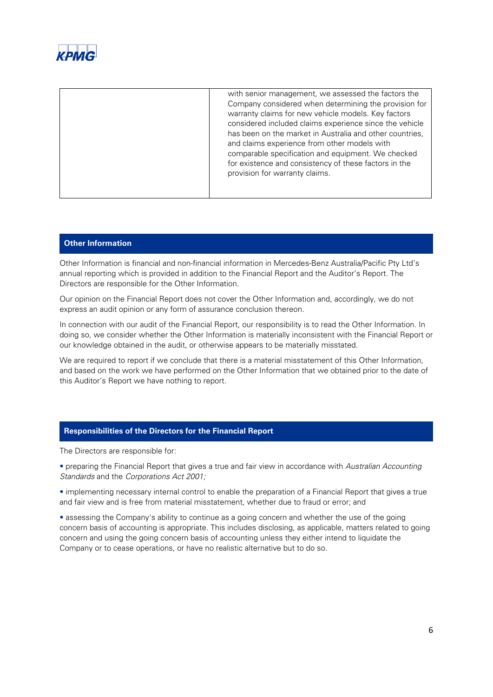

| with senior management, we assessed the factors the<br>Company considered when determining the provision for<br>warranty claims for new vehicle models. Key factors<br>considered included claims experience since the vehicle<br>has been on the market in Australia and other countries,<br>and claims experience from other models with<br>comparable specification and equipment. We checked<br>for existence and consistency of these factors in the<br>provision for warranty claims. |
|---------------------------------------------------------------------------------------------------------------------------------------------------------------------------------------------------------------------------------------------------------------------------------------------------------------------------------------------------------------------------------------------------------------------------------------------------------------------------------------------|
|                                                                                                                                                                                                                                                                                                                                                                                                                                                                                             |

#### **Other Information**

Other Information is financial and non-financial information in Mercedes-Benz Australia/Pacific Pty Ltd's annual reporting which is provided in addition to the Financial Report and the Auditor's Report. The Directors are responsible for the Other Information.

Our opinion on the Financial Report does not cover the Other Information and, accordingly, we do not express an audit opinion or any form of assurance conclusion thereon.

In connection with our audit of the Financial Report, our responsibility is to read the Other Information. In doing so, we consider whether the Other Information is materially inconsistent with the Financial Report or our knowledge obtained in the audit, or otherwise appears to be materially misstated.

We are required to report if we conclude that there is a material misstatement of this Other Information, and based on the work we have performed on the Other Information that we obtained prior to the date of this Auditor's Report we have nothing to report.

# **Responsibilities of the Directors for the Financial Report**

The Directors are responsible for:

• preparing the Financial Report that gives a true and fair view in accordance with *Australian Accounting Standards* and the *Corporations Act 2001;*

• implementing necessary internal control to enable the preparation of a Financial Report that gives a true and fair view and is free from material misstatement, whether due to fraud or error; and

• assessing the Company's ability to continue as a going concern and whether the use of the going concern basis of accounting is appropriate. This includes disclosing, as applicable, matters related to going concern and using the going concern basis of accounting unless they either intend to liquidate the Company or to cease operations, or have no realistic alternative but to do so.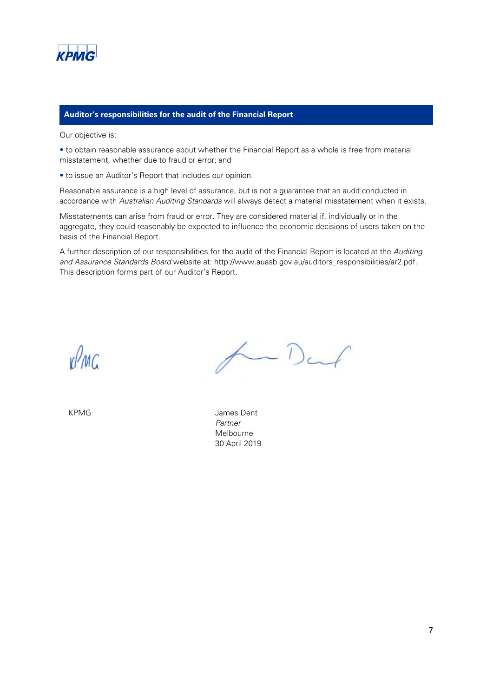

#### **Auditor's responsibilities for the audit of the Financial Report**

Our objective is:

• to obtain reasonable assurance about whether the Financial Report as a whole is free from material misstatement, whether due to fraud or error; and

• to issue an Auditor's Report that includes our opinion.

Reasonable assurance is a high level of assurance, but is not a guarantee that an audit conducted in accordance with *Australian Auditing Standards* will always detect a material misstatement when it exists.

Misstatements can arise from fraud or error. They are considered material if, individually or in the aggregate, they could reasonably be expected to influence the economic decisions of users taken on the basis of the Financial Report.

A further description of our responsibilities for the audit of the Financial Report is located at the *Auditing and Assurance Standards Board* website at: http://www.auasb.gov.au/auditors\_responsibilities/ar2.pdf. This description forms part of our Auditor's Report.

vPMC

 $\leftarrow$  Darf

KPMG **James Dent** *Partner*  Melbourne 30 April 2019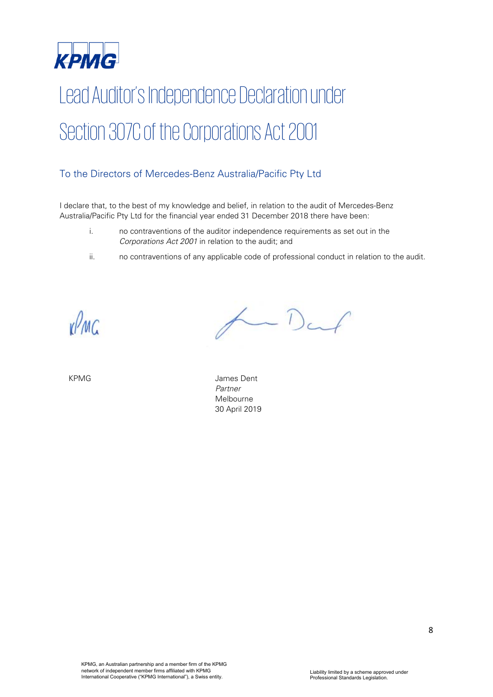

# Lead Auditor's Independence Declaration under Section 307C of the Corporations Act 2001

# To the Directors of Mercedes-Benz Australia/Pacific Pty Ltd

I declare that, to the best of my knowledge and belief, in relation to the audit of Mercedes-Benz Australia/Pacific Pty Ltd for the financial year ended 31 December 2018 there have been:

- i. no contraventions of the auditor independence requirements as set out in the *Corporations Act 2001* in relation to the audit; and
- ii. no contraventions of any applicable code of professional conduct in relation to the audit.

vPMC

Darf

KPMG James Dent *Partner*  Melbourne 30 April 2019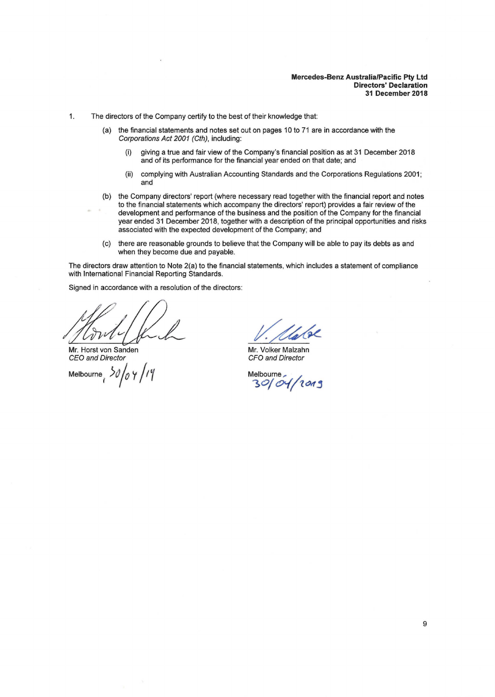1. The directors of the Company certify to the best of their knowledge that:

- (a) the financial statements and notes set out on pages 10 to 71 are in accordance with the Corporations Act 2001 (Cth), including:
	- (i) giving a true and fair view of the Company's financial position as at 31 December 2018 and of its performance for the financial year ended on that date; and
	- (ii) complying with Australian Accounting Standards and the Corporations Regulations 2001; and
- (b) the Company directors' report (where necessary read together with the financial report and notes to the financial statements which accompany the directors' report) provides a fair review of the development and performance of the business and the position of the Company for the financial year ended 31 December 2018, together with a description of the principal opportunities and risks associated with the expected development of the Company; and
- (c) there are reasonable grounds to believe that the Company will be able to pay its debts as and when they become due and payable.

The directors draw attention to Note 2(a) to the financial statements, which includes a statement of compliance with International Financial Reporting Standards.

Signed in accordance with a resolution of the directors:

Mr. Horst von Sanden CEO and Director

Melbourne *i )()/o* <sup>y</sup>*/17* 

Mr. Volker Malzahn CFO and Director

Melbourne , **30/ &'ft 'lcMj**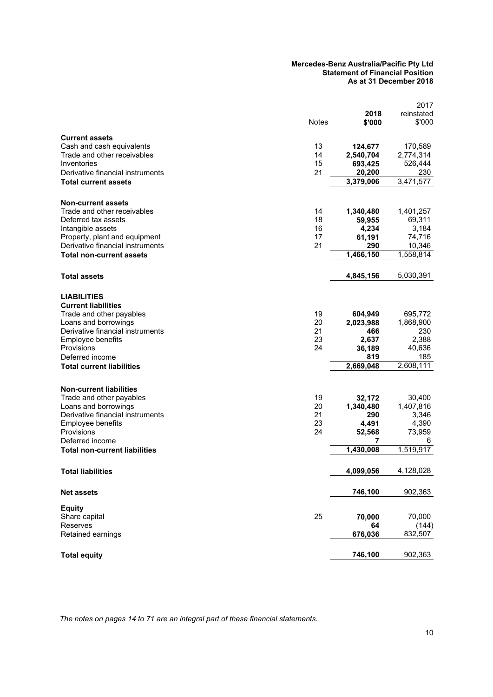#### **Mercedes-Benz Australia/Pacific Pty Ltd Statement of Financial Position As at 31 December 2018**

|                                                                                                                                                                                                                                    | <b>Notes</b>               | 2018<br>\$'000                                                     | 2017<br>reinstated<br>\$'000                                       |
|------------------------------------------------------------------------------------------------------------------------------------------------------------------------------------------------------------------------------------|----------------------------|--------------------------------------------------------------------|--------------------------------------------------------------------|
| <b>Current assets</b><br>Cash and cash equivalents<br>Trade and other receivables<br>Inventories<br>Derivative financial instruments                                                                                               | 13<br>14<br>15<br>21       | 124,677<br>2,540,704<br>693,425<br>20,200                          | 170,589<br>2,774,314<br>526,444<br>230                             |
| <b>Total current assets</b>                                                                                                                                                                                                        |                            | 3,379,006                                                          | 3,471,577                                                          |
| <b>Non-current assets</b><br>Trade and other receivables<br>Deferred tax assets<br>Intangible assets<br>Property, plant and equipment<br>Derivative financial instruments<br><b>Total non-current assets</b>                       | 14<br>18<br>16<br>17<br>21 | 1,340,480<br>59,955<br>4,234<br>61,191<br>290<br>1,466,150         | 1,401,257<br>69,311<br>3,184<br>74,716<br>10,346<br>1,558,814      |
| Total assets                                                                                                                                                                                                                       |                            | 4,845,156                                                          | 5,030,391                                                          |
| <b>LIABILITIES</b><br><b>Current liabilities</b><br>Trade and other payables<br>Loans and borrowings<br>Derivative financial instruments<br>Employee benefits<br>Provisions<br>Deferred income<br><b>Total current liabilities</b> | 19<br>20<br>21<br>23<br>24 | 604,949<br>2,023,988<br>466<br>2,637<br>36,189<br>819<br>2,669,048 | 695,772<br>1,868,900<br>230<br>2,388<br>40,636<br>185<br>2,608,111 |
| <b>Non-current liabilities</b><br>Trade and other payables<br>Loans and borrowings<br>Derivative financial instruments<br>Employee benefits<br>Provisions<br>Deferred income<br>Total non-current liabilities                      | 19<br>20<br>21<br>23<br>24 | 32,172<br>1,340,480<br>290<br>4,491<br>52,568<br>7<br>1,430,008    | 30,400<br>1,407,816<br>3,346<br>4,390<br>73,959<br>6<br>1,519,917  |
| <b>Total liabilities</b>                                                                                                                                                                                                           |                            | 4,099,056                                                          | 4,128,028                                                          |
| <b>Net assets</b>                                                                                                                                                                                                                  |                            | 746,100                                                            | 902,363                                                            |
| <b>Equity</b><br>Share capital<br>Reserves<br>Retained earnings                                                                                                                                                                    | 25                         | 70,000<br>64<br>676,036                                            | 70,000<br>(144)<br>832,507                                         |
| <b>Total equity</b>                                                                                                                                                                                                                |                            | 746,100                                                            | 902,363                                                            |

*The notes on pages [14](#page-15-0) to [71](#page-15-0) are an integral part of these financial statements.*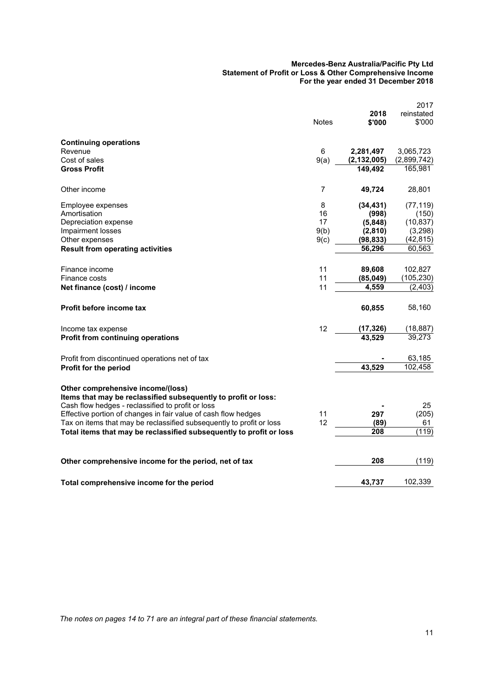#### **Mercedes-Benz Australia/Pacific Pty Ltd Statement of Profit or Loss & Other Comprehensive Income For the year ended 31 December 2018**

|                                                                                                     |              |                    | 2017                   |
|-----------------------------------------------------------------------------------------------------|--------------|--------------------|------------------------|
|                                                                                                     |              | 2018               | reinstated             |
|                                                                                                     | <b>Notes</b> | \$'000             | \$'000                 |
| <b>Continuing operations</b>                                                                        |              |                    |                        |
| Revenue                                                                                             | 6            | 2,281,497          | 3,065,723              |
| Cost of sales                                                                                       | 9(a)         | (2, 132, 005)      | (2,899,742)            |
| <b>Gross Profit</b>                                                                                 |              | 149,492            | 165,981                |
| Other income                                                                                        | 7            | 49,724             | 28,801                 |
| Employee expenses                                                                                   | 8            | (34, 431)          | (77, 119)              |
| Amortisation                                                                                        | 16           | (998)              | (150)                  |
| Depreciation expense                                                                                | 17           | (5,848)            | (10, 837)              |
| Impairment losses                                                                                   | 9(b)         | (2,810)            | (3,298)                |
| Other expenses                                                                                      | 9(c)         | (98, 833)          | (42, 815)              |
| <b>Result from operating activities</b>                                                             |              | 56,296             | 60,563                 |
|                                                                                                     |              |                    |                        |
| Finance income                                                                                      | 11           | 89,608             | 102,827                |
| Finance costs                                                                                       | 11<br>11     | (85, 049)<br>4,559 | (105, 230)<br>(2, 403) |
| Net finance (cost) / income                                                                         |              |                    |                        |
| Profit before income tax                                                                            |              | 60,855             | 58,160                 |
| Income tax expense                                                                                  | 12           | (17, 326)          | (18, 887)              |
| <b>Profit from continuing operations</b>                                                            |              | 43,529             | 39,273                 |
| Profit from discontinued operations net of tax                                                      |              |                    | 63,185                 |
| Profit for the period                                                                               |              | 43,529             | 102,458                |
|                                                                                                     |              |                    |                        |
| Other comprehensive income/(loss)<br>Items that may be reclassified subsequently to profit or loss: |              |                    |                        |
| Cash flow hedges - reclassified to profit or loss                                                   |              |                    | 25                     |
| Effective portion of changes in fair value of cash flow hedges                                      | 11           | 297                | (205)                  |
| Tax on items that may be reclassified subsequently to profit or loss                                | 12           | (89)               | 61                     |
| Total items that may be reclassified subsequently to profit or loss                                 |              | 208                | (119)                  |
|                                                                                                     |              |                    |                        |
| Other comprehensive income for the period, net of tax                                               |              | 208                | (119)                  |
| Total comprehensive income for the period                                                           |              | 43,737             | 102,339                |
|                                                                                                     |              |                    |                        |

*The notes on pages [14](#page-15-0) to [71](#page-15-0) are an integral part of these financial statements.*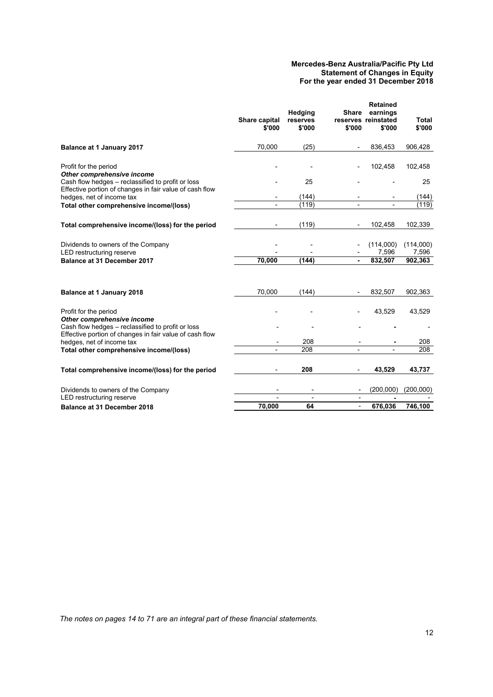#### **Mercedes-Benz Australia/Pacific Pty Ltd Statement of Changes in Equity For the year ended 31 December 2018**

|                                                                                                              | Share capital<br>\$'000 | Hedging<br>reserves<br>\$'000 | <b>Share</b><br>\$'000   | <b>Retained</b><br>earnings<br>reserves reinstated<br>\$'000 | Total<br>\$'000 |
|--------------------------------------------------------------------------------------------------------------|-------------------------|-------------------------------|--------------------------|--------------------------------------------------------------|-----------------|
| <b>Balance at 1 January 2017</b>                                                                             | 70.000                  | (25)                          |                          | 836,453                                                      | 906,428         |
| Profit for the period<br>Other comprehensive income                                                          |                         |                               |                          | 102,458                                                      | 102,458         |
| Cash flow hedges - reclassified to profit or loss                                                            |                         | 25                            |                          |                                                              | 25              |
| Effective portion of changes in fair value of cash flow<br>hedges, net of income tax                         |                         | (144)                         |                          |                                                              | (144)           |
| Total other comprehensive income/(loss)                                                                      |                         | (119)                         |                          |                                                              | (119)           |
| Total comprehensive income/(loss) for the period                                                             |                         | (119)                         |                          | 102,458                                                      | 102,339         |
| Dividends to owners of the Company                                                                           |                         |                               |                          | (114,000)                                                    | (114,000)       |
| <b>LED</b> restructuring reserve                                                                             |                         |                               |                          | 7,596                                                        | 7,596           |
| Balance at 31 December 2017                                                                                  | 70,000                  | (144)                         | ٠                        | 832,507                                                      | 902,363         |
| <b>Balance at 1 January 2018</b>                                                                             | 70,000                  | (144)                         |                          | 832,507                                                      | 902,363         |
| Profit for the period<br>Other comprehensive income                                                          |                         |                               |                          | 43,529                                                       | 43,529          |
| Cash flow hedges - reclassified to profit or loss<br>Effective portion of changes in fair value of cash flow |                         |                               |                          |                                                              |                 |
| hedges, net of income tax                                                                                    |                         | 208                           |                          |                                                              | 208             |
| Total other comprehensive income/(loss)                                                                      |                         | 208                           |                          |                                                              | 208             |
| Total comprehensive income/(loss) for the period                                                             |                         | 208                           | ٠                        | 43,529                                                       | 43,737          |
| Dividends to owners of the Company                                                                           |                         | $\overline{\phantom{a}}$      |                          | (200,000)                                                    | (200,000)       |
| LED restructuring reserve                                                                                    |                         |                               |                          |                                                              |                 |
| <b>Balance at 31 December 2018</b>                                                                           | 70,000                  | 64                            | $\overline{\phantom{a}}$ | 676,036                                                      | 746,100         |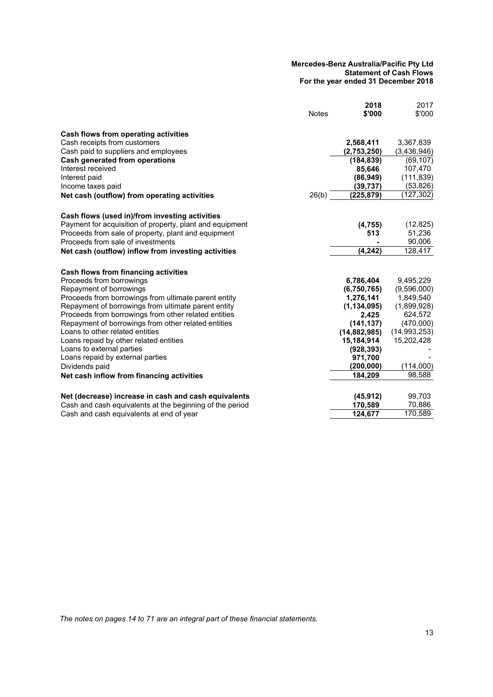#### **Mercedes-Benz Australia/Pacific Pty Ltd Statement of Cash Flows For the year ended 31 December 2018**

|                                                          | <b>Notes</b> | 2018<br>\$'000 | 2017<br>\$'000 |
|----------------------------------------------------------|--------------|----------------|----------------|
|                                                          |              |                |                |
| Cash flows from operating activities                     |              |                |                |
| Cash receipts from customers                             |              | 2,568,411      | 3,367,839      |
| Cash paid to suppliers and employees                     |              | (2,753,250)    | (3,436,946)    |
| Cash generated from operations                           |              | (184, 839)     | (69, 107)      |
| Interest received                                        |              | 85,646         | 107,470        |
| Interest paid                                            |              | (86, 949)      | (111, 839)     |
| Income taxes paid                                        |              | (39, 737)      | (53, 826)      |
| Net cash (outflow) from operating activities             | 26(b)        | (225, 879)     | (127, 302)     |
| Cash flows (used in)/from investing activities           |              |                |                |
| Payment for acquisition of property, plant and equipment |              | (4, 755)       | (12, 825)      |
| Proceeds from sale of property, plant and equipment      |              | 513            | 51,236         |
| Proceeds from sale of investments                        |              |                | 90,006         |
| Net cash (outflow) inflow from investing activities      |              | (4, 242)       | 128,417        |
| Cash flows from financing activities                     |              |                |                |
| Proceeds from borrowings                                 |              | 6,786,404      | 9,495,229      |
| Repayment of borrowings                                  |              | (6,750,765)    | (9,596,000)    |
| Proceeds from borrowings from ultimate parent entity     |              | 1,276,141      | 1,849,540      |
| Repayment of borrowings from ultimate parent entity      |              | (1, 134, 095)  | (1,899,928)    |
| Proceeds from borrowings from other related entities     |              | 2,425          | 624,572        |
| Repayment of borrowings from other related entities      |              | (141, 137)     | (470,000)      |
| Loans to other related entities                          |              | (14, 882, 985) | (14, 993, 253) |
| Loans repaid by other related entities                   |              | 15,184,914     | 15,202,428     |
| Loans to external parties                                |              | (928, 393)     |                |
| Loans repaid by external parties                         |              | 971,700        |                |
| Dividends paid                                           |              | (200, 000)     | (114,000)      |
| Net cash inflow from financing activities                |              | 184.209        | 98,588         |
| Net (decrease) increase in cash and cash equivalents     |              | (45, 912)      | 99,703         |
| Cash and cash equivalents at the beginning of the period |              | 170,589        | 70,886         |
| Cash and cash equivalents at end of year                 |              | 124,677        | 170.589        |

*The notes on pages [14](#page-15-0) to [71](#page-15-0) are an integral part of these financial statements.*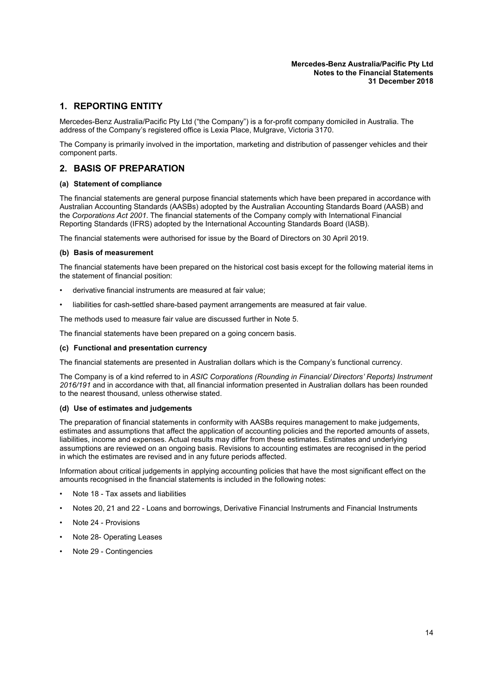#### **Mercedes-Benz Australia/Pacific Pty Ltd Notes to the Financial Statements 31 December 2018**

# <span id="page-15-0"></span>**1. REPORTING ENTITY**

Mercedes-Benz Australia/Pacific Pty Ltd ("the Company") is a for-profit company domiciled in Australia. The address of the Company's registered office is Lexia Place, Mulgrave, Victoria 3170.

The Company is primarily involved in the importation, marketing and distribution of passenger vehicles and their component parts.

# **2. BASIS OF PREPARATION**

#### **(a) Statement of compliance**

The financial statements are general purpose financial statements which have been prepared in accordance with Australian Accounting Standards (AASBs) adopted by the Australian Accounting Standards Board (AASB) and the *Corporations Act 2001*. The financial statements of the Company comply with International Financial Reporting Standards (IFRS) adopted by the International Accounting Standards Board (IASB).

The financial statements were authorised for issue by the Board of Directors on 30 April 2019.

#### **(b) Basis of measurement**

The financial statements have been prepared on the historical cost basis except for the following material items in the statement of financial position:

- derivative financial instruments are measured at fair value;
- liabilities for cash-settled share-based payment arrangements are measured at fair value.

The methods used to measure fair value are discussed further in Note [5](#page-31-0).

The financial statements have been prepared on a going concern basis.

#### **(c) Functional and presentation currency**

The financial statements are presented in Australian dollars which is the Company's functional currency.

The Company is of a kind referred to in *ASIC Corporations (Rounding in Financial/ Directors' Reports) Instrument 2016/191* and in accordance with that, all financial information presented in Australian dollars has been rounded to the nearest thousand, unless otherwise stated.

#### **(d) Use of estimates and judgements**

The preparation of financial statements in conformity with AASBs requires management to make judgements, estimates and assumptions that affect the application of accounting policies and the reported amounts of assets, liabilities, income and expenses. Actual results may differ from these estimates. Estimates and underlying assumptions are reviewed on an ongoing basis. Revisions to accounting estimates are recognised in the period in which the estimates are revised and in any future periods affected.

Information about critical judgements in applying accounting policies that have the most significant effect on the amounts recognised in the financial statements is included in the following notes:

- Note [18](#page-41-0) Tax assets and liabilities
- Notes [20,](#page-44-1) [21](#page-47-0) and [22](#page-44-2) Loans and borrowings, Derivative Financial Instruments and Financial Instruments
- Note [24](#page-64-0) Provisions
- Note [28](#page-67-0) Operating Leases
- Note [29](#page-69-0) Contingencies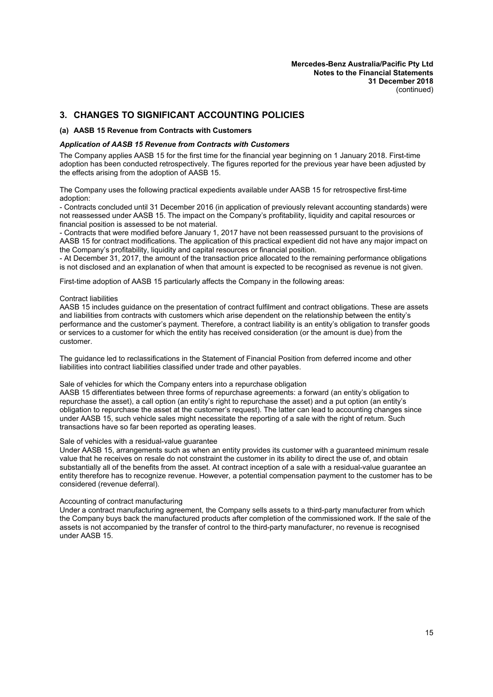# **3. CHANGES TO SIGNIFICANT ACCOUNTING POLICIES**

#### **(a) AASB 15 Revenue from Contracts with Customers**

#### *Application of AASB 15 Revenue from Contracts with Customers*

The Company applies AASB 15 for the first time for the financial year beginning on 1 January 2018. First-time adoption has been conducted retrospectively. The figures reported for the previous year have been adjusted by the effects arising from the adoption of AASB 15.

The Company uses the following practical expedients available under AASB 15 for retrospective first-time adoption:

- Contracts concluded until 31 December 2016 (in application of previously relevant accounting standards) were not reassessed under AASB 15. The impact on the Company's profitability, liquidity and capital resources or financial position is assessed to be not material.

- Contracts that were modified before January 1, 2017 have not been reassessed pursuant to the provisions of AASB 15 for contract modifications. The application of this practical expedient did not have any major impact on the Company's profitability, liquidity and capital resources or financial position.

- At December 31, 2017, the amount of the transaction price allocated to the remaining performance obligations is not disclosed and an explanation of when that amount is expected to be recognised as revenue is not given.

First-time adoption of AASB 15 particularly affects the Company in the following areas:

#### Contract liabilities

AASB 15 includes guidance on the presentation of contract fulfilment and contract obligations. These are assets and liabilities from contracts with customers which arise dependent on the relationship between the entity's performance and the customer's payment. Therefore, a contract liability is an entity's obligation to transfer goods or services to a customer for which the entity has received consideration (or the amount is due) from the customer.

The guidance led to reclassifications in the Statement of Financial Position from deferred income and other liabilities into contract liabilities classified under trade and other payables.

#### Sale of vehicles for which the Company enters into a repurchase obligation

AASB 15 differentiates between three forms of repurchase agreements: a forward (an entity's obligation to repurchase the asset), a call option (an entity's right to repurchase the asset) and a put option (an entity's obligation to repurchase the asset at the customer's request). The latter can lead to accounting changes since under AASB 15, such vehicle sales might necessitate the reporting of a sale with the right of return. Such transactions have so far been reported as operating leases.

#### Sale of vehicles with a residual-value guarantee

Under AASB 15, arrangements such as when an entity provides its customer with a guaranteed minimum resale value that he receives on resale do not constraint the customer in its ability to direct the use of, and obtain substantially all of the benefits from the asset. At contract inception of a sale with a residual-value guarantee an entity therefore has to recognize revenue. However, a potential compensation payment to the customer has to be considered (revenue deferral).

#### Accounting of contract manufacturing

Under a contract manufacturing agreement, the Company sells assets to a third-party manufacturer from which the Company buys back the manufactured products after completion of the commissioned work. If the sale of the assets is not accompanied by the transfer of control to the third-party manufacturer, no revenue is recognised under AASB 15.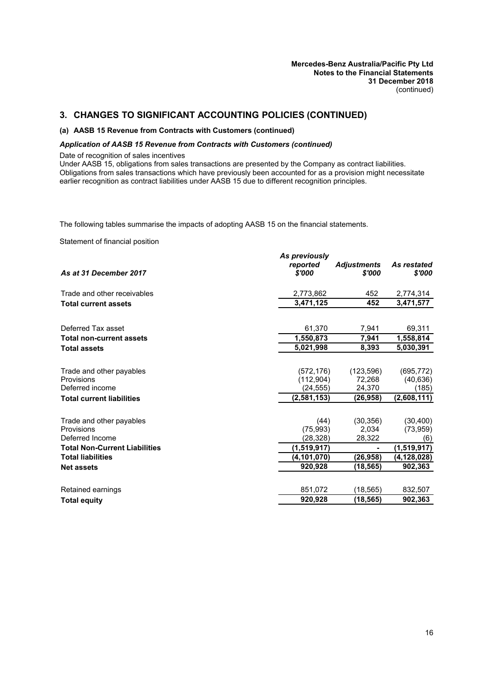#### **(a) AASB 15 Revenue from Contracts with Customers (continued)**

#### *Application of AASB 15 Revenue from Contracts with Customers (continued)*

Date of recognition of sales incentives

Under AASB 15, obligations from sales transactions are presented by the Company as contract liabilities. Obligations from sales transactions which have previously been accounted for as a provision might necessitate earlier recognition as contract liabilities under AASB 15 due to different recognition principles.

The following tables summarise the impacts of adopting AASB 15 on the financial statements.

Statement of financial position

| <b>Adjustments</b><br>reported<br>As restated<br>\$'000<br>As at 31 December 2017<br>\$'000<br>Trade and other receivables<br>452<br>2,773,862<br>3,471,125<br>452<br><b>Total current assets</b><br>Deferred Tax asset<br>61,370<br>7,941<br>1,550,873<br><b>Total non-current assets</b><br>7,941<br>5,021,998<br>8,393<br><b>Total assets</b><br>Trade and other payables<br>(123, 596)<br>(695, 772)<br>(572, 176)<br>Provisions<br>(112,904)<br>72,268<br>Deferred income<br>(24, 555)<br>24,370<br>(2,581,153)<br>(26,958)<br><b>Total current liabilities</b><br>(44)<br>(30, 356)<br>Trade and other payables<br>(75, 993)<br>Provisions<br>2.034<br>Deferred Income<br>(28,328)<br>28,322<br><b>Total Non-Current Liabilities</b> |               |
|--------------------------------------------------------------------------------------------------------------------------------------------------------------------------------------------------------------------------------------------------------------------------------------------------------------------------------------------------------------------------------------------------------------------------------------------------------------------------------------------------------------------------------------------------------------------------------------------------------------------------------------------------------------------------------------------------------------------------------------------|---------------|
|                                                                                                                                                                                                                                                                                                                                                                                                                                                                                                                                                                                                                                                                                                                                            | \$'000        |
|                                                                                                                                                                                                                                                                                                                                                                                                                                                                                                                                                                                                                                                                                                                                            | 2,774,314     |
|                                                                                                                                                                                                                                                                                                                                                                                                                                                                                                                                                                                                                                                                                                                                            | 3,471,577     |
|                                                                                                                                                                                                                                                                                                                                                                                                                                                                                                                                                                                                                                                                                                                                            | 69,311        |
|                                                                                                                                                                                                                                                                                                                                                                                                                                                                                                                                                                                                                                                                                                                                            | 1,558,814     |
|                                                                                                                                                                                                                                                                                                                                                                                                                                                                                                                                                                                                                                                                                                                                            | 5.030.391     |
|                                                                                                                                                                                                                                                                                                                                                                                                                                                                                                                                                                                                                                                                                                                                            |               |
|                                                                                                                                                                                                                                                                                                                                                                                                                                                                                                                                                                                                                                                                                                                                            | (40, 636)     |
|                                                                                                                                                                                                                                                                                                                                                                                                                                                                                                                                                                                                                                                                                                                                            | (185)         |
|                                                                                                                                                                                                                                                                                                                                                                                                                                                                                                                                                                                                                                                                                                                                            | (2,608,111)   |
|                                                                                                                                                                                                                                                                                                                                                                                                                                                                                                                                                                                                                                                                                                                                            | (30, 400)     |
|                                                                                                                                                                                                                                                                                                                                                                                                                                                                                                                                                                                                                                                                                                                                            | (73, 959)     |
|                                                                                                                                                                                                                                                                                                                                                                                                                                                                                                                                                                                                                                                                                                                                            | (6)           |
| (1,519,917)<br>۰                                                                                                                                                                                                                                                                                                                                                                                                                                                                                                                                                                                                                                                                                                                           | (1,519,917)   |
| <b>Total liabilities</b><br>(4,101,070)<br>(26,958)                                                                                                                                                                                                                                                                                                                                                                                                                                                                                                                                                                                                                                                                                        | (4, 128, 028) |
| 920,928<br>(18, 565)<br><b>Net assets</b>                                                                                                                                                                                                                                                                                                                                                                                                                                                                                                                                                                                                                                                                                                  | 902,363       |
| 851,072<br>(18, 565)<br>Retained earnings                                                                                                                                                                                                                                                                                                                                                                                                                                                                                                                                                                                                                                                                                                  | 832,507       |
| 920.928<br>(18,565)<br><b>Total equity</b>                                                                                                                                                                                                                                                                                                                                                                                                                                                                                                                                                                                                                                                                                                 | 902,363       |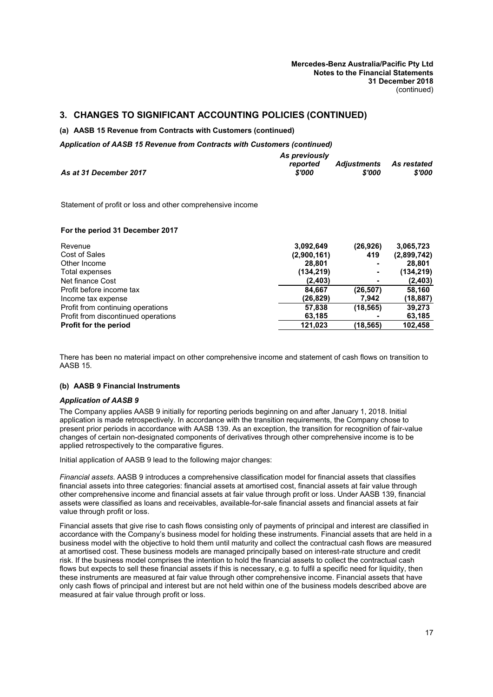#### **(a) AASB 15 Revenue from Contracts with Customers (continued)**

*Application of AASB 15 Revenue from Contracts with Customers (continued)*

|                        | reported | <b>Adjustments</b> As restated |        |
|------------------------|----------|--------------------------------|--------|
| As at 31 December 2017 | \$'000   | \$'000                         | \$'000 |

*As previously*

Statement of profit or loss and other comprehensive income

#### **For the period 31 December 2017**

| Revenue                             | 3,092,649   | (26, 926) | 3,065,723   |
|-------------------------------------|-------------|-----------|-------------|
| Cost of Sales                       | (2,900,161) | 419       | (2,899,742) |
| Other Income                        | 28.801      | -         | 28,801      |
| Total expenses                      | (134, 219)  |           | (134, 219)  |
| Net finance Cost                    | (2, 403)    | ٠         | (2, 403)    |
| Profit before income tax            | 84.667      | (26, 507) | 58,160      |
| Income tax expense                  | (26,829)    | 7,942     | (18, 887)   |
| Profit from continuing operations   | 57,838      | (18, 565) | 39,273      |
| Profit from discontinued operations | 63,185      |           | 63,185      |
| <b>Profit for the period</b>        | 121.023     | (18, 565) | 102,458     |

There has been no material impact on other comprehensive income and statement of cash flows on transition to AASB 15.

#### **(b) AASB 9 Financial Instruments**

#### *Application of AASB 9*

The Company applies AASB 9 initially for reporting periods beginning on and after January 1, 2018. Initial application is made retrospectively. In accordance with the transition requirements, the Company chose to present prior periods in accordance with AASB 139. As an exception, the transition for recognition of fair-value changes of certain non-designated components of derivatives through other comprehensive income is to be applied retrospectively to the comparative figures.

Initial application of AASB 9 lead to the following major changes:

*Financial assets*. AASB 9 introduces a comprehensive classification model for financial assets that classifies financial assets into three categories: financial assets at amortised cost, financial assets at fair value through other comprehensive income and financial assets at fair value through profit or loss. Under AASB 139, financial assets were classified as loans and receivables, available-for-sale financial assets and financial assets at fair value through profit or loss.

Financial assets that give rise to cash flows consisting only of payments of principal and interest are classified in accordance with the Company's business model for holding these instruments. Financial assets that are held in a business model with the objective to hold them until maturity and collect the contractual cash flows are measured at amortised cost. These business models are managed principally based on interest-rate structure and credit risk. If the business model comprises the intention to hold the financial assets to collect the contractual cash flows but expects to sell these financial assets if this is necessary, e.g. to fulfil a specific need for liquidity, then these instruments are measured at fair value through other comprehensive income. Financial assets that have only cash flows of principal and interest but are not held within one of the business models described above are measured at fair value through profit or loss.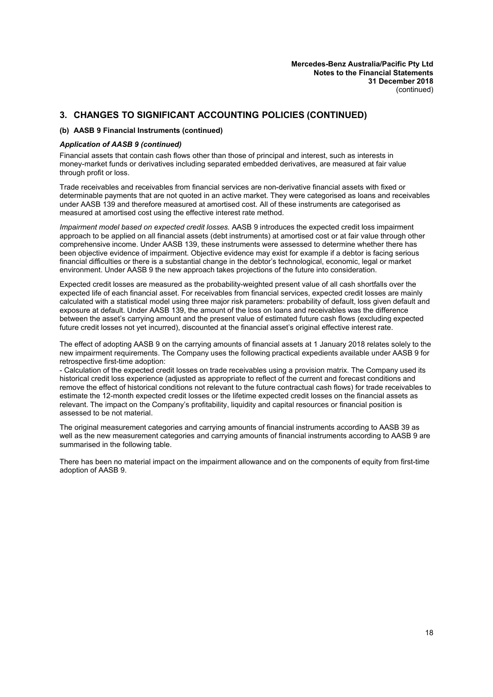#### **(b) AASB 9 Financial Instruments (continued)**

#### *Application of AASB 9 (continued)*

Financial assets that contain cash flows other than those of principal and interest, such as interests in money-market funds or derivatives including separated embedded derivatives, are measured at fair value through profit or loss.

Trade receivables and receivables from financial services are non-derivative financial assets with fixed or determinable payments that are not quoted in an active market. They were categorised as loans and receivables under AASB 139 and therefore measured at amortised cost. All of these instruments are categorised as measured at amortised cost using the effective interest rate method.

*Impairment model based on expected credit losses.* AASB 9 introduces the expected credit loss impairment approach to be applied on all financial assets (debt instruments) at amortised cost or at fair value through other comprehensive income. Under AASB 139, these instruments were assessed to determine whether there has been objective evidence of impairment. Objective evidence may exist for example if a debtor is facing serious financial difficulties or there is a substantial change in the debtor's technological, economic, legal or market environment. Under AASB 9 the new approach takes projections of the future into consideration.

Expected credit losses are measured as the probability-weighted present value of all cash shortfalls over the expected life of each financial asset. For receivables from financial services, expected credit losses are mainly calculated with a statistical model using three major risk parameters: probability of default, loss given default and exposure at default. Under AASB 139, the amount of the loss on loans and receivables was the difference between the asset's carrying amount and the present value of estimated future cash flows (excluding expected future credit losses not yet incurred), discounted at the financial asset's original effective interest rate.

The effect of adopting AASB 9 on the carrying amounts of financial assets at 1 January 2018 relates solely to the new impairment requirements. The Company uses the following practical expedients available under AASB 9 for retrospective first-time adoption:

- Calculation of the expected credit losses on trade receivables using a provision matrix. The Company used its historical credit loss experience (adjusted as appropriate to reflect of the current and forecast conditions and remove the effect of historical conditions not relevant to the future contractual cash flows) for trade receivables to estimate the 12-month expected credit losses or the lifetime expected credit losses on the financial assets as relevant. The impact on the Company's profitability, liquidity and capital resources or financial position is assessed to be not material.

The original measurement categories and carrying amounts of financial instruments according to AASB 39 as well as the new measurement categories and carrying amounts of financial instruments according to AASB 9 are summarised in the following table.

There has been no material impact on the impairment allowance and on the components of equity from first-time adoption of AASB 9.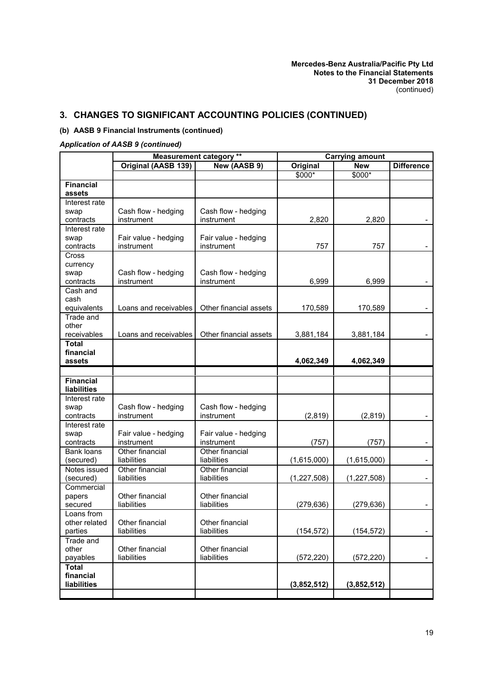# **(b) AASB 9 Financial Instruments (continued)**

## *Application of AASB 9 (continued)*

|                                 | <b>Measurement category **</b> |                        | <b>Carrying amount</b> |               |                   |
|---------------------------------|--------------------------------|------------------------|------------------------|---------------|-------------------|
|                                 | Original (AASB 139)            | New (AASB 9)           | Original               | <b>New</b>    | <b>Difference</b> |
|                                 |                                |                        | $$000*$                | $$000*$       |                   |
| <b>Financial</b>                |                                |                        |                        |               |                   |
| assets                          |                                |                        |                        |               |                   |
| Interest rate                   |                                |                        |                        |               |                   |
| swap                            | Cash flow - hedging            | Cash flow - hedging    |                        |               |                   |
| contracts                       | instrument                     | instrument             | 2,820                  | 2,820         |                   |
| Interest rate                   |                                |                        |                        |               |                   |
| swap                            | Fair value - hedging           | Fair value - hedging   |                        |               |                   |
| contracts                       | instrument                     | instrument             | 757                    | 757           |                   |
| Cross                           |                                |                        |                        |               |                   |
| currency                        |                                |                        |                        |               |                   |
| swap                            | Cash flow - hedging            | Cash flow - hedging    |                        |               |                   |
| contracts                       | instrument                     | instrument             | 6,999                  | 6,999         |                   |
| Cash and                        |                                |                        |                        |               |                   |
| cash                            |                                |                        |                        |               |                   |
| equivalents                     | Loans and receivables          | Other financial assets | 170,589                | 170,589       |                   |
| Trade and                       |                                |                        |                        |               |                   |
| other                           |                                |                        |                        |               |                   |
| receivables                     | Loans and receivables          | Other financial assets | 3,881,184              | 3,881,184     |                   |
| <b>Total</b>                    |                                |                        |                        |               |                   |
| financial                       |                                |                        |                        |               |                   |
| assets                          |                                |                        | 4,062,349              | 4,062,349     |                   |
|                                 |                                |                        |                        |               |                   |
| Financial<br><b>liabilities</b> |                                |                        |                        |               |                   |
|                                 |                                |                        |                        |               |                   |
| Interest rate                   | Cash flow - hedging            | Cash flow - hedging    |                        |               |                   |
| swap<br>contracts               | instrument                     | instrument             | (2,819)                | (2,819)       |                   |
| Interest rate                   |                                |                        |                        |               |                   |
| swap                            | Fair value - hedging           | Fair value - hedging   |                        |               |                   |
| contracts                       | instrument                     | instrument             | (757)                  | (757)         |                   |
| <b>Bank loans</b>               | Other financial                | Other financial        |                        |               |                   |
| (secured)                       | liabilities                    | liabilities            | (1,615,000)            | (1,615,000)   |                   |
| Notes issued                    | Other financial                | Other financial        |                        |               |                   |
| (secured)                       | liabilities                    | liabilities            | (1,227,508)            | (1, 227, 508) |                   |
| Commercial                      |                                |                        |                        |               |                   |
| papers                          | Other financial                | Other financial        |                        |               |                   |
| secured                         | liabilities                    | liabilities            | (279, 636)             | (279, 636)    |                   |
| Loans from                      |                                |                        |                        |               |                   |
| other related                   | Other financial                | Other financial        |                        |               |                   |
| parties                         | liabilities                    | liabilities            | (154, 572)             | (154, 572)    | $\sim$            |
| Trade and                       |                                |                        |                        |               |                   |
| other                           | Other financial                | Other financial        |                        |               |                   |
| payables                        | liabilities                    | liabilities            | (572, 220)             | (572, 220)    |                   |
| <b>Total</b>                    |                                |                        |                        |               |                   |
| financial                       |                                |                        |                        |               |                   |
| liabilities                     |                                |                        | (3,852,512)            | (3,852,512)   |                   |
|                                 |                                |                        |                        |               |                   |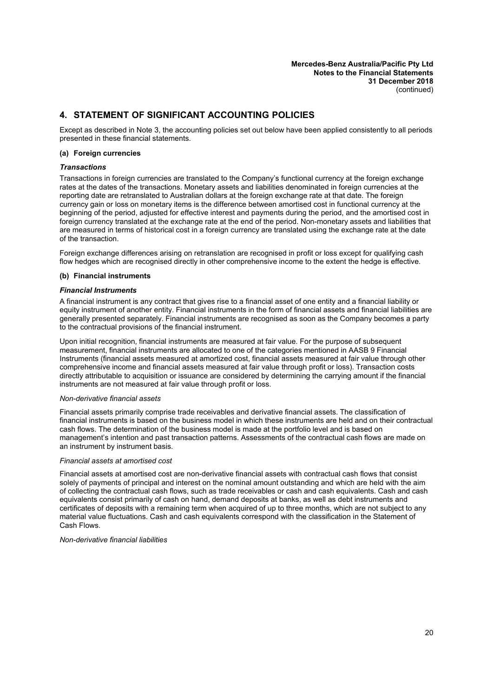# **4. STATEMENT OF SIGNIFICANT ACCOUNTING POLICIES**

Except as described in Note 3, the accounting policies set out below have been applied consistently to all periods presented in these financial statements.

#### **(a) Foreign currencies**

#### *Transactions*

Transactions in foreign currencies are translated to the Company's functional currency at the foreign exchange rates at the dates of the transactions. Monetary assets and liabilities denominated in foreign currencies at the reporting date are retranslated to Australian dollars at the foreign exchange rate at that date. The foreign currency gain or loss on monetary items is the difference between amortised cost in functional currency at the beginning of the period, adjusted for effective interest and payments during the period, and the amortised cost in foreign currency translated at the exchange rate at the end of the period. Non-monetary assets and liabilities that are measured in terms of historical cost in a foreign currency are translated using the exchange rate at the date of the transaction.

Foreign exchange differences arising on retranslation are recognised in profit or loss except for qualifying cash flow hedges which are recognised directly in other comprehensive income to the extent the hedge is effective.

#### **(b) Financial instruments**

#### *Financial Instruments*

A financial instrument is any contract that gives rise to a financial asset of one entity and a financial liability or equity instrument of another entity. Financial instruments in the form of financial assets and financial liabilities are generally presented separately. Financial instruments are recognised as soon as the Company becomes a party to the contractual provisions of the financial instrument.

Upon initial recognition, financial instruments are measured at fair value. For the purpose of subsequent measurement, financial instruments are allocated to one of the categories mentioned in AASB 9 Financial Instruments (financial assets measured at amortized cost, financial assets measured at fair value through other comprehensive income and financial assets measured at fair value through profit or loss). Transaction costs directly attributable to acquisition or issuance are considered by determining the carrying amount if the financial instruments are not measured at fair value through profit or loss.

#### *Non-derivative financial assets*

Financial assets primarily comprise trade receivables and derivative financial assets. The classification of financial instruments is based on the business model in which these instruments are held and on their contractual cash flows. The determination of the business model is made at the portfolio level and is based on management's intention and past transaction patterns. Assessments of the contractual cash flows are made on an instrument by instrument basis.

#### *Financial assets at amortised cost*

Financial assets at amortised cost are non-derivative financial assets with contractual cash flows that consist solely of payments of principal and interest on the nominal amount outstanding and which are held with the aim of collecting the contractual cash flows, such as trade receivables or cash and cash equivalents. Cash and cash equivalents consist primarily of cash on hand, demand deposits at banks, as well as debt instruments and certificates of deposits with a remaining term when acquired of up to three months, which are not subject to any material value fluctuations. Cash and cash equivalents correspond with the classification in the Statement of Cash Flows.

#### *Non-derivative financial liabilities*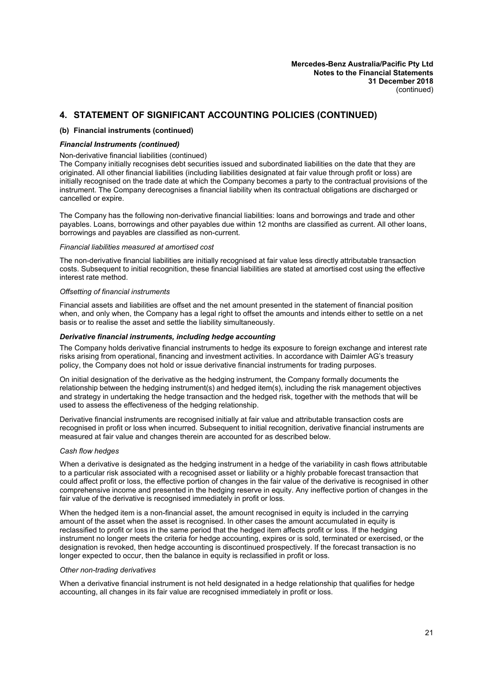#### **(b) Financial instruments (continued)**

#### *Financial Instruments (continued)*

#### Non-derivative financial liabilities (continued)

The Company initially recognises debt securities issued and subordinated liabilities on the date that they are originated. All other financial liabilities (including liabilities designated at fair value through profit or loss) are initially recognised on the trade date at which the Company becomes a party to the contractual provisions of the instrument. The Company derecognises a financial liability when its contractual obligations are discharged or cancelled or expire.

The Company has the following non-derivative financial liabilities: loans and borrowings and trade and other payables. Loans, borrowings and other payables due within 12 months are classified as current. All other loans, borrowings and payables are classified as non-current.

#### *Financial liabilities measured at amortised cost*

The non-derivative financial liabilities are initially recognised at fair value less directly attributable transaction costs. Subsequent to initial recognition, these financial liabilities are stated at amortised cost using the effective interest rate method.

#### *Offsetting of financial instruments*

Financial assets and liabilities are offset and the net amount presented in the statement of financial position when, and only when, the Company has a legal right to offset the amounts and intends either to settle on a net basis or to realise the asset and settle the liability simultaneously.

#### *Derivative financial instruments, including hedge accounting*

The Company holds derivative financial instruments to hedge its exposure to foreign exchange and interest rate risks arising from operational, financing and investment activities. In accordance with Daimler AG's treasury policy, the Company does not hold or issue derivative financial instruments for trading purposes.

On initial designation of the derivative as the hedging instrument, the Company formally documents the relationship between the hedging instrument(s) and hedged item(s), including the risk management objectives and strategy in undertaking the hedge transaction and the hedged risk, together with the methods that will be used to assess the effectiveness of the hedging relationship.

Derivative financial instruments are recognised initially at fair value and attributable transaction costs are recognised in profit or loss when incurred. Subsequent to initial recognition, derivative financial instruments are measured at fair value and changes therein are accounted for as described below.

#### *Cash flow hedges*

When a derivative is designated as the hedging instrument in a hedge of the variability in cash flows attributable to a particular risk associated with a recognised asset or liability or a highly probable forecast transaction that could affect profit or loss, the effective portion of changes in the fair value of the derivative is recognised in other comprehensive income and presented in the hedging reserve in equity. Any ineffective portion of changes in the fair value of the derivative is recognised immediately in profit or loss.

When the hedged item is a non-financial asset, the amount recognised in equity is included in the carrying amount of the asset when the asset is recognised. In other cases the amount accumulated in equity is reclassified to profit or loss in the same period that the hedged item affects profit or loss. If the hedging instrument no longer meets the criteria for hedge accounting, expires or is sold, terminated or exercised, or the designation is revoked, then hedge accounting is discontinued prospectively. If the forecast transaction is no longer expected to occur, then the balance in equity is reclassified in profit or loss.

#### *Other non-trading derivatives*

When a derivative financial instrument is not held designated in a hedge relationship that qualifies for hedge accounting, all changes in its fair value are recognised immediately in profit or loss.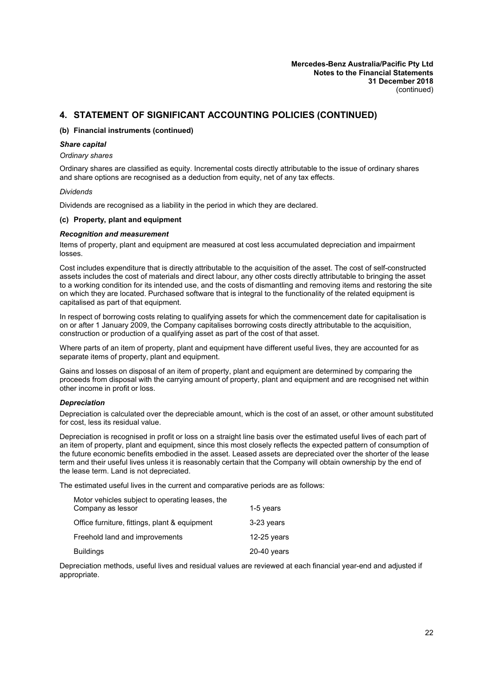#### **(b) Financial instruments (continued)**

#### *Share capital*

#### *Ordinary shares*

Ordinary shares are classified as equity. Incremental costs directly attributable to the issue of ordinary shares and share options are recognised as a deduction from equity, net of any tax effects.

#### *Dividends*

Dividends are recognised as a liability in the period in which they are declared.

#### **(c) Property, plant and equipment**

#### *Recognition and measurement*

Items of property, plant and equipment are measured at cost less accumulated depreciation and impairment losses.

Cost includes expenditure that is directly attributable to the acquisition of the asset. The cost of self-constructed assets includes the cost of materials and direct labour, any other costs directly attributable to bringing the asset to a working condition for its intended use, and the costs of dismantling and removing items and restoring the site on which they are located. Purchased software that is integral to the functionality of the related equipment is capitalised as part of that equipment.

In respect of borrowing costs relating to qualifying assets for which the commencement date for capitalisation is on or after 1 January 2009, the Company capitalises borrowing costs directly attributable to the acquisition, construction or production of a qualifying asset as part of the cost of that asset.

Where parts of an item of property, plant and equipment have different useful lives, they are accounted for as separate items of property, plant and equipment.

Gains and losses on disposal of an item of property, plant and equipment are determined by comparing the proceeds from disposal with the carrying amount of property, plant and equipment and are recognised net within other income in profit or loss.

#### *Depreciation*

Depreciation is calculated over the depreciable amount, which is the cost of an asset, or other amount substituted for cost, less its residual value.

Depreciation is recognised in profit or loss on a straight line basis over the estimated useful lives of each part of an item of property, plant and equipment, since this most closely reflects the expected pattern of consumption of the future economic benefits embodied in the asset. Leased assets are depreciated over the shorter of the lease term and their useful lives unless it is reasonably certain that the Company will obtain ownership by the end of the lease term. Land is not depreciated.

The estimated useful lives in the current and comparative periods are as follows:

| Motor vehicles subject to operating leases, the |               |
|-------------------------------------------------|---------------|
| Company as lessor                               | 1-5 years     |
| Office furniture, fittings, plant & equipment   | 3-23 years    |
| Freehold land and improvements                  | 12-25 years   |
| <b>Buildings</b>                                | $20-40$ years |

Depreciation methods, useful lives and residual values are reviewed at each financial year-end and adjusted if appropriate.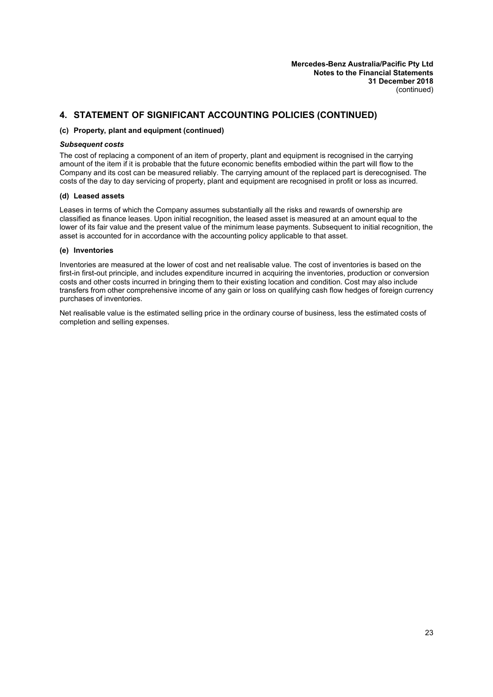#### **(c) Property, plant and equipment (continued)**

#### *Subsequent costs*

The cost of replacing a component of an item of property, plant and equipment is recognised in the carrying amount of the item if it is probable that the future economic benefits embodied within the part will flow to the Company and its cost can be measured reliably. The carrying amount of the replaced part is derecognised. The costs of the day to day servicing of property, plant and equipment are recognised in profit or loss as incurred.

## **(d) Leased assets**

Leases in terms of which the Company assumes substantially all the risks and rewards of ownership are classified as finance leases. Upon initial recognition, the leased asset is measured at an amount equal to the lower of its fair value and the present value of the minimum lease payments. Subsequent to initial recognition, the asset is accounted for in accordance with the accounting policy applicable to that asset.

#### **(e) Inventories**

Inventories are measured at the lower of cost and net realisable value. The cost of inventories is based on the first-in first-out principle, and includes expenditure incurred in acquiring the inventories, production or conversion costs and other costs incurred in bringing them to their existing location and condition. Cost may also include transfers from other comprehensive income of any gain or loss on qualifying cash flow hedges of foreign currency purchases of inventories.

Net realisable value is the estimated selling price in the ordinary course of business, less the estimated costs of completion and selling expenses.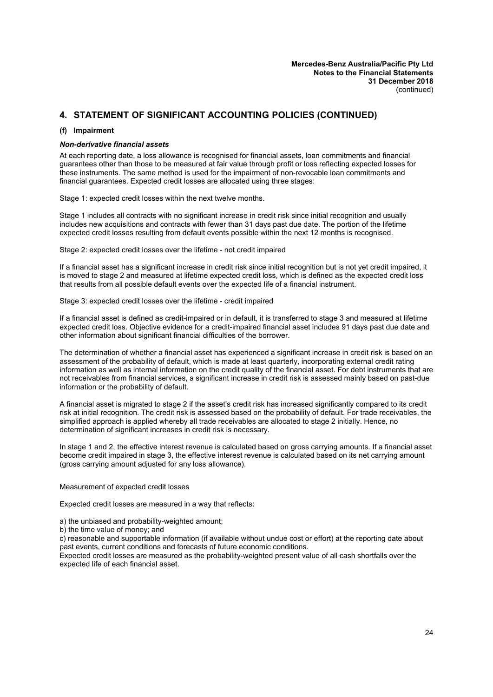#### **(f) Impairment**

#### *Non-derivative financial assets*

At each reporting date, a loss allowance is recognised for financial assets, loan commitments and financial guarantees other than those to be measured at fair value through profit or loss reflecting expected losses for these instruments. The same method is used for the impairment of non-revocable loan commitments and financial guarantees. Expected credit losses are allocated using three stages:

Stage 1: expected credit losses within the next twelve months.

Stage 1 includes all contracts with no significant increase in credit risk since initial recognition and usually includes new acquisitions and contracts with fewer than 31 days past due date. The portion of the lifetime expected credit losses resulting from default events possible within the next 12 months is recognised.

Stage 2: expected credit losses over the lifetime - not credit impaired

If a financial asset has a significant increase in credit risk since initial recognition but is not yet credit impaired, it is moved to stage 2 and measured at lifetime expected credit loss, which is defined as the expected credit loss that results from all possible default events over the expected life of a financial instrument.

Stage 3: expected credit losses over the lifetime - credit impaired

If a financial asset is defined as credit-impaired or in default, it is transferred to stage 3 and measured at lifetime expected credit loss. Objective evidence for a credit-impaired financial asset includes 91 days past due date and other information about significant financial difficulties of the borrower.

The determination of whether a financial asset has experienced a significant increase in credit risk is based on an assessment of the probability of default, which is made at least quarterly, incorporating external credit rating information as well as internal information on the credit quality of the financial asset. For debt instruments that are not receivables from financial services, a significant increase in credit risk is assessed mainly based on past-due information or the probability of default.

A financial asset is migrated to stage 2 if the asset's credit risk has increased significantly compared to its credit risk at initial recognition. The credit risk is assessed based on the probability of default. For trade receivables, the simplified approach is applied whereby all trade receivables are allocated to stage 2 initially. Hence, no determination of significant increases in credit risk is necessary.

In stage 1 and 2, the effective interest revenue is calculated based on gross carrying amounts. If a financial asset become credit impaired in stage 3, the effective interest revenue is calculated based on its net carrying amount (gross carrying amount adjusted for any loss allowance).

Measurement of expected credit losses

Expected credit losses are measured in a way that reflects:

a) the unbiased and probability-weighted amount;

b) the time value of money; and

c) reasonable and supportable information (if available without undue cost or effort) at the reporting date about past events, current conditions and forecasts of future economic conditions.

Expected credit losses are measured as the probability-weighted present value of all cash shortfalls over the expected life of each financial asset.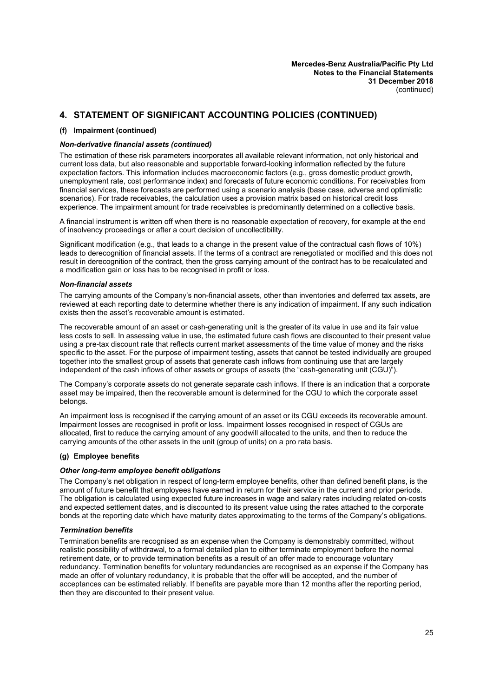#### **(f) Impairment (continued)**

#### *Non-derivative financial assets (continued)*

The estimation of these risk parameters incorporates all available relevant information, not only historical and current loss data, but also reasonable and supportable forward-looking information reflected by the future expectation factors. This information includes macroeconomic factors (e.g., gross domestic product growth, unemployment rate, cost performance index) and forecasts of future economic conditions. For receivables from financial services, these forecasts are performed using a scenario analysis (base case, adverse and optimistic scenarios). For trade receivables, the calculation uses a provision matrix based on historical credit loss experience. The impairment amount for trade receivables is predominantly determined on a collective basis.

A financial instrument is written off when there is no reasonable expectation of recovery, for example at the end of insolvency proceedings or after a court decision of uncollectibility.

Significant modification (e.g., that leads to a change in the present value of the contractual cash flows of 10%) leads to derecognition of financial assets. If the terms of a contract are renegotiated or modified and this does not result in derecognition of the contract, then the gross carrying amount of the contract has to be recalculated and a modification gain or loss has to be recognised in profit or loss.

#### *Non-financial assets*

The carrying amounts of the Company's non-financial assets, other than inventories and deferred tax assets, are reviewed at each reporting date to determine whether there is any indication of impairment. If any such indication exists then the asset's recoverable amount is estimated.

The recoverable amount of an asset or cash-generating unit is the greater of its value in use and its fair value less costs to sell. In assessing value in use, the estimated future cash flows are discounted to their present value using a pre-tax discount rate that reflects current market assessments of the time value of money and the risks specific to the asset. For the purpose of impairment testing, assets that cannot be tested individually are grouped together into the smallest group of assets that generate cash inflows from continuing use that are largely independent of the cash inflows of other assets or groups of assets (the "cash-generating unit (CGU)").

The Company's corporate assets do not generate separate cash inflows. If there is an indication that a corporate asset may be impaired, then the recoverable amount is determined for the CGU to which the corporate asset belongs.

An impairment loss is recognised if the carrying amount of an asset or its CGU exceeds its recoverable amount. Impairment losses are recognised in profit or loss. Impairment losses recognised in respect of CGUs are allocated, first to reduce the carrying amount of any goodwill allocated to the units, and then to reduce the carrying amounts of the other assets in the unit (group of units) on a pro rata basis.

## **(g) Employee benefits**

#### *Other long-term employee benefit obligations*

The Company's net obligation in respect of long-term employee benefits, other than defined benefit plans, is the amount of future benefit that employees have earned in return for their service in the current and prior periods. The obligation is calculated using expected future increases in wage and salary rates including related on-costs and expected settlement dates, and is discounted to its present value using the rates attached to the corporate bonds at the reporting date which have maturity dates approximating to the terms of the Company's obligations.

#### *Termination benefits*

Termination benefits are recognised as an expense when the Company is demonstrably committed, without realistic possibility of withdrawal, to a formal detailed plan to either terminate employment before the normal retirement date, or to provide termination benefits as a result of an offer made to encourage voluntary redundancy. Termination benefits for voluntary redundancies are recognised as an expense if the Company has made an offer of voluntary redundancy, it is probable that the offer will be accepted, and the number of acceptances can be estimated reliably. If benefits are payable more than 12 months after the reporting period, then they are discounted to their present value.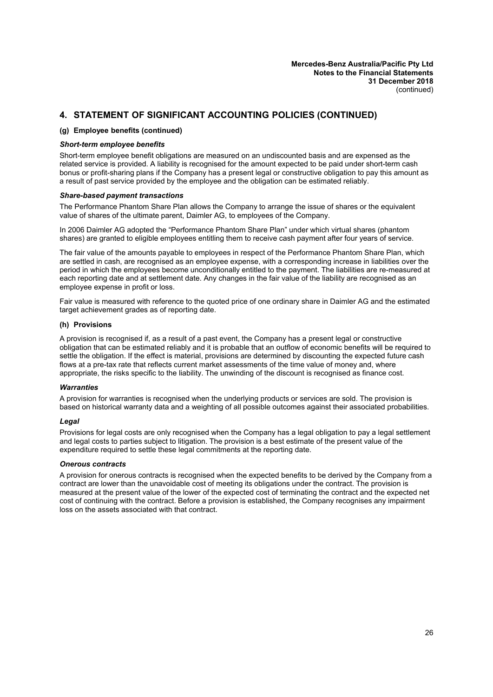#### **(g) Employee benefits (continued)**

#### *Short-term employee benefits*

Short-term employee benefit obligations are measured on an undiscounted basis and are expensed as the related service is provided. A liability is recognised for the amount expected to be paid under short-term cash bonus or profit-sharing plans if the Company has a present legal or constructive obligation to pay this amount as a result of past service provided by the employee and the obligation can be estimated reliably.

#### *Share-based payment transactions*

The Performance Phantom Share Plan allows the Company to arrange the issue of shares or the equivalent value of shares of the ultimate parent, Daimler AG, to employees of the Company.

In 2006 Daimler AG adopted the "Performance Phantom Share Plan" under which virtual shares (phantom shares) are granted to eligible employees entitling them to receive cash payment after four years of service.

The fair value of the amounts payable to employees in respect of the Performance Phantom Share Plan, which are settled in cash, are recognised as an employee expense, with a corresponding increase in liabilities over the period in which the employees become unconditionally entitled to the payment. The liabilities are re-measured at each reporting date and at settlement date. Any changes in the fair value of the liability are recognised as an employee expense in profit or loss.

Fair value is measured with reference to the quoted price of one ordinary share in Daimler AG and the estimated target achievement grades as of reporting date.

#### **(h) Provisions**

A provision is recognised if, as a result of a past event, the Company has a present legal or constructive obligation that can be estimated reliably and it is probable that an outflow of economic benefits will be required to settle the obligation. If the effect is material, provisions are determined by discounting the expected future cash flows at a pre-tax rate that reflects current market assessments of the time value of money and, where appropriate, the risks specific to the liability. The unwinding of the discount is recognised as finance cost.

#### *Warranties*

A provision for warranties is recognised when the underlying products or services are sold. The provision is based on historical warranty data and a weighting of all possible outcomes against their associated probabilities.

#### *Legal*

Provisions for legal costs are only recognised when the Company has a legal obligation to pay a legal settlement and legal costs to parties subject to litigation. The provision is a best estimate of the present value of the expenditure required to settle these legal commitments at the reporting date.

#### *Onerous contracts*

A provision for onerous contracts is recognised when the expected benefits to be derived by the Company from a contract are lower than the unavoidable cost of meeting its obligations under the contract. The provision is measured at the present value of the lower of the expected cost of terminating the contract and the expected net cost of continuing with the contract. Before a provision is established, the Company recognises any impairment loss on the assets associated with that contract.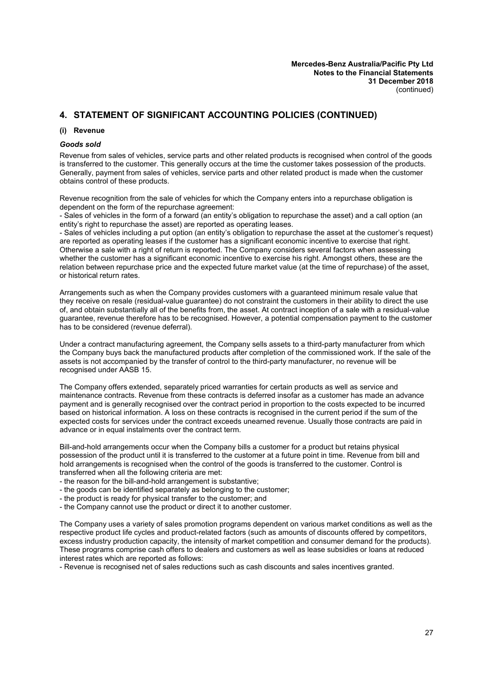#### **(i) Revenue**

#### *Goods sold*

Revenue from sales of vehicles, service parts and other related products is recognised when control of the goods is transferred to the customer. This generally occurs at the time the customer takes possession of the products. Generally, payment from sales of vehicles, service parts and other related product is made when the customer obtains control of these products.

Revenue recognition from the sale of vehicles for which the Company enters into a repurchase obligation is dependent on the form of the repurchase agreement:

- Sales of vehicles in the form of a forward (an entity's obligation to repurchase the asset) and a call option (an entity's right to repurchase the asset) are reported as operating leases.

- Sales of vehicles including a put option (an entity's obligation to repurchase the asset at the customer's request) are reported as operating leases if the customer has a significant economic incentive to exercise that right. Otherwise a sale with a right of return is reported. The Company considers several factors when assessing whether the customer has a significant economic incentive to exercise his right. Amongst others, these are the relation between repurchase price and the expected future market value (at the time of repurchase) of the asset, or historical return rates.

Arrangements such as when the Company provides customers with a guaranteed minimum resale value that they receive on resale (residual-value guarantee) do not constraint the customers in their ability to direct the use of, and obtain substantially all of the benefits from, the asset. At contract inception of a sale with a residual-value guarantee, revenue therefore has to be recognised. However, a potential compensation payment to the customer has to be considered (revenue deferral).

Under a contract manufacturing agreement, the Company sells assets to a third-party manufacturer from which the Company buys back the manufactured products after completion of the commissioned work. If the sale of the assets is not accompanied by the transfer of control to the third-party manufacturer, no revenue will be recognised under AASB 15.

The Company offers extended, separately priced warranties for certain products as well as service and maintenance contracts. Revenue from these contracts is deferred insofar as a customer has made an advance payment and is generally recognised over the contract period in proportion to the costs expected to be incurred based on historical information. A loss on these contracts is recognised in the current period if the sum of the expected costs for services under the contract exceeds unearned revenue. Usually those contracts are paid in advance or in equal instalments over the contract term.

Bill-and-hold arrangements occur when the Company bills a customer for a product but retains physical possession of the product until it is transferred to the customer at a future point in time. Revenue from bill and hold arrangements is recognised when the control of the goods is transferred to the customer. Control is transferred when all the following criteria are met:

- the reason for the bill-and-hold arrangement is substantive;

- the goods can be identified separately as belonging to the customer;
- the product is ready for physical transfer to the customer; and
- the Company cannot use the product or direct it to another customer.

The Company uses a variety of sales promotion programs dependent on various market conditions as well as the respective product life cycles and product-related factors (such as amounts of discounts offered by competitors, excess industry production capacity, the intensity of market competition and consumer demand for the products). These programs comprise cash offers to dealers and customers as well as lease subsidies or loans at reduced interest rates which are reported as follows:

- Revenue is recognised net of sales reductions such as cash discounts and sales incentives granted.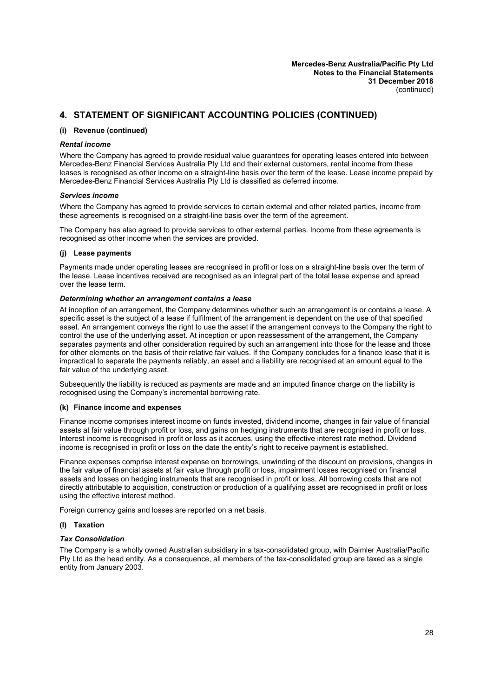#### **(i) Revenue (continued)**

#### *Rental income*

Where the Company has agreed to provide residual value guarantees for operating leases entered into between Mercedes-Benz Financial Services Australia Pty Ltd and their external customers, rental income from these leases is recognised as other income on a straight-line basis over the term of the lease. Lease income prepaid by Mercedes-Benz Financial Services Australia Pty Ltd is classified as deferred income.

#### *Services income*

Where the Company has agreed to provide services to certain external and other related parties, income from these agreements is recognised on a straight-line basis over the term of the agreement.

The Company has also agreed to provide services to other external parties. Income from these agreements is recognised as other income when the services are provided.

#### **(j) Lease payments**

Payments made under operating leases are recognised in profit or loss on a straight-line basis over the term of the lease. Lease incentives received are recognised as an integral part of the total lease expense and spread over the lease term.

#### *Determining whether an arrangement contains a lease*

At inception of an arrangement, the Company determines whether such an arrangement is or contains a lease. A specific asset is the subject of a lease if fulfilment of the arrangement is dependent on the use of that specified asset. An arrangement conveys the right to use the asset if the arrangement conveys to the Company the right to control the use of the underlying asset. At inception or upon reassessment of the arrangement, the Company separates payments and other consideration required by such an arrangement into those for the lease and those for other elements on the basis of their relative fair values. If the Company concludes for a finance lease that it is impractical to separate the payments reliably, an asset and a liability are recognised at an amount equal to the fair value of the underlying asset.

Subsequently the liability is reduced as payments are made and an imputed finance charge on the liability is recognised using the Company's incremental borrowing rate.

#### **(k) Finance income and expenses**

Finance income comprises interest income on funds invested, dividend income, changes in fair value of financial assets at fair value through profit or loss, and gains on hedging instruments that are recognised in profit or loss. Interest income is recognised in profit or loss as it accrues, using the effective interest rate method. Dividend income is recognised in profit or loss on the date the entity's right to receive payment is established.

Finance expenses comprise interest expense on borrowings, unwinding of the discount on provisions, changes in the fair value of financial assets at fair value through profit or loss, impairment losses recognised on financial assets and losses on hedging instruments that are recognised in profit or loss. All borrowing costs that are not directly attributable to acquisition, construction or production of a qualifying asset are recognised in profit or loss using the effective interest method.

Foreign currency gains and losses are reported on a net basis.

#### **(l) Taxation**

#### *Tax Consolidation*

The Company is a wholly owned Australian subsidiary in a tax-consolidated group, with Daimler Australia/Pacific Pty Ltd as the head entity. As a consequence, all members of the tax-consolidated group are taxed as a single entity from January 2003.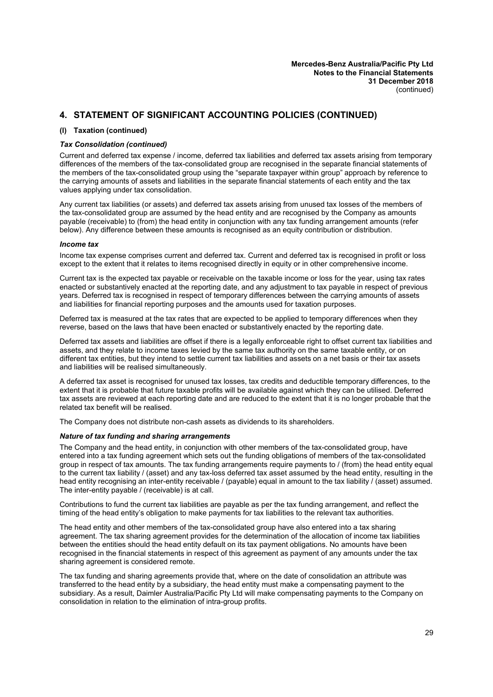#### **(l) Taxation (continued)**

#### *Tax Consolidation (continued)*

Current and deferred tax expense / income, deferred tax liabilities and deferred tax assets arising from temporary differences of the members of the tax-consolidated group are recognised in the separate financial statements of the members of the tax-consolidated group using the "separate taxpayer within group" approach by reference to the carrying amounts of assets and liabilities in the separate financial statements of each entity and the tax values applying under tax consolidation.

Any current tax liabilities (or assets) and deferred tax assets arising from unused tax losses of the members of the tax-consolidated group are assumed by the head entity and are recognised by the Company as amounts payable (receivable) to (from) the head entity in conjunction with any tax funding arrangement amounts (refer below). Any difference between these amounts is recognised as an equity contribution or distribution.

#### *Income tax*

Income tax expense comprises current and deferred tax. Current and deferred tax is recognised in profit or loss except to the extent that it relates to items recognised directly in equity or in other comprehensive income.

Current tax is the expected tax payable or receivable on the taxable income or loss for the year, using tax rates enacted or substantively enacted at the reporting date, and any adjustment to tax payable in respect of previous years. Deferred tax is recognised in respect of temporary differences between the carrying amounts of assets and liabilities for financial reporting purposes and the amounts used for taxation purposes.

Deferred tax is measured at the tax rates that are expected to be applied to temporary differences when they reverse, based on the laws that have been enacted or substantively enacted by the reporting date.

Deferred tax assets and liabilities are offset if there is a legally enforceable right to offset current tax liabilities and assets, and they relate to income taxes levied by the same tax authority on the same taxable entity, or on different tax entities, but they intend to settle current tax liabilities and assets on a net basis or their tax assets and liabilities will be realised simultaneously.

A deferred tax asset is recognised for unused tax losses, tax credits and deductible temporary differences, to the extent that it is probable that future taxable profits will be available against which they can be utilised. Deferred tax assets are reviewed at each reporting date and are reduced to the extent that it is no longer probable that the related tax benefit will be realised.

The Company does not distribute non-cash assets as dividends to its shareholders.

#### *Nature of tax funding and sharing arrangements*

The Company and the head entity, in conjunction with other members of the tax-consolidated group, have entered into a tax funding agreement which sets out the funding obligations of members of the tax-consolidated group in respect of tax amounts. The tax funding arrangements require payments to / (from) the head entity equal to the current tax liability / (asset) and any tax-loss deferred tax asset assumed by the head entity, resulting in the head entity recognising an inter-entity receivable / (payable) equal in amount to the tax liability / (asset) assumed. The inter-entity payable / (receivable) is at call.

Contributions to fund the current tax liabilities are payable as per the tax funding arrangement, and reflect the timing of the head entity's obligation to make payments for tax liabilities to the relevant tax authorities.

The head entity and other members of the tax-consolidated group have also entered into a tax sharing agreement. The tax sharing agreement provides for the determination of the allocation of income tax liabilities between the entities should the head entity default on its tax payment obligations. No amounts have been recognised in the financial statements in respect of this agreement as payment of any amounts under the tax sharing agreement is considered remote.

The tax funding and sharing agreements provide that, where on the date of consolidation an attribute was transferred to the head entity by a subsidiary, the head entity must make a compensating payment to the subsidiary. As a result, Daimler Australia/Pacific Pty Ltd will make compensating payments to the Company on consolidation in relation to the elimination of intra-group profits.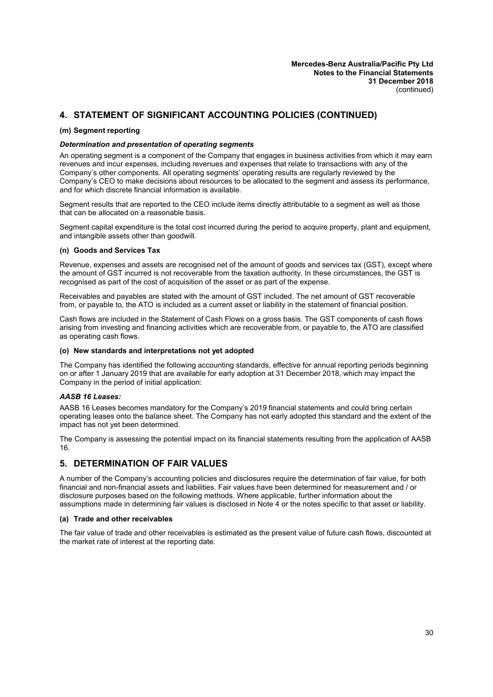#### **(m) Segment reporting**

#### *Determination and presentation of operating segments*

An operating segment is a component of the Company that engages in business activities from which it may earn revenues and incur expenses, including revenues and expenses that relate to transactions with any of the Company's other components. All operating segments' operating results are regularly reviewed by the Company's CEO to make decisions about resources to be allocated to the segment and assess its performance, and for which discrete financial information is available.

Segment results that are reported to the CEO include items directly attributable to a segment as well as those that can be allocated on a reasonable basis.

Segment capital expenditure is the total cost incurred during the period to acquire property, plant and equipment, and intangible assets other than goodwill.

#### **(n) Goods and Services Tax**

Revenue, expenses and assets are recognised net of the amount of goods and services tax (GST), except where the amount of GST incurred is not recoverable from the taxation authority. In these circumstances, the GST is recognised as part of the cost of acquisition of the asset or as part of the expense.

Receivables and payables are stated with the amount of GST included. The net amount of GST recoverable from, or payable to, the ATO is included as a current asset or liability in the statement of financial position.

Cash flows are included in the Statement of Cash Flows on a gross basis. The GST components of cash flows arising from investing and financing activities which are recoverable from, or payable to, the ATO are classified as operating cash flows.

#### **(o) New standards and interpretations not yet adopted**

The Company has identified the following accounting standards, effective for annual reporting periods beginning on or after 1 January 2019 that are available for early adoption at 31 December 2018, which may impact the Company in the period of initial application:

#### *AASB 16 Leases:*

AASB 16 Leases becomes mandatory for the Company's 2019 financial statements and could bring certain operating leases onto the balance sheet. The Company has not early adopted this standard and the extent of the impact has not yet been determined.

<span id="page-31-0"></span>The Company is assessing the potential impact on its financial statements resulting from the application of AASB 16.

#### **5. DETERMINATION OF FAIR VALUES**

A number of the Company's accounting policies and disclosures require the determination of fair value, for both financial and non-financial assets and liabilities. Fair values have been determined for measurement and / or disclosure purposes based on the following methods. Where applicable, further information about the assumptions made in determining fair values is disclosed in Note 4 or the notes specific to that asset or liability.

#### **(a) Trade and other receivables**

The fair value of trade and other receivables is estimated as the present value of future cash flows, discounted at the market rate of interest at the reporting date.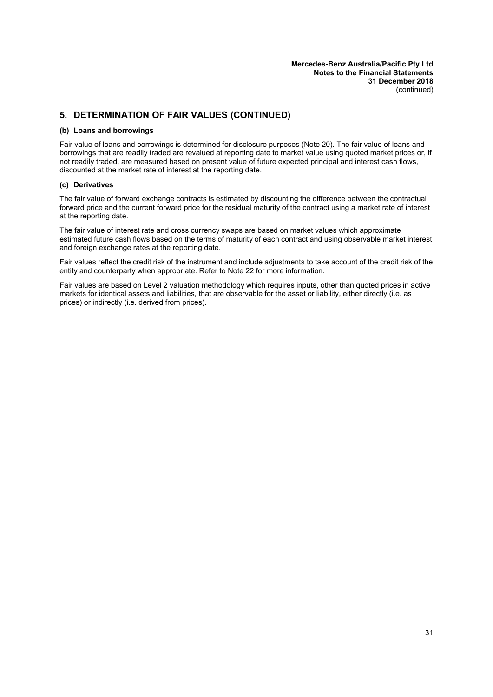# **5. DETERMINATION OF FAIR VALUES (CONTINUED)**

#### **(b) Loans and borrowings**

Fair value of loans and borrowings is determined for disclosure purposes (Note [20\)](#page-44-1). The fair value of loans and borrowings that are readily traded are revalued at reporting date to market value using quoted market prices or, if not readily traded, are measured based on present value of future expected principal and interest cash flows, discounted at the market rate of interest at the reporting date.

#### **(c) Derivatives**

The fair value of forward exchange contracts is estimated by discounting the difference between the contractual forward price and the current forward price for the residual maturity of the contract using a market rate of interest at the reporting date.

The fair value of interest rate and cross currency swaps are based on market values which approximate estimated future cash flows based on the terms of maturity of each contract and using observable market interest and foreign exchange rates at the reporting date.

Fair values reflect the credit risk of the instrument and include adjustments to take account of the credit risk of the entity and counterparty when appropriate. Refer to Note [22](#page-44-2) for more information.

Fair values are based on Level 2 valuation methodology which requires inputs, other than quoted prices in active markets for identical assets and liabilities, that are observable for the asset or liability, either directly (i.e. as prices) or indirectly (i.e. derived from prices).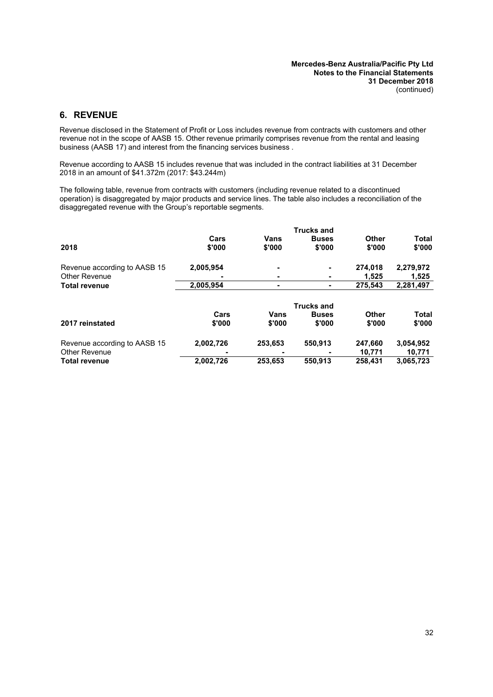# <span id="page-33-0"></span>**6. REVENUE**

Revenue disclosed in the Statement of Profit or Loss includes revenue from contracts with customers and other revenue not in the scope of AASB 15. Other revenue primarily comprises revenue from the rental and leasing business (AASB 17) and interest from the financing services business .

Revenue according to AASB 15 includes revenue that was included in the contract liabilities at 31 December 2018 in an amount of \$41.372m (2017: \$43.244m)

The following table, revenue from contracts with customers (including revenue related to a discontinued operation) is disaggregated by major products and service lines. The table also includes a reconciliation of the disaggregated revenue with the Group's reportable segments.

| 2018                         |           |                   | <b>Trucks and</b> |              |              |  |
|------------------------------|-----------|-------------------|-------------------|--------------|--------------|--|
|                              | Cars      | Vans              | <b>Buses</b>      | Other        | <b>Total</b> |  |
|                              | \$'000    | \$'000            | \$'000            | \$'000       | \$'000       |  |
| Revenue according to AASB 15 | 2,005,954 | -                 | ٠                 | 274.018      | 2,279,972    |  |
| Other Revenue                |           |                   | ۰                 | 1,525        | 1,525        |  |
| <b>Total revenue</b>         | 2,005,954 |                   | ٠                 | 275.543      | 2,281,497    |  |
|                              |           | <b>Trucks and</b> |                   |              |              |  |
|                              | Cars      | <b>Vans</b>       | <b>Buses</b>      | <b>Other</b> | <b>Total</b> |  |
| 2017 reinstated              | \$'000    | \$'000            | \$'000            | \$'000       | \$'000       |  |
| Revenue according to AASB 15 | 2,002,726 | 253,653           | 550,913           | 247,660      | 3,054,952    |  |
| Other Revenue                |           |                   |                   | 10,771       | 10,771       |  |
| <b>Total revenue</b>         | 2,002,726 | 253,653           | 550,913           | 258.431      | 3,065,723    |  |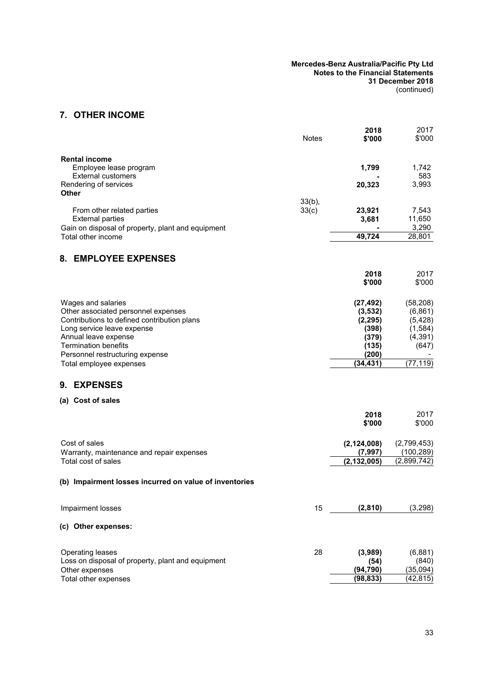| Mercedes-Benz Australia/Pacific Pty Ltd<br><b>Notes to the Financial Statements</b> |  |
|-------------------------------------------------------------------------------------|--|
| 31 December 2018                                                                    |  |
| (continued)                                                                         |  |

# <span id="page-34-1"></span>**7. OTHER INCOME**

<span id="page-34-4"></span><span id="page-34-3"></span><span id="page-34-2"></span><span id="page-34-0"></span>

|                                                                                    | <b>Notes</b>       | 2018<br>\$'000         | 2017<br>\$'000        |
|------------------------------------------------------------------------------------|--------------------|------------------------|-----------------------|
| <b>Rental income</b><br>Employee lease program                                     |                    | 1,799                  | 1,742                 |
| <b>External customers</b><br>Rendering of services                                 |                    | 20,323                 | 583<br>3,993          |
| Other                                                                              |                    |                        |                       |
| From other related parties                                                         | $33(b)$ ,<br>33(c) | 23,921                 | 7,543                 |
| <b>External parties</b><br>Gain on disposal of property, plant and equipment       |                    | 3,681                  | 11,650<br>3,290       |
| Total other income                                                                 |                    | 49,724                 | 28,801                |
| 8. EMPLOYEE EXPENSES                                                               |                    |                        |                       |
|                                                                                    |                    | 2018                   | 2017                  |
|                                                                                    |                    | \$'000                 | \$'000                |
| Wages and salaries                                                                 |                    | (27, 492)              | (58, 208)             |
| Other associated personnel expenses<br>Contributions to defined contribution plans |                    | (3,532)                | (6, 861)              |
| Long service leave expense                                                         |                    | (2, 295)<br>(398)      | (5, 428)<br>(1, 584)  |
| Annual leave expense                                                               |                    | (379)                  | (4, 391)              |
| <b>Termination benefits</b>                                                        |                    | (135)                  | (647)                 |
| Personnel restructuring expense                                                    |                    | (200)<br>(34, 431)     | (77, 119)             |
| Total employee expenses                                                            |                    |                        |                       |
| <b>EXPENSES</b><br>9.                                                              |                    |                        |                       |
| (a) Cost of sales                                                                  |                    |                        |                       |
|                                                                                    |                    | 2018<br>\$'000         | 2017<br>\$'000        |
|                                                                                    |                    |                        |                       |
| Cost of sales                                                                      |                    | (2, 124, 008)          | (2,799,453)           |
| Warranty, maintenance and repair expenses                                          |                    | (7, 997)               | (100, 289)            |
| Total cost of sales                                                                |                    | (2, 132, 005)          | (2,899,742)           |
| (b) Impairment losses incurred on value of inventories                             |                    |                        |                       |
| Impairment losses                                                                  | 15                 | (2,810)                | (3, 298)              |
| (c) Other expenses:                                                                |                    |                        |                       |
| Operating leases                                                                   | 28                 | (3,989)                | (6,881)               |
| Loss on disposal of property, plant and equipment                                  |                    | (54)                   | (840)                 |
| Other expenses<br>Total other expenses                                             |                    | (94, 790)<br>(98, 833) | (35,094)<br>(42, 815) |
|                                                                                    |                    |                        |                       |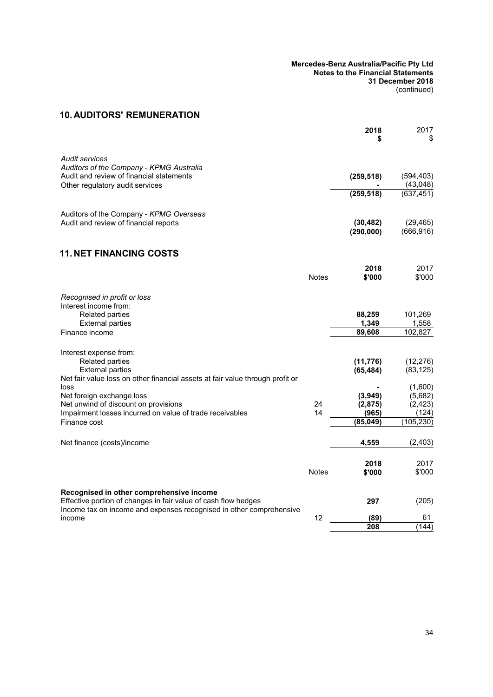#### **Mercedes-Benz Australia/Pacific Pty Ltd Notes to the Financial Statements 31 December 2018** (continued)

# **10. AUDITORS' REMUNERATION**

<span id="page-35-0"></span>

|                                                                                                                                                                                   |              | 2018                   | 2017<br>\$              |
|-----------------------------------------------------------------------------------------------------------------------------------------------------------------------------------|--------------|------------------------|-------------------------|
| <b>Audit services</b>                                                                                                                                                             |              |                        |                         |
| Auditors of the Company - KPMG Australia<br>Audit and review of financial statements<br>Other regulatory audit services                                                           |              | (259, 518)             | (594, 403)<br>(43,048)  |
|                                                                                                                                                                                   |              | (259, 518)             | (637, 451)              |
| Auditors of the Company - KPMG Overseas                                                                                                                                           |              |                        |                         |
| Audit and review of financial reports                                                                                                                                             |              | (30, 482)<br>(290,000) | (29, 465)<br>(666, 916) |
| <b>11. NET FINANCING COSTS</b>                                                                                                                                                    |              |                        |                         |
|                                                                                                                                                                                   | <b>Notes</b> | 2018<br>\$'000         | 2017<br>\$'000          |
| Recognised in profit or loss<br>Interest income from:                                                                                                                             |              |                        |                         |
| <b>Related parties</b><br><b>External parties</b>                                                                                                                                 |              | 88,259<br>1,349        | 101,269<br>1,558        |
| Finance income                                                                                                                                                                    |              | 89,608                 | 102,827                 |
| Interest expense from:                                                                                                                                                            |              |                        |                         |
| <b>Related parties</b><br><b>External parties</b>                                                                                                                                 |              | (11, 776)<br>(65, 484) | (12, 276)<br>(83, 125)  |
| Net fair value loss on other financial assets at fair value through profit or<br>loss                                                                                             |              |                        | (1,600)                 |
| Net foreign exchange loss<br>Net unwind of discount on provisions                                                                                                                 | 24           | (3,949)<br>(2,875)     | (5,682)<br>(2, 423)     |
| Impairment losses incurred on value of trade receivables<br>Finance cost                                                                                                          | 14           | (965)<br>(85, 049)     | (124)<br>(105, 230)     |
|                                                                                                                                                                                   |              |                        |                         |
| Net finance (costs)/income                                                                                                                                                        |              | 4,559                  | (2, 403)                |
|                                                                                                                                                                                   | <b>Notes</b> | 2018<br>\$'000         | 2017<br>\$'000          |
| Recognised in other comprehensive income<br>Effective portion of changes in fair value of cash flow hedges<br>Income tax on income and expenses recognised in other comprehensive |              | 297                    | (205)                   |
| income                                                                                                                                                                            | 12           | (89)<br>208            | 61<br>(144)             |
|                                                                                                                                                                                   |              |                        |                         |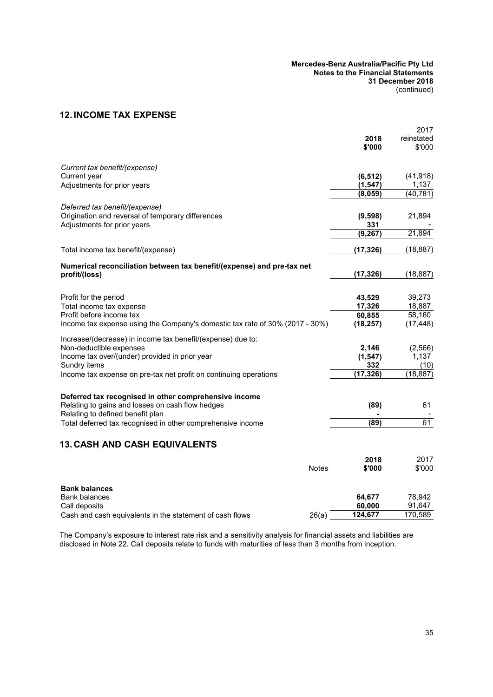# <span id="page-36-1"></span>**12. INCOME TAX EXPENSE**

|                                                                              |              |           | 2017       |
|------------------------------------------------------------------------------|--------------|-----------|------------|
|                                                                              |              | 2018      | reinstated |
|                                                                              |              | \$'000    | \$'000     |
| Current tax benefit/(expense)                                                |              |           |            |
| Current year                                                                 |              | (6, 512)  | (41, 918)  |
| Adjustments for prior years                                                  |              | (1, 547)  | 1,137      |
|                                                                              |              | (8,059)   | (40, 781)  |
| Deferred tax benefit/(expense)                                               |              |           |            |
| Origination and reversal of temporary differences                            |              | (9,598)   | 21,894     |
| Adjustments for prior years                                                  |              | 331       |            |
|                                                                              |              | (9, 267)  | 21,894     |
| Total income tax benefit/(expense)                                           |              | (17, 326) | (18, 887)  |
| Numerical reconciliation between tax benefit/(expense) and pre-tax net       |              |           |            |
| profit/(loss)                                                                |              | (17, 326) | (18, 887)  |
|                                                                              |              |           |            |
| Profit for the period                                                        |              | 43,529    | 39,273     |
| Total income tax expense                                                     |              | 17,326    | 18,887     |
| Profit before income tax                                                     |              | 60,855    | 58,160     |
| Income tax expense using the Company's domestic tax rate of 30% (2017 - 30%) |              | (18, 257) | (17, 448)  |
| Increase/(decrease) in income tax benefit/(expense) due to:                  |              |           |            |
| Non-deductible expenses                                                      |              | 2,146     | (2, 566)   |
| Income tax over/(under) provided in prior year                               |              | (1, 547)  | 1,137      |
| Sundry items                                                                 |              | 332       | (10)       |
| Income tax expense on pre-tax net profit on continuing operations            |              | (17, 326) | (18, 887)  |
| Deferred tax recognised in other comprehensive income                        |              |           |            |
| Relating to gains and losses on cash flow hedges                             |              | (89)      | 61         |
| Relating to defined benefit plan                                             |              |           |            |
| Total deferred tax recognised in other comprehensive income                  |              | (89)      | 61         |
|                                                                              |              |           |            |
| <b>13. CASH AND CASH EQUIVALENTS</b>                                         |              |           |            |
|                                                                              |              | 2018      | 2017       |
|                                                                              | <b>Notes</b> | \$'000    | \$'000     |
| <b>Bank balances</b>                                                         |              |           |            |
| Bank balances                                                                |              | 64,677    | 78,942     |
| Call deposits                                                                |              | 60,000    | 91,647     |
| Cash and cash equivalents in the statement of cash flows                     | 26(a)        | 124,677   | 170,589    |

<span id="page-36-0"></span>The Company's exposure to interest rate risk and a sensitivity analysis for financial assets and liabilities are disclosed in Note [22](#page-44-0). Call deposits relate to funds with maturities of less than 3 months from inception.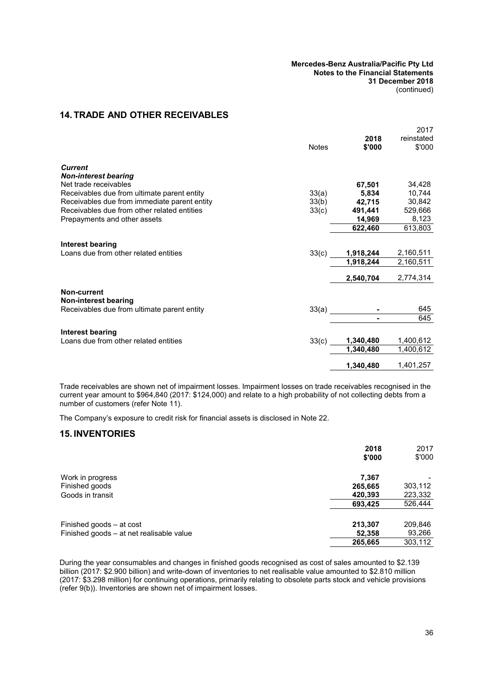# <span id="page-37-1"></span><span id="page-37-0"></span>**14. TRADE AND OTHER RECEIVABLES**

|                                              | <b>Notes</b> | 2018<br>\$'000    | 2017<br>reinstated<br>\$'000 |
|----------------------------------------------|--------------|-------------------|------------------------------|
| <b>Current</b>                               |              |                   |                              |
| <b>Non-interest bearing</b>                  |              |                   |                              |
| Net trade receivables                        |              | 67,501            | 34,428                       |
| Receivables due from ultimate parent entity  | 33(a)        | 5,834             | 10,744                       |
| Receivables due from immediate parent entity | 33(b)        | 42,715            | 30,842                       |
| Receivables due from other related entities  | 33(c)        | 491,441           | 529,666                      |
| Prepayments and other assets                 |              | 14,969            | 8,123                        |
|                                              |              | 622,460           | 613,803                      |
| <b>Interest bearing</b>                      |              |                   |                              |
| Loans due from other related entities        |              | $33(c)$ 1,918,244 | 2,160,511                    |
|                                              |              | 1,918,244         | 2,160,511                    |
|                                              |              | 2,540,704         | 2,774,314                    |
| Non-current                                  |              |                   |                              |
| Non-interest bearing                         |              |                   |                              |
| Receivables due from ultimate parent entity  | 33(a)        |                   | 645                          |
|                                              |              |                   | 645                          |
| <b>Interest bearing</b>                      |              |                   |                              |
| Loans due from other related entities        |              | $33(c)$ 1,340,480 | 1,400,612                    |
|                                              |              | 1,340,480         | 1,400,612                    |
|                                              |              | 1,340,480         | 1,401,257                    |

Trade receivables are shown net of impairment losses. Impairment losses on trade receivables recognised in the current year amount to \$964,840 (2017: \$124,000) and relate to a high probability of not collecting debts from a number of customers (refer Note [11\)](#page-35-0).

The Company's exposure to credit risk for financial assets is disclosed in Note [22](#page-44-0).

### **15. INVENTORIES**

|                                          | 2018<br>\$'000 | 2017<br>\$'000 |
|------------------------------------------|----------------|----------------|
| Work in progress                         | 7,367          |                |
| Finished goods                           | 265,665        | 303,112        |
| Goods in transit                         | 420,393        | 223,332        |
|                                          | 693,425        | 526,444        |
| Finished goods – at cost                 | 213,307        | 209,846        |
| Finished goods - at net realisable value | 52,358         | 93,266         |
|                                          | 265,665        | 303,112        |

During the year consumables and changes in finished goods recognised as cost of sales amounted to \$2.139 billion (2017: \$2.900 billion) and write-down of inventories to net realisable value amounted to \$2.810 million (2017: \$3.298 million) for continuing operations, primarily relating to obsolete parts stock and vehicle provisions (refer [9\(b\)\)](#page-34-0). Inventories are shown net of impairment losses.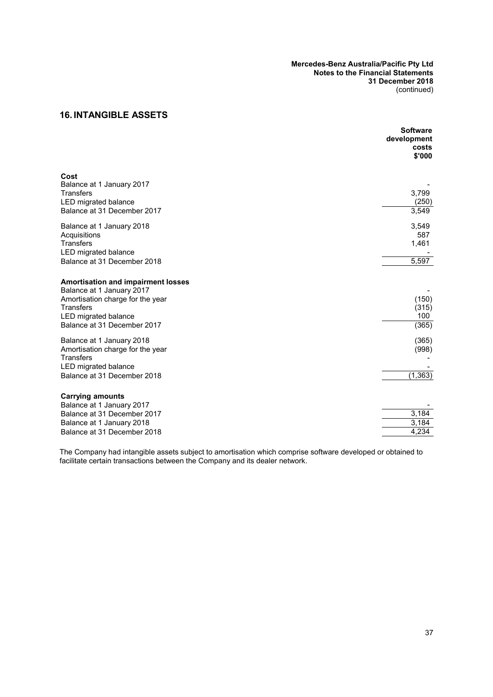# **16. INTANGIBLE ASSETS**

|                                                                        | <b>Software</b><br>development<br>costs<br>\$'000 |
|------------------------------------------------------------------------|---------------------------------------------------|
| Cost<br>Balance at 1 January 2017                                      |                                                   |
| <b>Transfers</b><br>LED migrated balance                               | 3,799<br>(250)                                    |
| Balance at 31 December 2017                                            | 3,549                                             |
| Balance at 1 January 2018                                              | 3,549                                             |
| Acquisitions<br><b>Transfers</b>                                       | 587                                               |
| LED migrated balance                                                   | 1,461                                             |
| Balance at 31 December 2018                                            | 5,597                                             |
| <b>Amortisation and impairment losses</b><br>Balance at 1 January 2017 |                                                   |
| Amortisation charge for the year                                       | (150)                                             |
| <b>Transfers</b>                                                       | (315)                                             |
| LED migrated balance<br>Balance at 31 December 2017                    | 100<br>(365)                                      |
|                                                                        |                                                   |
| Balance at 1 January 2018                                              | (365)                                             |
| Amortisation charge for the year<br><b>Transfers</b>                   | (998)                                             |
| LED migrated balance                                                   |                                                   |
| Balance at 31 December 2018                                            | (1, 363)                                          |
| <b>Carrying amounts</b>                                                |                                                   |
| Balance at 1 January 2017                                              |                                                   |
| Balance at 31 December 2017                                            | 3,184                                             |
| Balance at 1 January 2018<br>Balance at 31 December 2018               | 3,184<br>4,234                                    |
|                                                                        |                                                   |

The Company had intangible assets subject to amortisation which comprise software developed or obtained to facilitate certain transactions between the Company and its dealer network.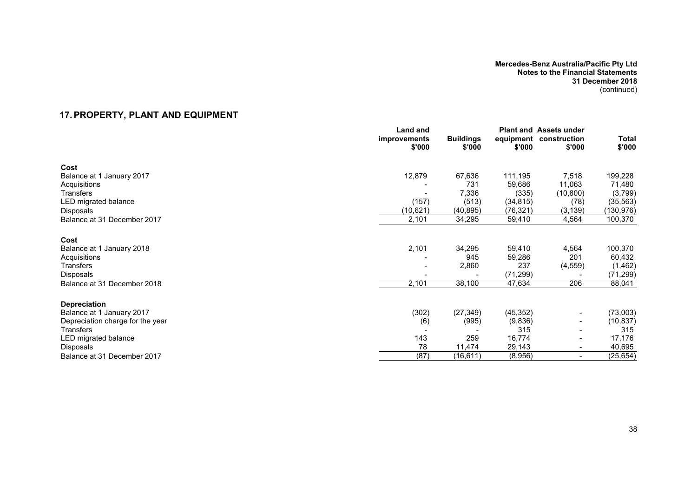# **17.PROPERTY, PLANT AND EQUIPMENT**

<span id="page-39-0"></span>

|                                  | Land and<br>improvements<br>\$'000 | <b>Buildings</b><br>\$'000 | \$'000    | <b>Plant and Assets under</b><br>equipment construction<br>\$'000 | Total<br>\$'000 |
|----------------------------------|------------------------------------|----------------------------|-----------|-------------------------------------------------------------------|-----------------|
| Cost                             |                                    |                            |           |                                                                   |                 |
| Balance at 1 January 2017        | 12,879                             | 67,636                     | 111,195   | 7,518                                                             | 199,228         |
| Acquisitions                     |                                    | 731                        | 59,686    | 11,063                                                            | 71,480          |
| Transfers                        |                                    | 7,336                      | (335)     | (10, 800)                                                         | (3,799)         |
| LED migrated balance             | (157)                              | (513)                      | (34, 815) | (78)                                                              | (35, 563)       |
| Disposals                        | (10, 621)                          | (40, 895)                  | (76, 321) | (3, 139)                                                          | (130, 976)      |
| Balance at 31 December 2017      | 2,101                              | 34,295                     | 59,410    | 4,564                                                             | 100,370         |
| Cost                             |                                    |                            |           |                                                                   |                 |
| Balance at 1 January 2018        | 2,101                              | 34,295                     | 59,410    | 4,564                                                             | 100,370         |
| Acquisitions                     |                                    | 945                        | 59,286    | 201                                                               | 60,432          |
| <b>Transfers</b>                 |                                    | 2,860                      | 237       | (4, 559)                                                          | (1, 462)        |
| Disposals                        |                                    |                            | (71, 299) |                                                                   | (71, 299)       |
| Balance at 31 December 2018      | 2,101                              | 38,100                     | 47,634    | 206                                                               | 88,041          |
| <b>Depreciation</b>              |                                    |                            |           |                                                                   |                 |
| Balance at 1 January 2017        | (302)                              | (27, 349)                  | (45, 352) | $\blacksquare$                                                    | (73,003)        |
| Depreciation charge for the year | (6)                                | (995)                      | (9,836)   |                                                                   | (10, 837)       |
| <b>Transfers</b>                 |                                    |                            | 315       |                                                                   | 315             |
| LED migrated balance             | 143                                | 259                        | 16,774    |                                                                   | 17,176          |
| Disposals                        | 78                                 | 11,474                     | 29,143    |                                                                   | 40,695          |
| Balance at 31 December 2017      | (87)                               | (16, 611)                  | (8,956)   | $\overline{\phantom{a}}$                                          | (25, 654)       |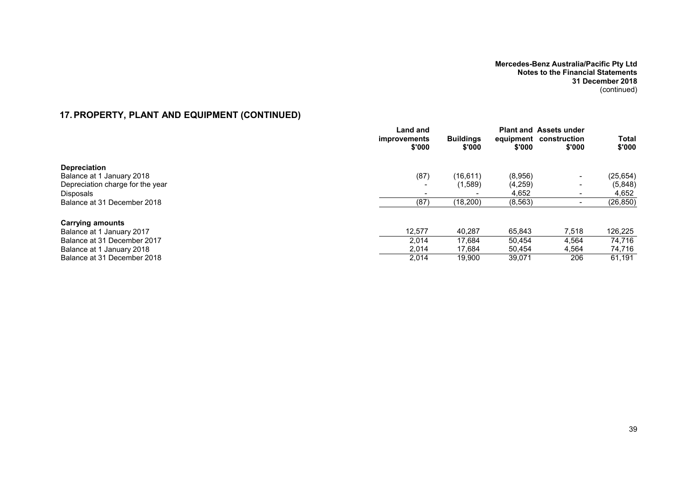# **17.PROPERTY, PLANT AND EQUIPMENT (CONTINUED)**

|                                  | Land and<br><i>improvements</i><br>\$'000 | <b>Buildings</b><br>\$'000 | \$'000   | <b>Plant and Assets under</b><br>equipment construction<br>\$'000 | Total<br>\$'000 |
|----------------------------------|-------------------------------------------|----------------------------|----------|-------------------------------------------------------------------|-----------------|
| <b>Depreciation</b>              |                                           |                            |          |                                                                   |                 |
| Balance at 1 January 2018        | (87)                                      | (16, 611)                  | (8,956)  | $\overline{\phantom{0}}$                                          | (25, 654)       |
| Depreciation charge for the year |                                           | (1,589)                    | (4, 259) | $\qquad \qquad \blacksquare$                                      | (5,848)         |
| <b>Disposals</b>                 |                                           |                            | 4.652    | $\,$                                                              | 4,652           |
| Balance at 31 December 2018      | (87)                                      | (18, 200)                  | (8, 563) |                                                                   | (26, 850)       |
| <b>Carrying amounts</b>          |                                           |                            |          |                                                                   |                 |
| Balance at 1 January 2017        | 12,577                                    | 40.287                     | 65,843   | 7,518                                                             | 126,225         |
| Balance at 31 December 2017      | 2,014                                     | 17.684                     | 50,454   | 4,564                                                             | 74.716          |
| Balance at 1 January 2018        | 2,014                                     | 17,684                     | 50,454   | 4,564                                                             | 74,716          |
| Balance at 31 December 2018      | 2,014                                     | 19.900                     | 39,071   | 206                                                               | 61,191          |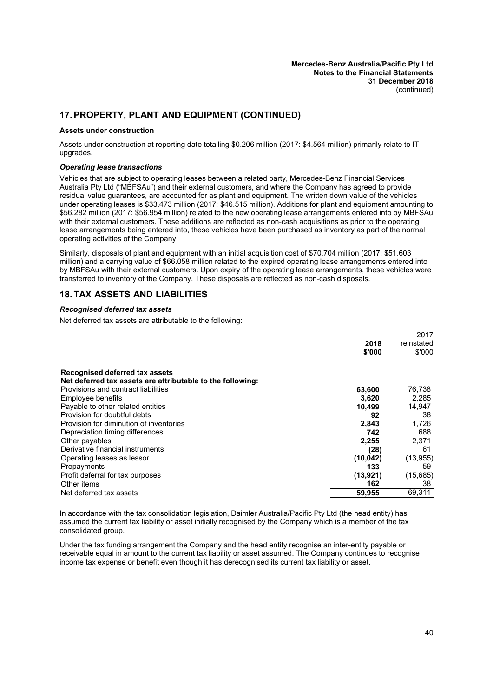# <span id="page-41-0"></span>**17.PROPERTY, PLANT AND EQUIPMENT (CONTINUED)**

#### **Assets under construction**

Assets under construction at reporting date totalling \$0.206 million (2017: \$4.564 million) primarily relate to IT upgrades.

#### *Operating lease transactions*

Vehicles that are subject to operating leases between a related party, Mercedes-Benz Financial Services Australia Pty Ltd ("MBFSAu") and their external customers, and where the Company has agreed to provide residual value guarantees, are accounted for as plant and equipment. The written down value of the vehicles under operating leases is \$33.473 million (2017: \$46.515 million). Additions for plant and equipment amounting to \$56.282 million (2017: \$56.954 million) related to the new operating lease arrangements entered into by MBFSAu with their external customers. These additions are reflected as non-cash acquisitions as prior to the operating lease arrangements being entered into, these vehicles have been purchased as inventory as part of the normal operating activities of the Company.

Similarly, disposals of plant and equipment with an initial acquisition cost of \$70.704 million (2017: \$51.603 million) and a carrying value of \$66.058 million related to the expired operating lease arrangements entered into by MBFSAu with their external customers. Upon expiry of the operating lease arrangements, these vehicles were transferred to inventory of the Company. These disposals are reflected as non-cash disposals.

### **18. TAX ASSETS AND LIABILITIES**

#### *Recognised deferred tax assets*

Net deferred tax assets are attributable to the following:

|                                                            |           | 2017       |
|------------------------------------------------------------|-----------|------------|
|                                                            | 2018      | reinstated |
|                                                            | \$'000    | \$'000     |
| Recognised deferred tax assets                             |           |            |
| Net deferred tax assets are attributable to the following: |           |            |
| Provisions and contract liabilities                        | 63,600    | 76,738     |
| Employee benefits                                          | 3.620     | 2,285      |
| Payable to other related entities                          | 10,499    | 14,947     |
| Provision for doubtful debts                               | 92        | 38         |
| Provision for diminution of inventories                    | 2,843     | 1,726      |
| Depreciation timing differences                            | 742       | 688        |
| Other payables                                             | 2,255     | 2,371      |
| Derivative financial instruments                           | (28)      | 61         |
| Operating leases as lessor                                 | (10, 042) | (13, 955)  |
| Prepayments                                                | 133       | 59         |
| Profit deferral for tax purposes                           | (13, 921) | (15,685)   |
| Other items                                                | 162       | 38         |
| Net deferred tax assets                                    | 59,955    | 69,311     |
|                                                            |           |            |

In accordance with the tax consolidation legislation, Daimler Australia/Pacific Pty Ltd (the head entity) has assumed the current tax liability or asset initially recognised by the Company which is a member of the tax consolidated group.

Under the tax funding arrangement the Company and the head entity recognise an inter-entity payable or receivable equal in amount to the current tax liability or asset assumed. The Company continues to recognise income tax expense or benefit even though it has derecognised its current tax liability or asset.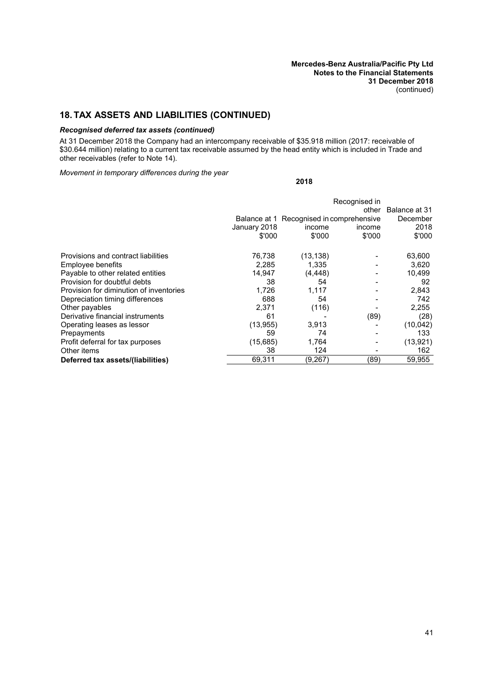# **18. TAX ASSETS AND LIABILITIES (CONTINUED)**

### *Recognised deferred tax assets (continued)*

At 31 December 2018 the Company had an intercompany receivable of \$35.918 million (2017: receivable of \$30.644 million) relating to a current tax receivable assumed by the head entity which is included in Trade and other receivables (refer to Note [14\)](#page-37-0).

**2018**

*Movement in temporary differences during the year*

|                                         |                        | Recognised in<br>other Balance at 31                         |                  |                            |  |
|-----------------------------------------|------------------------|--------------------------------------------------------------|------------------|----------------------------|--|
|                                         | January 2018<br>\$'000 | Balance at 1 Recognised in comprehensive<br>income<br>\$'000 | income<br>\$'000 | December<br>2018<br>\$'000 |  |
| Provisions and contract liabilities     | 76,738                 | (13, 138)                                                    |                  | 63,600                     |  |
| Employee benefits                       | 2,285                  | 1,335                                                        |                  | 3,620                      |  |
| Payable to other related entities       | 14,947                 | (4, 448)                                                     |                  | 10,499                     |  |
| Provision for doubtful debts            | 38                     | 54                                                           |                  | 92                         |  |
| Provision for diminution of inventories | 1,726                  | 1,117                                                        |                  | 2,843                      |  |
| Depreciation timing differences         | 688                    | 54                                                           |                  | 742                        |  |
| Other payables                          | 2,371                  | (116)                                                        |                  | 2,255                      |  |
| Derivative financial instruments        | 61                     |                                                              | (89)             | (28)                       |  |
| Operating leases as lessor              | (13, 955)              | 3,913                                                        |                  | (10, 042)                  |  |
| Prepayments                             | 59                     | 74                                                           |                  | 133                        |  |
| Profit deferral for tax purposes        | (15,685)               | 1,764                                                        |                  | (13, 921)                  |  |
| Other items                             | 38                     | 124                                                          |                  | 162                        |  |
| Deferred tax assets/(liabilities)       | 69.311                 | (9,267)                                                      | (89)             | 59,955                     |  |
|                                         |                        |                                                              |                  |                            |  |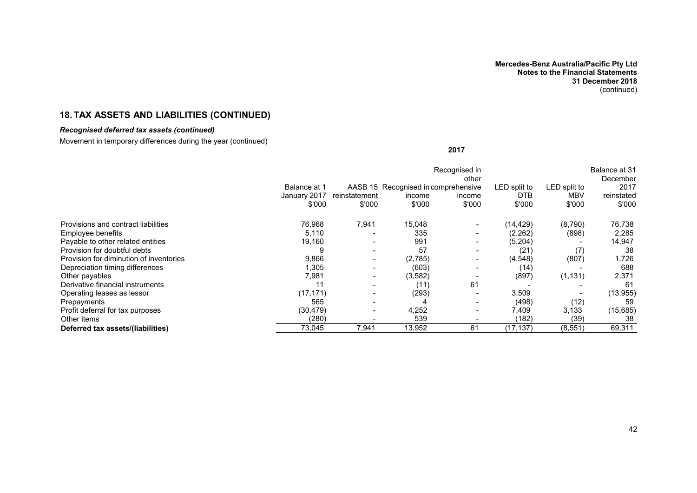# **18. TAX ASSETS AND LIABILITIES (CONTINUED)**

# *Recognised deferred tax assets (continued)*

Movement in temporary differences during the year (continued)

**2017**

|                                         |              |               |                                     | Recognised in<br>other |              |              | Balance at 31<br>December |
|-----------------------------------------|--------------|---------------|-------------------------------------|------------------------|--------------|--------------|---------------------------|
|                                         | Balance at 1 |               | AASB 15 Recognised in comprehensive |                        | LED split to | LED split to | 2017                      |
|                                         | January 2017 | reinstatement | income                              | income                 | <b>DTB</b>   | <b>MBV</b>   | reinstated                |
|                                         | \$'000       | \$'000        | \$'000                              | \$'000                 | \$'000       | \$'000       | \$'000                    |
| Provisions and contract liabilities     | 76,968       | 7,941         | 15,048                              |                        | (14,429)     | (8,790)      | 76,738                    |
| Employee benefits                       | 5,110        |               | 335                                 | $\blacksquare$         | (2,262)      | (898)        | 2,285                     |
| Payable to other related entities       | 19,160       |               | 991                                 |                        | (5,204)      |              | 14,947                    |
| Provision for doubtful debts            |              |               | 57                                  |                        | (21          | (7)          | 38                        |
| Provision for diminution of inventories | 9,866        |               | (2,785)                             |                        | (4, 548)     | (807)        | 1,726                     |
| Depreciation timing differences         | .305         |               | (603)                               |                        | (14)         |              | 688                       |
| Other payables                          | 7,981        |               | (3, 582)                            |                        | (897)        | (1, 131)     | 2,371                     |
| Derivative financial instruments        |              |               | (11)                                | 61                     |              |              | -61                       |
| Operating leases as lessor              | (17, 171)    |               | (293)                               |                        | 3,509        |              | (13, 955)                 |
| Prepayments                             | 565          |               |                                     |                        | (498)        | (12)         | 59                        |
| Profit deferral for tax purposes        | (30, 479)    |               | 4,252                               |                        | 7,409        | 3,133        | (15,685)                  |
| Other items                             | (280)        |               | 539                                 |                        | (182)        | (39)         | 38                        |
| Deferred tax assets/(liabilities)       | 73,045       | 7,941         | 13,952                              | 61                     | (17, 137)    | (8, 551)     | 69,311                    |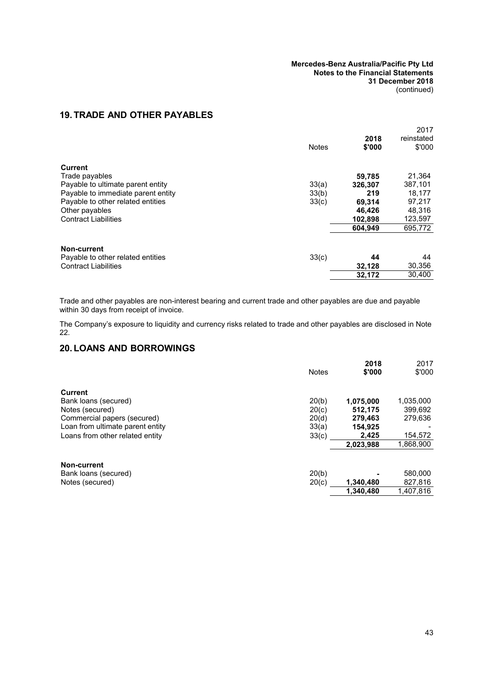# <span id="page-44-4"></span><span id="page-44-2"></span><span id="page-44-0"></span>**19. TRADE AND OTHER PAYABLES**

<span id="page-44-1"></span>

| 2018<br><b>Notes</b><br>\$'000                        | reinstated<br>\$'000 |
|-------------------------------------------------------|----------------------|
| <b>Current</b>                                        |                      |
| 59,785<br>Trade payables                              | 21,364               |
| 33(a)<br>Payable to ultimate parent entity<br>326.307 | 387,101              |
| Payable to immediate parent entity<br>33(b)<br>219    | 18,177               |
| Payable to other related entities<br>33(c)<br>69,314  | 97,217               |
| Other payables<br>46,426                              | 48,316               |
| <b>Contract Liabilities</b><br>102,898                | 123,597              |
| 604.949                                               | 695,772              |
| Non-current                                           |                      |
| 33(c)<br>Payable to other related entities<br>44      | 44                   |
| <b>Contract Liabilities</b><br>32.128                 | 30,356               |
| 32.172                                                | 30,400               |

Trade and other payables are non-interest bearing and current trade and other payables are due and payable within 30 days from receipt of invoice.

<span id="page-44-3"></span>The Company's exposure to liquidity and currency risks related to trade and other payables are disclosed in Note [22.](#page-44-0)

# **20. LOANS AND BORROWINGS**

| <b>Notes</b> | 2018<br>\$'000 | 2017<br>\$'000 |
|--------------|----------------|----------------|
|              |                |                |
| 20(b)        | 1,075,000      | 1,035,000      |
| 20(c)        | 512.175        | 399,692        |
| 20(d)        | 279,463        | 279,636        |
| 33(a)        | 154,925        |                |
|              | 2.425          | 154,572        |
|              | 2,023,988      | 1,868,900      |
|              |                |                |
| 20(b)        |                | 580,000        |
| 20(c)        | 1,340,480      | 827,816        |
|              | 1.340.480      | 1,407,816      |
|              | 33(c)          |                |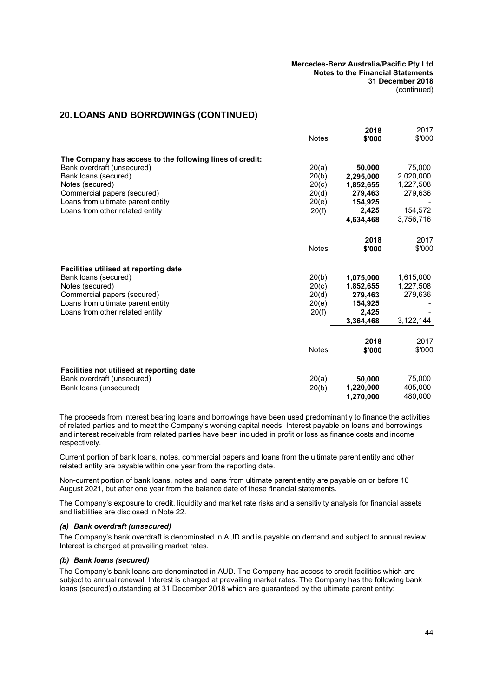### **20. LOANS AND BORROWINGS (CONTINUED)**

|                                                          | <b>Notes</b> | 2018<br>\$'000 | 2017<br>\$'000 |
|----------------------------------------------------------|--------------|----------------|----------------|
| The Company has access to the following lines of credit: |              |                |                |
| Bank overdraft (unsecured)                               | 20(a)        | 50,000         | 75,000         |
| Bank loans (secured)                                     | 20(b)        | 2,295,000      | 2,020,000      |
| Notes (secured)                                          | 20(c)        | 1,852,655      | 1,227,508      |
| Commercial papers (secured)                              | 20(d)        | 279,463        | 279,636        |
| Loans from ultimate parent entity                        | 20(e)        | 154,925        |                |
| Loans from other related entity                          | 20(f)        | 2,425          | 154,572        |
|                                                          |              | 4.634.468      | 3,756,716      |
|                                                          |              | 2018           | 2017           |
|                                                          | <b>Notes</b> | \$'000         | \$'000         |
| Facilities utilised at reporting date                    |              |                |                |
| Bank loans (secured)                                     | 20(b)        | 1,075,000      | 1,615,000      |
| Notes (secured)                                          | 20(c)        | 1,852,655      | 1,227,508      |
| Commercial papers (secured)                              | 20(d)        | 279,463        | 279,636        |
| Loans from ultimate parent entity                        | 20(e)        | 154,925        |                |
| Loans from other related entity                          | 20(f)        | 2,425          |                |
|                                                          |              | 3.364,468      | 3,122,144      |
|                                                          |              | 2018           | 2017           |
|                                                          | <b>Notes</b> | \$'000         | \$'000         |
| Facilities not utilised at reporting date                |              |                |                |
| Bank overdraft (unsecured)                               | 20(a)        | 50,000         | 75,000         |
| Bank loans (unsecured)                                   | 20(b)        | 1,220,000      | 405,000        |
|                                                          |              | 1,270,000      | 480,000        |
|                                                          |              |                |                |

The proceeds from interest bearing loans and borrowings have been used predominantly to finance the activities of related parties and to meet the Company's working capital needs. Interest payable on loans and borrowings and interest receivable from related parties have been included in profit or loss as finance costs and income respectively.

Current portion of bank loans, notes, commercial papers and loans from the ultimate parent entity and other related entity are payable within one year from the reporting date.

Non-current portion of bank loans, notes and loans from ultimate parent entity are payable on or before 10 August 2021, but after one year from the balance date of these financial statements.

<span id="page-45-1"></span>The Company's exposure to credit, liquidity and market rate risks and a sensitivity analysis for financial assets and liabilities are disclosed in Note [22](#page-44-0).

#### *(a) Bank overdraft (unsecured)*

<span id="page-45-0"></span>The Company's bank overdraft is denominated in AUD and is payable on demand and subject to annual review. Interest is charged at prevailing market rates.

#### *(b) Bank loans (secured)*

The Company's bank loans are denominated in AUD. The Company has access to credit facilities which are subject to annual renewal. Interest is charged at prevailing market rates. The Company has the following bank loans (secured) outstanding at 31 December 2018 which are guaranteed by the ultimate parent entity: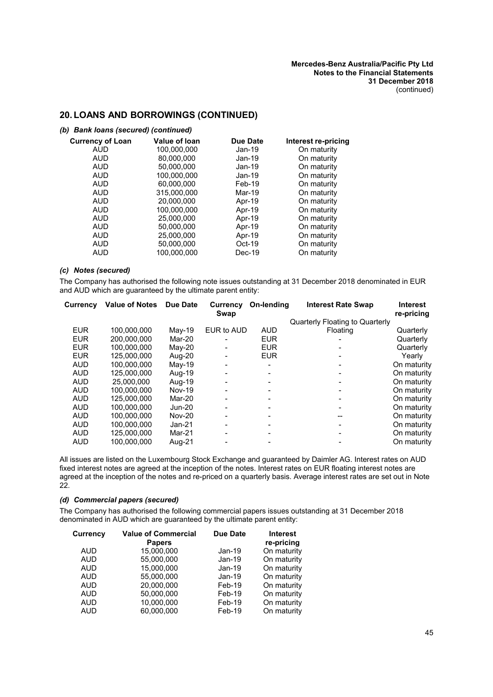### **20. LOANS AND BORROWINGS (CONTINUED)**

#### *(b) Bank loans (secured) (continued)*

| <b>Currency of Loan</b> | Value of Ioan | Due Date | Interest re-pricing |
|-------------------------|---------------|----------|---------------------|
| AUD                     | 100,000,000   | $Jan-19$ | On maturity         |
| <b>AUD</b>              | 80.000.000    | Jan-19   | On maturity         |
| <b>AUD</b>              | 50,000,000    | $Jan-19$ | On maturity         |
| <b>AUD</b>              | 100.000.000   | $Jan-19$ | On maturity         |
| <b>AUD</b>              | 60.000.000    | Feb-19   | On maturity         |
| <b>AUD</b>              | 315,000,000   | Mar-19   | On maturity         |
| AUD                     | 20,000,000    | Apr-19   | On maturity         |
| <b>AUD</b>              | 100,000,000   | Apr-19   | On maturity         |
| <b>AUD</b>              | 25,000,000    | Apr-19   | On maturity         |
| AUD                     | 50,000,000    | Apr-19   | On maturity         |
| <b>AUD</b>              | 25.000.000    | Apr-19   | On maturity         |
| <b>AUD</b>              | 50,000,000    | $Oct-19$ | On maturity         |
| <b>AUD</b>              | 100,000,000   | $Dec-19$ | On maturity         |
|                         |               |          |                     |

### <span id="page-46-0"></span>*(c) Notes (secured)*

The Company has authorised the following note issues outstanding at 31 December 2018 denominated in EUR and AUD which are guaranteed by the ultimate parent entity:

| Currency   | <b>Value of Notes</b> | Due Date      | Currency<br>Swap | On-lending | <b>Interest Rate Swap</b>       | <b>Interest</b><br>re-pricing |
|------------|-----------------------|---------------|------------------|------------|---------------------------------|-------------------------------|
|            |                       |               |                  |            | Quarterly Floating to Quarterly |                               |
| <b>EUR</b> | 100.000.000           | $May-19$      | EUR to AUD       | <b>AUD</b> | Floating                        | Quarterly                     |
| <b>EUR</b> | 200.000.000           | Mar-20        |                  | <b>EUR</b> |                                 | Quarterly                     |
| <b>EUR</b> | 100.000.000           | May-20        |                  | <b>EUR</b> |                                 | Quarterly                     |
| <b>EUR</b> | 125.000.000           | Aug-20        |                  | <b>EUR</b> |                                 | Yearly                        |
| <b>AUD</b> | 100.000.000           | May-19        |                  |            |                                 | On maturity                   |
| <b>AUD</b> | 125.000.000           | Aug-19        |                  |            |                                 | On maturity                   |
| <b>AUD</b> | 25.000.000            | Aug-19        |                  |            |                                 | On maturity                   |
| <b>AUD</b> | 100.000.000           | <b>Nov-19</b> |                  |            |                                 | On maturity                   |
| <b>AUD</b> | 125.000.000           | Mar-20        |                  |            |                                 | On maturity                   |
| <b>AUD</b> | 100,000,000           | Jun-20        |                  |            |                                 | On maturity                   |
| <b>AUD</b> | 100.000.000           | <b>Nov-20</b> |                  |            |                                 | On maturity                   |
| <b>AUD</b> | 100.000.000           | $Jan-21$      |                  |            |                                 | On maturity                   |
| <b>AUD</b> | 125,000,000           | Mar-21        |                  |            |                                 | On maturity                   |
| <b>AUD</b> | 100.000.000           | Aug-21        |                  |            |                                 | On maturity                   |

All issues are listed on the Luxembourg Stock Exchange and guaranteed by Daimler AG. Interest rates on AUD fixed interest notes are agreed at the inception of the notes. Interest rates on EUR floating interest notes are agreed at the inception of the notes and re-priced on a quarterly basis. Average interest rates are set out in Note [22.](#page-44-0)

### <span id="page-46-1"></span>*(d) Commercial papers (secured)*

The Company has authorised the following commercial papers issues outstanding at 31 December 2018 denominated in AUD which are guaranteed by the ultimate parent entity:

| Currencv   | <b>Value of Commercial</b><br><b>Papers</b> | <b>Due Date</b> | <b>Interest</b><br>re-pricing |
|------------|---------------------------------------------|-----------------|-------------------------------|
| <b>AUD</b> | 15,000,000                                  | Jan-19          | On maturity                   |
| <b>AUD</b> | 55,000,000                                  | $Jan-19$        | On maturity                   |
| <b>AUD</b> | 15.000.000                                  | $Jan-19$        | On maturity                   |
| <b>AUD</b> | 55,000,000                                  | $Jan-19$        | On maturity                   |
| <b>AUD</b> | 20,000,000                                  | Feb-19          | On maturity                   |
| <b>AUD</b> | 50,000,000                                  | Feb-19          | On maturity                   |
| <b>AUD</b> | 10.000.000                                  | Feb-19          | On maturity                   |
| <b>AUD</b> | 60.000.000                                  | Feb-19          | On maturity                   |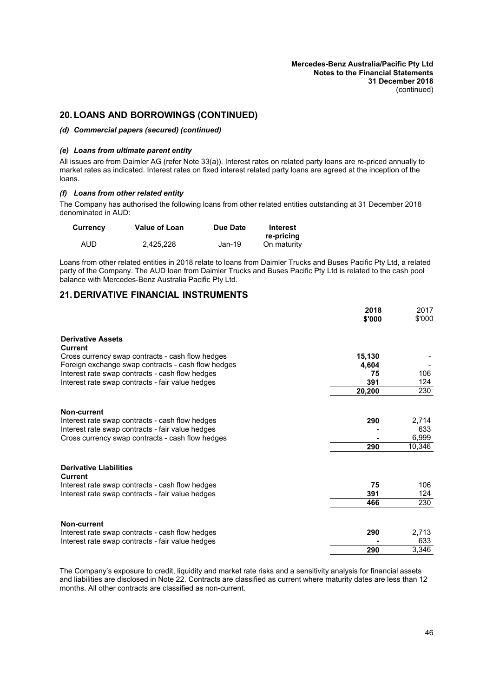# <span id="page-47-2"></span>**20. LOANS AND BORROWINGS (CONTINUED)**

#### <span id="page-47-0"></span>*(d) Commercial papers (secured) (continued)*

#### *(e) Loans from ultimate parent entity*

All issues are from Daimler AG (refer Note [33\(a\)\)](#page-69-0). Interest rates on related party loans are re-priced annually to market rates as indicated. Interest rates on fixed interest related party loans are agreed at the inception of the loans.

### <span id="page-47-1"></span>*(f) Loans from other related entity*

The Company has authorised the following loans from other related entities outstanding at 31 December 2018 denominated in AUD:

| Currency | <b>Value of Loan</b> | Due Date | Interest    |
|----------|----------------------|----------|-------------|
|          |                      |          | re-pricing  |
| AUD      | 2.425.228            | Jan-19   | On maturity |

<span id="page-47-3"></span>Loans from other related entities in 2018 relate to loans from Daimler Trucks and Buses Pacific Pty Ltd, a related party of the Company. The AUD loan from Daimler Trucks and Buses Pacific Pty Ltd is related to the cash pool balance with Mercedes-Benz Australia Pacific Pty Ltd.

# **21. DERIVATIVE FINANCIAL INSTRUMENTS**

|                                                                                                        | 2018<br>\$'000  | 2017<br>\$'000 |
|--------------------------------------------------------------------------------------------------------|-----------------|----------------|
|                                                                                                        |                 |                |
| <b>Derivative Assets</b><br>Current                                                                    |                 |                |
| Cross currency swap contracts - cash flow hedges<br>Foreign exchange swap contracts - cash flow hedges | 15,130<br>4,604 |                |
| Interest rate swap contracts - cash flow hedges                                                        | 75              | 106            |
| Interest rate swap contracts - fair value hedges                                                       | 391             | 124            |
|                                                                                                        | 20,200          | 230            |
| Non-current                                                                                            |                 |                |
| Interest rate swap contracts - cash flow hedges                                                        | 290             | 2,714          |
| Interest rate swap contracts - fair value hedges                                                       |                 | 633            |
| Cross currency swap contracts - cash flow hedges                                                       |                 | 6,999          |
|                                                                                                        | 290             | 10,346         |
| <b>Derivative Liabilities</b><br>Current                                                               |                 |                |
| Interest rate swap contracts - cash flow hedges                                                        | 75              | 106            |
| Interest rate swap contracts - fair value hedges                                                       | 391             | 124            |
|                                                                                                        | 466             | 230            |
| Non-current                                                                                            |                 |                |
| Interest rate swap contracts - cash flow hedges                                                        | 290             | 2,713          |
| Interest rate swap contracts - fair value hedges                                                       |                 | 633            |
|                                                                                                        | 290             | 3,346          |

The Company's exposure to credit, liquidity and market rate risks and a sensitivity analysis for financial assets and liabilities are disclosed in Note [22](#page-44-0). Contracts are classified as current where maturity dates are less than 12 months. All other contracts are classified as non-current.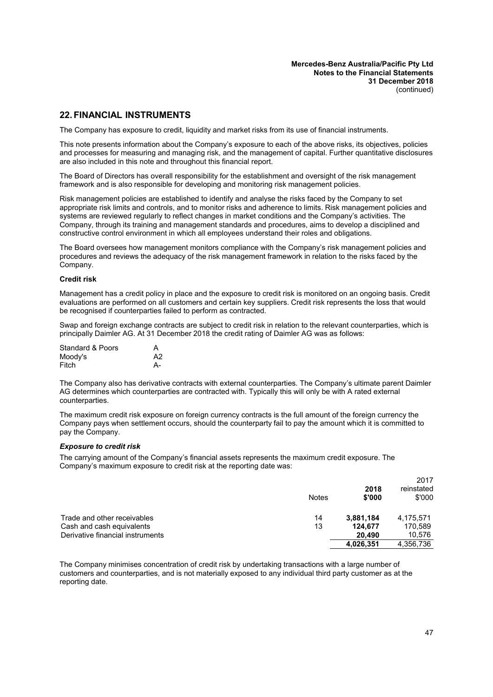### **22. FINANCIAL INSTRUMENTS**

The Company has exposure to credit, liquidity and market risks from its use of financial instruments.

This note presents information about the Company's exposure to each of the above risks, its objectives, policies and processes for measuring and managing risk, and the management of capital. Further quantitative disclosures are also included in this note and throughout this financial report.

The Board of Directors has overall responsibility for the establishment and oversight of the risk management framework and is also responsible for developing and monitoring risk management policies.

Risk management policies are established to identify and analyse the risks faced by the Company to set appropriate risk limits and controls, and to monitor risks and adherence to limits. Risk management policies and systems are reviewed regularly to reflect changes in market conditions and the Company's activities. The Company, through its training and management standards and procedures, aims to develop a disciplined and constructive control environment in which all employees understand their roles and obligations.

The Board oversees how management monitors compliance with the Company's risk management policies and procedures and reviews the adequacy of the risk management framework in relation to the risks faced by the Company.

#### **Credit risk**

Management has a credit policy in place and the exposure to credit risk is monitored on an ongoing basis. Credit evaluations are performed on all customers and certain key suppliers. Credit risk represents the loss that would be recognised if counterparties failed to perform as contracted.

Swap and foreign exchange contracts are subject to credit risk in relation to the relevant counterparties, which is principally Daimler AG. At 31 December 2018 the credit rating of Daimler AG was as follows:

| <b>Standard &amp; Poors</b> | А  |
|-----------------------------|----|
| Moody's                     | A2 |
| Fitch                       | А- |

The Company also has derivative contracts with external counterparties. The Company's ultimate parent Daimler AG determines which counterparties are contracted with. Typically this will only be with A rated external counterparties.

The maximum credit risk exposure on foreign currency contracts is the full amount of the foreign currency the Company pays when settlement occurs, should the counterparty fail to pay the amount which it is committed to pay the Company.

#### *Exposure to credit risk*

The carrying amount of the Company's financial assets represents the maximum credit exposure. The Company's maximum exposure to credit risk at the reporting date was:

|                                  | <b>Notes</b> | 2018<br>\$'000 | 2017<br>reinstated<br>\$'000 |
|----------------------------------|--------------|----------------|------------------------------|
| Trade and other receivables      | 14           | 3,881,184      | 4,175,571                    |
| Cash and cash equivalents        | 13           | 124,677        | 170,589                      |
| Derivative financial instruments |              | 20.490         | 10,576                       |
|                                  |              | 4.026.351      | 4,356,736                    |

The Company minimises concentration of credit risk by undertaking transactions with a large number of customers and counterparties, and is not materially exposed to any individual third party customer as at the reporting date.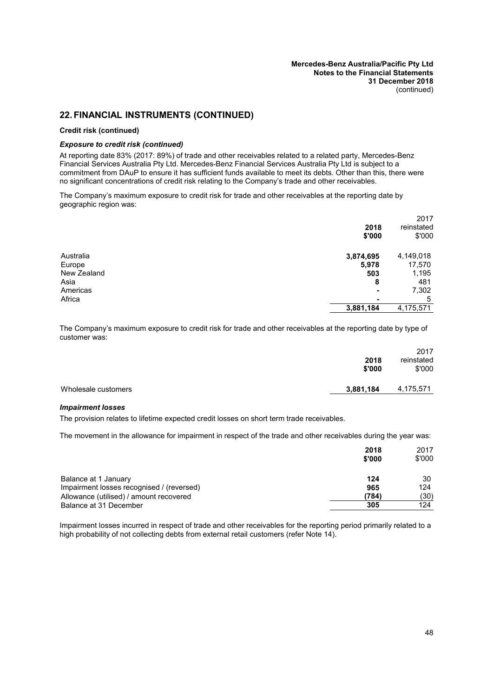#### **Credit risk (continued)**

#### *Exposure to credit risk (continued)*

At reporting date 83% (2017: 89%) of trade and other receivables related to a related party, Mercedes-Benz Financial Services Australia Pty Ltd. Mercedes-Benz Financial Services Australia Pty Ltd is subject to a commitment from DAuP to ensure it has sufficient funds available to meet its debts. Other than this, there were no significant concentrations of credit risk relating to the Company's trade and other receivables.

The Company's maximum exposure to credit risk for trade and other receivables at the reporting date by geographic region was:

|             | 2018<br>\$'000           | 2017<br>reinstated<br>\$'000 |
|-------------|--------------------------|------------------------------|
| Australia   | 3,874,695                | 4,149,018                    |
| Europe      | 5,978                    | 17,570                       |
| New Zealand | 503                      | 1,195                        |
| Asia        | 8                        | 481                          |
| Americas    | $\overline{\phantom{0}}$ | 7,302                        |
| Africa      | $\overline{\phantom{0}}$ | 5                            |
|             | 3,881,184                | 4,175,571                    |
|             |                          |                              |

The Company's maximum exposure to credit risk for trade and other receivables at the reporting date by type of customer was:

|                     | 2018<br>\$'000 | 2017<br>reinstated<br>\$'000 |
|---------------------|----------------|------------------------------|
| Wholesale customers | 3,881,184      | 4,175,571                    |

#### *Impairment losses*

The provision relates to lifetime expected credit losses on short term trade receivables.

The movement in the allowance for impairment in respect of the trade and other receivables during the year was:

|                                           | 2018<br>\$'000 | 2017<br>\$'000 |
|-------------------------------------------|----------------|----------------|
| Balance at 1 January                      | 124            | 30             |
| Impairment losses recognised / (reversed) | 965            | 124            |
| Allowance (utilised) / amount recovered   | (784)          | (30)           |
| Balance at 31 December                    | 305            | 124            |

Impairment losses incurred in respect of trade and other receivables for the reporting period primarily related to a high probability of not collecting debts from external retail customers (refer Note [14](#page-37-0)).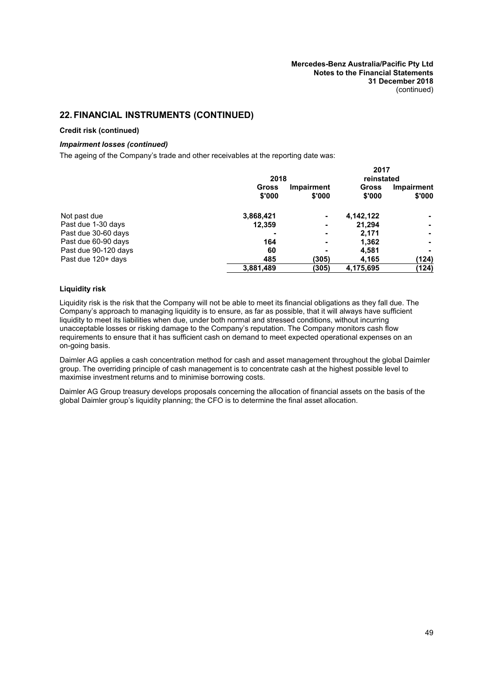#### **Credit risk (continued)**

#### *Impairment losses (continued)*

The ageing of the Company's trade and other receivables at the reporting date was:

|                      |                        |                      | 2017            |                      |  |
|----------------------|------------------------|----------------------|-----------------|----------------------|--|
|                      |                        | 2018                 |                 | reinstated           |  |
|                      | <b>Gross</b><br>\$'000 | Impairment<br>\$'000 | Gross<br>\$'000 | Impairment<br>\$'000 |  |
| Not past due         | 3,868,421              |                      | 4,142,122       |                      |  |
| Past due 1-30 days   | 12,359                 | ۰                    | 21.294          | $\blacksquare$       |  |
| Past due 30-60 days  |                        | -                    | 2,171           |                      |  |
| Past due 60-90 days  | 164                    | ۰                    | 1,362           |                      |  |
| Past due 90-120 days | 60                     | -                    | 4,581           |                      |  |
| Past due 120+ days   | 485                    | (305)                | 4,165           | (124)                |  |
|                      | 3,881,489              | (305)                | 4,175,695       | (124)                |  |

### **Liquidity risk**

Liquidity risk is the risk that the Company will not be able to meet its financial obligations as they fall due. The Company's approach to managing liquidity is to ensure, as far as possible, that it will always have sufficient liquidity to meet its liabilities when due, under both normal and stressed conditions, without incurring unacceptable losses or risking damage to the Company's reputation. The Company monitors cash flow requirements to ensure that it has sufficient cash on demand to meet expected operational expenses on an on-going basis.

Daimler AG applies a cash concentration method for cash and asset management throughout the global Daimler group. The overriding principle of cash management is to concentrate cash at the highest possible level to maximise investment returns and to minimise borrowing costs.

Daimler AG Group treasury develops proposals concerning the allocation of financial assets on the basis of the global Daimler group's liquidity planning; the CFO is to determine the final asset allocation.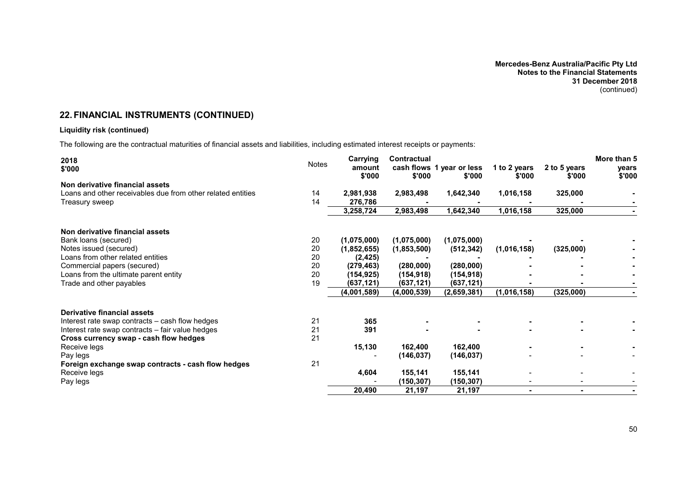### **Liquidity risk (continued)**

The following are the contractual maturities of financial assets and liabilities, including estimated interest receipts or payments:

| 2018<br>\$'000                                              | Notes | Carrying<br>amount<br>\$'000 | Contractual<br>\$'000 | cash flows 1 year or less<br>\$'000 | 1 to 2 years<br>\$'000 | 2 to 5 years<br>\$'000 | More than 5<br>years<br>\$'000 |
|-------------------------------------------------------------|-------|------------------------------|-----------------------|-------------------------------------|------------------------|------------------------|--------------------------------|
| Non derivative financial assets                             |       |                              |                       |                                     |                        |                        |                                |
| Loans and other receivables due from other related entities | 14    | 2,981,938                    | 2,983,498             | 1,642,340                           | 1,016,158              | 325,000                |                                |
| Treasury sweep                                              | 14    | 276,786                      |                       |                                     |                        |                        |                                |
|                                                             |       | 3,258,724                    | 2,983,498             | 1,642,340                           | 1,016,158              | 325,000                |                                |
| Non derivative financial assets                             |       |                              |                       |                                     |                        |                        |                                |
| Bank loans (secured)                                        | 20    | (1,075,000)                  | (1,075,000)           | (1,075,000)                         |                        |                        |                                |
| Notes issued (secured)                                      | 20    | (1,852,655)                  | (1,853,500)           | (512, 342)                          | (1,016,158)            | (325,000)              |                                |
| Loans from other related entities                           | 20    | (2, 425)                     |                       |                                     |                        |                        |                                |
| Commercial papers (secured)                                 | 20    | (279, 463)                   | (280,000)             | (280,000)                           |                        |                        |                                |
| Loans from the ultimate parent entity                       | 20    | (154, 925)                   | (154, 918)            | (154, 918)                          |                        |                        |                                |
| Trade and other payables                                    | 19    | (637, 121)                   | (637, 121)            | (637,121)                           |                        |                        |                                |
|                                                             |       | (4,001,589)                  | (4,000,539)           | (2,659,381)                         | (1,016,158)            | (325,000)              |                                |
| Derivative financial assets                                 |       |                              |                       |                                     |                        |                        |                                |
| Interest rate swap contracts – cash flow hedges             | 21    | 365                          |                       |                                     |                        |                        |                                |
| Interest rate swap contracts - fair value hedges            | 21    | 391                          |                       |                                     |                        |                        |                                |
| Cross currency swap - cash flow hedges                      | 21    |                              |                       |                                     |                        |                        |                                |
| Receive legs                                                |       | 15,130                       | 162,400               | 162,400                             |                        |                        |                                |
| Pay legs                                                    |       |                              | (146, 037)            | (146, 037)                          |                        |                        |                                |
| Foreign exchange swap contracts - cash flow hedges          | 21    |                              |                       |                                     |                        |                        |                                |
| Receive legs                                                |       | 4,604                        | 155,141               | 155,141                             |                        |                        |                                |
| Pay legs                                                    |       |                              | (150,307)             | (150,307)                           |                        |                        |                                |
|                                                             |       | 20,490                       | 21,197                | 21,197                              | $\blacksquare$         | $\blacksquare$         |                                |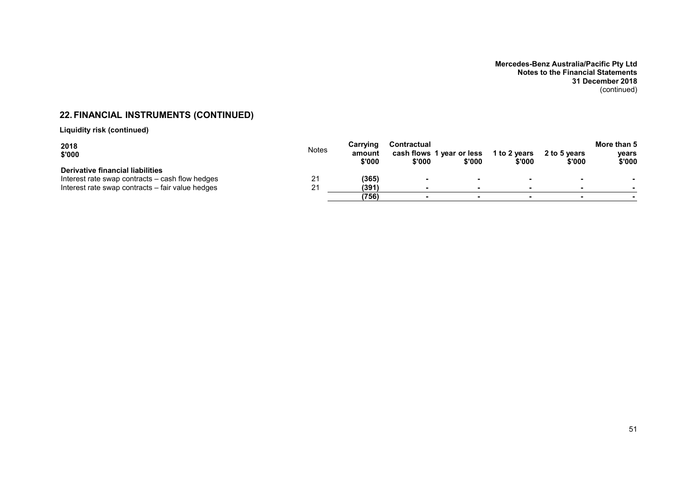**Liquidity risk (continued)**

| 2018<br>\$'000                                                                      | <b>Notes</b> | Carrving<br>amount<br>\$'000 | <b>Contractual</b><br>\$'000 | cash flows 1 year or less<br>\$'000 | 1 to 2 years<br>\$'000 | 2 to 5 years<br>\$'000 | More than 5<br>vears<br>\$'000 |
|-------------------------------------------------------------------------------------|--------------|------------------------------|------------------------------|-------------------------------------|------------------------|------------------------|--------------------------------|
| Derivative financial liabilities<br>Interest rate swap contracts – cash flow hedges | 21           | (365)                        |                              |                                     |                        |                        |                                |
| Interest rate swap contracts – fair value hedges                                    | ว 1          | (391)                        |                              | $\overline{\phantom{a}}$            |                        | $\sim$                 |                                |
|                                                                                     |              | (756)                        |                              |                                     |                        |                        |                                |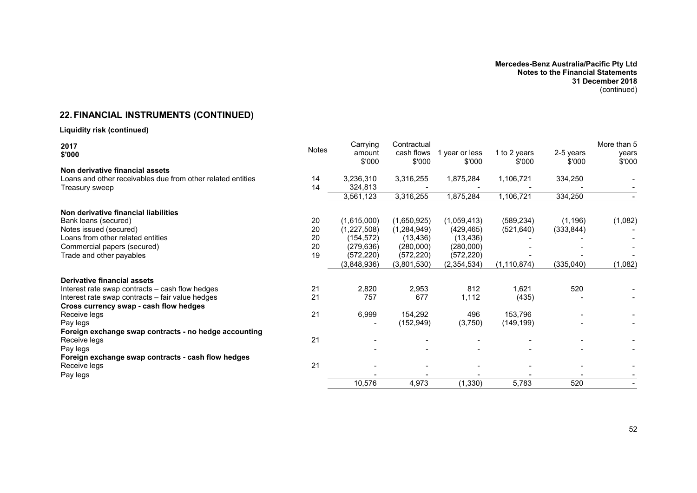# **22. FINANCIAL INSTRUMENTS (CONTINUED)**

# **Liquidity risk (continued)**

| 2017<br>\$'000                                              | <b>Notes</b> | Carrying<br>amount<br>\$'000 | Contractual<br>cash flows<br>\$'000 | year or less<br>\$'000 | 1 to 2 years<br>\$'000 | 2-5 years<br>\$'000 | More than 5<br>years<br>\$'000 |
|-------------------------------------------------------------|--------------|------------------------------|-------------------------------------|------------------------|------------------------|---------------------|--------------------------------|
| Non derivative financial assets                             |              |                              |                                     |                        |                        |                     |                                |
| Loans and other receivables due from other related entities | 14           | 3,236,310                    | 3,316,255                           | 1,875,284              | 1,106,721              | 334,250             |                                |
| Treasury sweep                                              | 14           | 324,813                      |                                     |                        |                        |                     |                                |
|                                                             |              | 3,561,123                    | 3,316,255                           | 1,875,284              | 1,106,721              | 334,250             |                                |
| Non derivative financial liabilities                        |              |                              |                                     |                        |                        |                     |                                |
| Bank loans (secured)                                        | 20           | (1,615,000)                  | (1,650,925)                         | (1,059,413)            | (589, 234)             | (1, 196)            | (1,082)                        |
| Notes issued (secured)                                      | 20           | (1,227,508)                  | (1,284,949)                         | (429, 465)             | (521, 640)             | (333, 844)          |                                |
| Loans from other related entities                           | 20           | (154, 572)                   | (13, 436)                           | (13, 436)              |                        |                     |                                |
| Commercial papers (secured)                                 | 20           | (279, 636)                   | (280,000)                           | (280,000)              |                        |                     |                                |
| Trade and other payables                                    | 19           | (572, 220)                   | (572, 220)                          | (572, 220)             |                        |                     |                                |
|                                                             |              | (3,848,936)                  | (3,801,530)                         | (2, 354, 534)          | (1, 110, 874)          | (335, 040)          | (1,082)                        |
| Derivative financial assets                                 |              |                              |                                     |                        |                        |                     |                                |
| Interest rate swap contracts – cash flow hedges             | 21           | 2,820                        | 2,953                               | 812                    | 1,621                  | 520                 |                                |
| Interest rate swap contracts - fair value hedges            | 21           | 757                          | 677                                 | 1,112                  | (435)                  |                     |                                |
| Cross currency swap - cash flow hedges                      |              |                              |                                     |                        |                        |                     |                                |
| Receive legs                                                | 21           | 6,999                        | 154,292                             | 496                    | 153,796                |                     |                                |
| Pay legs                                                    |              |                              | (152, 949)                          | (3,750)                | (149, 199)             |                     |                                |
| Foreign exchange swap contracts - no hedge accounting       |              |                              |                                     |                        |                        |                     |                                |
| Receive legs                                                | 21           |                              |                                     |                        |                        |                     |                                |
| Pay legs                                                    |              |                              |                                     |                        |                        |                     |                                |
| Foreign exchange swap contracts - cash flow hedges          |              |                              |                                     |                        |                        |                     |                                |
| Receive legs                                                | 21           |                              |                                     |                        |                        |                     |                                |
| Pay legs                                                    |              |                              |                                     |                        |                        |                     |                                |
|                                                             |              | 10,576                       | 4,973                               | (1, 330)               | 5,783                  | 520                 |                                |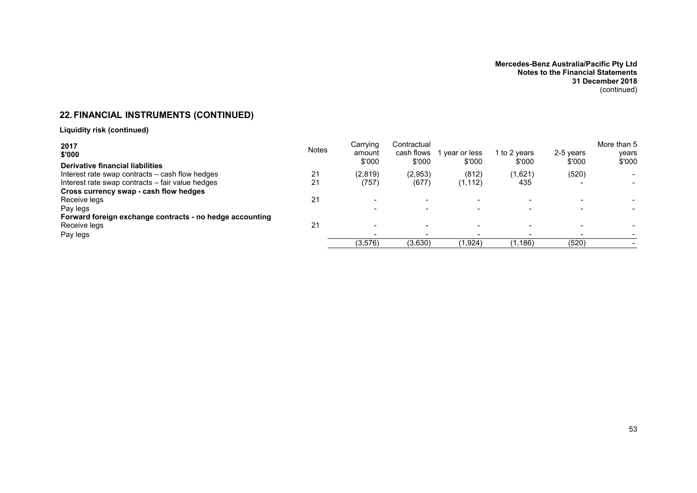**Liquidity risk (continued)**

| 2017<br>\$'000                                           | <b>Notes</b> | Carrying<br>amount<br>\$'000 | Contractual<br>cash flows<br>\$'000 | year or less<br>\$'000 | I to 2 years<br>\$'000 | 2-5 vears<br>\$'000 | More than 5<br>years<br>\$'000 |
|----------------------------------------------------------|--------------|------------------------------|-------------------------------------|------------------------|------------------------|---------------------|--------------------------------|
| <b>Derivative financial liabilities</b>                  |              |                              |                                     |                        |                        |                     |                                |
| Interest rate swap contracts – cash flow hedges          | 21           | (2,819)                      | (2,953)                             | (812)                  | (1,621)                | (520)               |                                |
| Interest rate swap contracts – fair value hedges         | 21           | (757)                        | (677)                               | (1, 112)               | 435                    |                     |                                |
| Cross currency swap - cash flow hedges                   |              |                              |                                     |                        |                        |                     |                                |
| Receive legs                                             | 21           |                              | $\overline{\phantom{0}}$            |                        |                        |                     |                                |
| Pay legs                                                 |              |                              | $\overline{\phantom{0}}$            |                        |                        |                     |                                |
| Forward foreign exchange contracts - no hedge accounting |              |                              |                                     |                        |                        |                     |                                |
| Receive legs                                             | 21           |                              |                                     |                        |                        |                     |                                |
| Pay legs                                                 |              |                              |                                     |                        |                        |                     |                                |
|                                                          |              | (3,576)                      | (3,630)                             | (1,924)                | (1,186)                | (520)               |                                |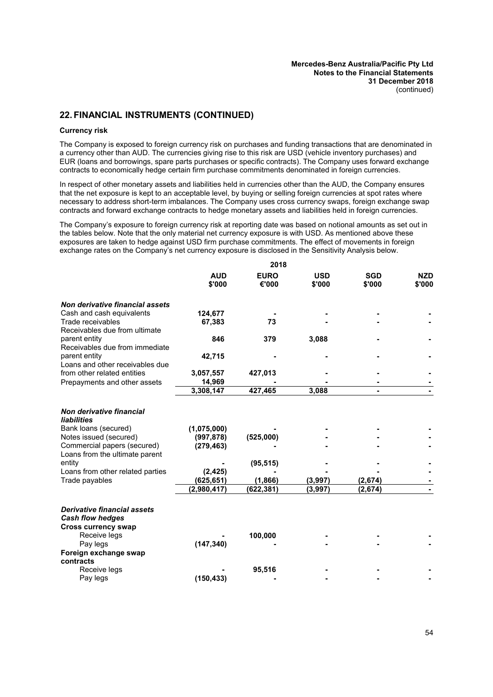#### **Currency risk**

The Company is exposed to foreign currency risk on purchases and funding transactions that are denominated in a currency other than AUD. The currencies giving rise to this risk are USD (vehicle inventory purchases) and EUR (loans and borrowings, spare parts purchases or specific contracts). The Company uses forward exchange contracts to economically hedge certain firm purchase commitments denominated in foreign currencies.

In respect of other monetary assets and liabilities held in currencies other than the AUD, the Company ensures that the net exposure is kept to an acceptable level, by buying or selling foreign currencies at spot rates where necessary to address short-term imbalances. The Company uses cross currency swaps, foreign exchange swap contracts and forward exchange contracts to hedge monetary assets and liabilities held in foreign currencies.

The Company's exposure to foreign currency risk at reporting date was based on notional amounts as set out in the tables below. Note that the only material net currency exposure is with USD. As mentioned above these exposures are taken to hedge against USD firm purchase commitments. The effect of movements in foreign exchange rates on the Company's net currency exposure is disclosed in the Sensitivity Analysis below.

**2018**

|                                                                                             |                      | 20 I O               |                      |                      |                      |
|---------------------------------------------------------------------------------------------|----------------------|----------------------|----------------------|----------------------|----------------------|
|                                                                                             | <b>AUD</b><br>\$'000 | <b>EURO</b><br>€'000 | <b>USD</b><br>\$'000 | <b>SGD</b><br>\$'000 | <b>NZD</b><br>\$'000 |
| Non derivative financial assets                                                             |                      |                      |                      |                      |                      |
| Cash and cash equivalents                                                                   | 124,677              |                      |                      |                      |                      |
| Trade receivables<br>Receivables due from ultimate                                          | 67,383               | 73                   |                      |                      |                      |
| parent entity<br>Receivables due from immediate                                             | 846                  | 379                  | 3,088                |                      |                      |
| parent entity<br>Loans and other receivables due                                            | 42,715               |                      |                      |                      |                      |
| from other related entities                                                                 | 3,057,557            | 427,013              |                      |                      |                      |
| Prepayments and other assets                                                                | 14,969               |                      |                      |                      |                      |
|                                                                                             | 3,308,147            | 427,465              | 3,088                |                      |                      |
| Non derivative financial<br><b>liabilities</b>                                              |                      |                      |                      |                      |                      |
| Bank loans (secured)                                                                        | (1,075,000)          |                      |                      |                      |                      |
| Notes issued (secured)                                                                      | (997, 878)           | (525,000)            |                      |                      |                      |
| Commercial papers (secured)<br>Loans from the ultimate parent                               | (279, 463)           |                      |                      |                      |                      |
| entity                                                                                      |                      | (95, 515)            |                      |                      |                      |
| Loans from other related parties                                                            | (2, 425)             |                      |                      |                      |                      |
| Trade payables                                                                              | (625,651)            | (1,866)              | (3,997)              | (2,674)              |                      |
|                                                                                             | (2,980,417)          | (622,381)            | (3,997)              | (2,674)              |                      |
| <b>Derivative financial assets</b><br><b>Cash flow hedges</b><br><b>Cross currency swap</b> |                      |                      |                      |                      |                      |
| Receive legs                                                                                |                      | 100,000              |                      |                      |                      |
| Pay legs<br>Foreign exchange swap                                                           | (147, 340)           |                      |                      |                      |                      |
| contracts<br>Receive legs                                                                   |                      |                      |                      |                      |                      |
| Pay legs                                                                                    | (150, 433)           | 95,516               |                      |                      |                      |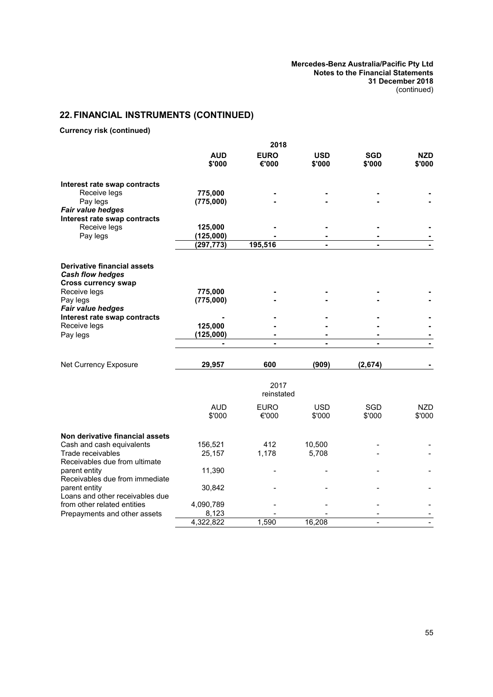**Currency risk (continued)**

|                                                  |                      | 2018                 |                      |                      |                      |
|--------------------------------------------------|----------------------|----------------------|----------------------|----------------------|----------------------|
|                                                  | <b>AUD</b><br>\$'000 | <b>EURO</b><br>€'000 | <b>USD</b><br>\$'000 | <b>SGD</b><br>\$'000 | <b>NZD</b><br>\$'000 |
| Interest rate swap contracts                     |                      |                      |                      |                      |                      |
| Receive legs                                     | 775,000              |                      |                      |                      |                      |
| Pay legs                                         | (775,000)            |                      |                      |                      |                      |
| <b>Fair value hedges</b>                         |                      |                      |                      |                      |                      |
| Interest rate swap contracts                     |                      |                      |                      |                      |                      |
| Receive legs                                     | 125,000              |                      |                      |                      |                      |
| Pay legs                                         | (125,000)            |                      |                      |                      |                      |
|                                                  | (297, 773)           | 195,516              |                      |                      |                      |
| <b>Derivative financial assets</b>               |                      |                      |                      |                      |                      |
| <b>Cash flow hedges</b>                          |                      |                      |                      |                      |                      |
| <b>Cross currency swap</b>                       |                      |                      |                      |                      |                      |
| Receive legs                                     | 775,000              |                      |                      |                      |                      |
| Pay legs<br><b>Fair value hedges</b>             | (775,000)            |                      |                      |                      |                      |
| Interest rate swap contracts                     |                      |                      |                      |                      |                      |
| Receive legs                                     | 125,000              |                      |                      |                      |                      |
| Pay legs                                         | (125,000)            |                      |                      |                      |                      |
|                                                  |                      | $\overline{a}$       |                      | $\blacksquare$       |                      |
| Net Currency Exposure                            | 29,957               | 600                  | (909)                | (2,674)              |                      |
|                                                  |                      | 2017<br>reinstated   |                      |                      |                      |
|                                                  |                      |                      |                      |                      |                      |
|                                                  | <b>AUD</b>           | <b>EURO</b>          | <b>USD</b>           | SGD                  | <b>NZD</b>           |
|                                                  | \$'000               | €'000                | \$'000               | \$'000               | \$'000               |
| Non derivative financial assets                  |                      |                      |                      |                      |                      |
| Cash and cash equivalents                        | 156,521              | 412                  | 10,500               |                      |                      |
| Trade receivables                                | 25,157               | 1,178                | 5,708                |                      |                      |
| Receivables due from ultimate                    |                      |                      |                      |                      |                      |
| parent entity                                    | 11,390               |                      |                      |                      |                      |
| Receivables due from immediate                   |                      |                      |                      |                      |                      |
| parent entity<br>Loans and other receivables due | 30,842               |                      |                      |                      |                      |
| from other related entities                      | 4,090,789            |                      |                      |                      |                      |
| Prepayments and other assets                     | 8,123                |                      |                      |                      |                      |
|                                                  | 4,322,822            | 1,590                | 16,208               |                      |                      |
|                                                  |                      |                      |                      |                      |                      |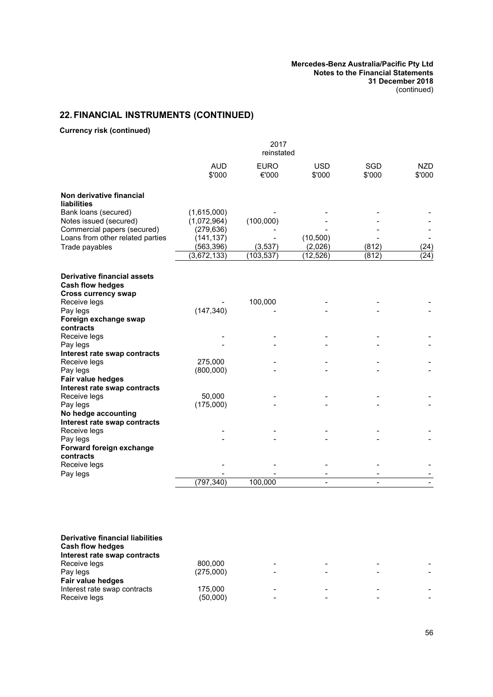**Currency risk (continued)**

|                                                | 2017<br>reinstated   |                      |                      |               |                      |
|------------------------------------------------|----------------------|----------------------|----------------------|---------------|----------------------|
|                                                | <b>AUD</b><br>\$'000 | <b>EURO</b><br>€'000 | <b>USD</b><br>\$'000 | SGD<br>\$'000 | <b>NZD</b><br>\$'000 |
| Non derivative financial<br><b>liabilities</b> |                      |                      |                      |               |                      |
| Bank loans (secured)                           | (1,615,000)          |                      |                      |               |                      |
| Notes issued (secured)                         | (1,072,964)          | (100,000)            |                      |               |                      |
| Commercial papers (secured)                    | (279, 636)           |                      |                      |               |                      |
| Loans from other related parties               | (141, 137)           |                      | (10, 500)            |               |                      |
| Trade payables                                 | (563, 396)           | (3, 537)             | (2,026)              | (812)         | (24)                 |
|                                                | (3,672,133)          | (103, 537)           | (12, 526)            | (812)         | (24)                 |
| <b>Derivative financial assets</b>             |                      |                      |                      |               |                      |
| <b>Cash flow hedges</b>                        |                      |                      |                      |               |                      |
| <b>Cross currency swap</b>                     |                      |                      |                      |               |                      |
| Receive legs                                   |                      | 100,000              |                      |               |                      |
| Pay legs                                       | (147, 340)           |                      |                      |               |                      |
| Foreign exchange swap                          |                      |                      |                      |               |                      |
| contracts                                      |                      |                      |                      |               |                      |
| Receive legs                                   |                      |                      |                      |               |                      |
| Pay legs                                       |                      |                      |                      |               |                      |
| Interest rate swap contracts                   |                      |                      |                      |               |                      |
| Receive legs                                   | 275,000              |                      |                      |               |                      |
| Pay legs                                       | (800,000)            |                      |                      |               |                      |
| Fair value hedges                              |                      |                      |                      |               |                      |
| Interest rate swap contracts                   |                      |                      |                      |               |                      |
| Receive legs                                   | 50,000               |                      |                      |               |                      |
| Pay legs                                       | (175,000)            |                      |                      |               |                      |
| No hedge accounting                            |                      |                      |                      |               |                      |
| Interest rate swap contracts<br>Receive legs   |                      |                      |                      |               |                      |
| Pay legs                                       |                      |                      |                      |               |                      |
| Forward foreign exchange                       |                      |                      |                      |               |                      |
| contracts                                      |                      |                      |                      |               |                      |
| Receive legs                                   |                      |                      |                      |               |                      |
| Pay legs                                       |                      |                      |                      |               |                      |
|                                                | (797, 340)           | 100,000              |                      |               |                      |

| Derivative financial liabilities<br><b>Cash flow hedges</b><br>Interest rate swap contracts |           |                          |  |
|---------------------------------------------------------------------------------------------|-----------|--------------------------|--|
| Receive legs                                                                                | 800.000   | $\,$                     |  |
| Pay legs                                                                                    | (275,000) | $\,$                     |  |
| Fair value hedges                                                                           |           |                          |  |
| Interest rate swap contracts                                                                | 175,000   | $\overline{\phantom{0}}$ |  |
| Receive legs                                                                                | (50,000)  |                          |  |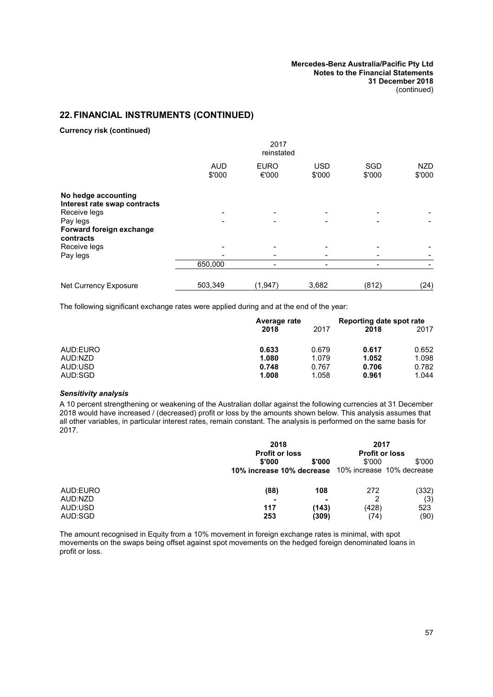**Currency risk (continued)**

|                                                     | 2017<br>reinstated   |                      |                      |                          |               |  |
|-----------------------------------------------------|----------------------|----------------------|----------------------|--------------------------|---------------|--|
|                                                     | <b>AUD</b><br>\$'000 | <b>EURO</b><br>€'000 | <b>USD</b><br>\$'000 | <b>SGD</b><br>\$'000     | NZD<br>\$'000 |  |
| No hedge accounting<br>Interest rate swap contracts |                      |                      |                      |                          |               |  |
| Receive legs                                        |                      |                      |                      |                          |               |  |
| Pay legs<br>Forward foreign exchange<br>contracts   |                      |                      |                      |                          |               |  |
| Receive legs                                        |                      |                      |                      |                          |               |  |
| Pay legs                                            |                      |                      |                      |                          |               |  |
|                                                     | 650,000              |                      |                      | $\overline{\phantom{0}}$ |               |  |
| Net Currency Exposure                               | 503,349              | (1,947)              | 3,682                | (812)                    | (24)          |  |

The following significant exchange rates were applied during and at the end of the year:

|          | Average rate |       | Reporting date spot rate |       |
|----------|--------------|-------|--------------------------|-------|
|          | 2018         | 2017  | 2018                     | 2017  |
| AUD:EURO | 0.633        | 0.679 | 0.617                    | 0.652 |
| AUD:NZD  | 1.080        | 1.079 | 1.052                    | 1.098 |
| AUD:USD  | 0.748        | 0.767 | 0.706                    | 0.782 |
| AUD:SGD  | 1.008        | 1.058 | 0.961                    | 1.044 |

### *Sensitivity analysis*

A 10 percent strengthening or weakening of the Australian dollar against the following currencies at 31 December 2018 would have increased / (decreased) profit or loss by the amounts shown below. This analysis assumes that all other variables, in particular interest rates, remain constant. The analysis is performed on the same basis for 2017.

|                     | 2018<br><b>Profit or loss</b>                       |            | 2017<br><b>Profit or loss</b> |            |  |
|---------------------|-----------------------------------------------------|------------|-------------------------------|------------|--|
|                     | \$'000                                              | \$'000     | \$'000                        | \$'000     |  |
|                     | 10% increase 10% decrease 10% increase 10% decrease |            |                               |            |  |
| AUD:EURO<br>AUD:NZD | (88)                                                | 108        | 272<br>2                      | (332)      |  |
| AUD:USD             | -<br>117                                            | ۰<br>(143) | (428)                         | (3)<br>523 |  |
| AUD:SGD             | 253                                                 | (309)      | (74)                          | (90)       |  |

The amount recognised in Equity from a 10% movement in foreign exchange rates is minimal, with spot movements on the swaps being offset against spot movements on the hedged foreign denominated loans in profit or loss.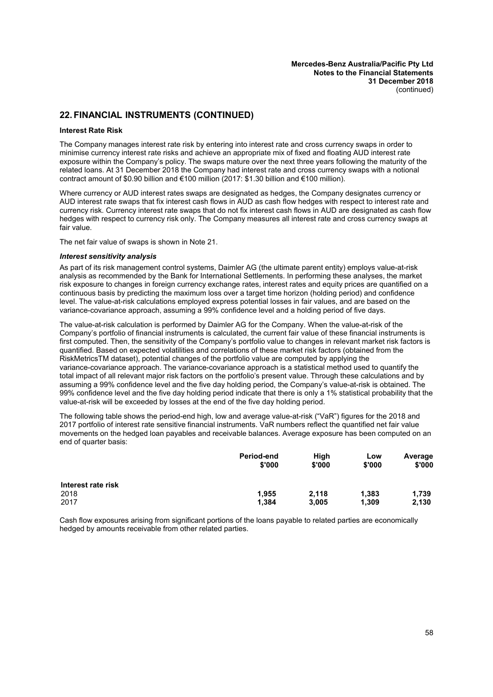### **22. FINANCIAL INSTRUMENTS (CONTINUED)**

#### **Interest Rate Risk**

The Company manages interest rate risk by entering into interest rate and cross currency swaps in order to minimise currency interest rate risks and achieve an appropriate mix of fixed and floating AUD interest rate exposure within the Company's policy. The swaps mature over the next three years following the maturity of the related loans. At 31 December 2018 the Company had interest rate and cross currency swaps with a notional contract amount of \$0.90 billion and  $\epsilon$ 100 million (2017: \$1.30 billion and  $\epsilon$ 100 million).

Where currency or AUD interest rates swaps are designated as hedges, the Company designates currency or AUD interest rate swaps that fix interest cash flows in AUD as cash flow hedges with respect to interest rate and currency risk. Currency interest rate swaps that do not fix interest cash flows in AUD are designated as cash flow hedges with respect to currency risk only. The Company measures all interest rate and cross currency swaps at fair value.

The net fair value of swaps is shown in Note [21.](#page-47-3)

#### *Interest sensitivity analysis*

As part of its risk management control systems, Daimler AG (the ultimate parent entity) employs value-at-risk analysis as recommended by the Bank for International Settlements. In performing these analyses, the market risk exposure to changes in foreign currency exchange rates, interest rates and equity prices are quantified on a continuous basis by predicting the maximum loss over a target time horizon (holding period) and confidence level. The value-at-risk calculations employed express potential losses in fair values, and are based on the variance-covariance approach, assuming a 99% confidence level and a holding period of five days.

The value-at-risk calculation is performed by Daimler AG for the Company. When the value-at-risk of the Company's portfolio of financial instruments is calculated, the current fair value of these financial instruments is first computed. Then, the sensitivity of the Company's portfolio value to changes in relevant market risk factors is quantified. Based on expected volatilities and correlations of these market risk factors (obtained from the RiskMetricsTM dataset), potential changes of the portfolio value are computed by applying the variance-covariance approach. The variance-covariance approach is a statistical method used to quantify the total impact of all relevant major risk factors on the portfolio's present value. Through these calculations and by assuming a 99% confidence level and the five day holding period, the Company's value-at-risk is obtained. The 99% confidence level and the five day holding period indicate that there is only a 1% statistical probability that the value-at-risk will be exceeded by losses at the end of the five day holding period.

The following table shows the period-end high, low and average value-at-risk ("VaR") figures for the 2018 and 2017 portfolio of interest rate sensitive financial instruments. VaR numbers reflect the quantified net fair value movements on the hedged loan payables and receivable balances. Average exposure has been computed on an end of quarter basis:

|                    | <b>Period-end</b><br>\$'000 | High<br>\$'000 | Low<br>\$'000 | Average<br>\$'000 |
|--------------------|-----------------------------|----------------|---------------|-------------------|
| Interest rate risk |                             |                |               |                   |
| 2018               | 1.955                       | 2.118          | 1,383         | 1.739             |
| 2017               | 1,384                       | 3,005          | 1,309         | 2,130             |

Cash flow exposures arising from significant portions of the loans payable to related parties are economically hedged by amounts receivable from other related parties.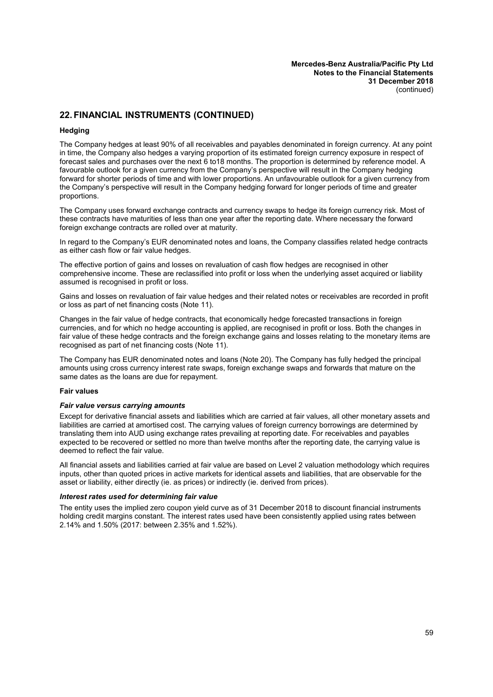#### **Hedging**

The Company hedges at least 90% of all receivables and payables denominated in foreign currency. At any point in time, the Company also hedges a varying proportion of its estimated foreign currency exposure in respect of forecast sales and purchases over the next 6 to18 months. The proportion is determined by reference model. A favourable outlook for a given currency from the Company's perspective will result in the Company hedging forward for shorter periods of time and with lower proportions. An unfavourable outlook for a given currency from the Company's perspective will result in the Company hedging forward for longer periods of time and greater proportions.

The Company uses forward exchange contracts and currency swaps to hedge its foreign currency risk. Most of these contracts have maturities of less than one year after the reporting date. Where necessary the forward foreign exchange contracts are rolled over at maturity.

In regard to the Company's EUR denominated notes and loans, the Company classifies related hedge contracts as either cash flow or fair value hedges.

The effective portion of gains and losses on revaluation of cash flow hedges are recognised in other comprehensive income. These are reclassified into profit or loss when the underlying asset acquired or liability assumed is recognised in profit or loss.

Gains and losses on revaluation of fair value hedges and their related notes or receivables are recorded in profit or loss as part of net financing costs (Note [11\)](#page-35-0).

Changes in the fair value of hedge contracts, that economically hedge forecasted transactions in foreign currencies, and for which no hedge accounting is applied, are recognised in profit or loss. Both the changes in fair value of these hedge contracts and the foreign exchange gains and losses relating to the monetary items are recognised as part of net financing costs (Note [11](#page-35-0)).

The Company has EUR denominated notes and loans (Note [20\)](#page-44-3). The Company has fully hedged the principal amounts using cross currency interest rate swaps, foreign exchange swaps and forwards that mature on the same dates as the loans are due for repayment.

#### **Fair values**

#### *Fair value versus carrying amounts*

Except for derivative financial assets and liabilities which are carried at fair values, all other monetary assets and liabilities are carried at amortised cost. The carrying values of foreign currency borrowings are determined by translating them into AUD using exchange rates prevailing at reporting date. For receivables and payables expected to be recovered or settled no more than twelve months after the reporting date, the carrying value is deemed to reflect the fair value.

All financial assets and liabilities carried at fair value are based on Level 2 valuation methodology which requires inputs, other than quoted prices in active markets for identical assets and liabilities, that are observable for the asset or liability, either directly (ie. as prices) or indirectly (ie. derived from prices).

#### *Interest rates used for determining fair value*

The entity uses the implied zero coupon yield curve as of 31 December 2018 to discount financial instruments holding credit margins constant. The interest rates used have been consistently applied using rates between 2.14% and 1.50% (2017: between 2.35% and 1.52%).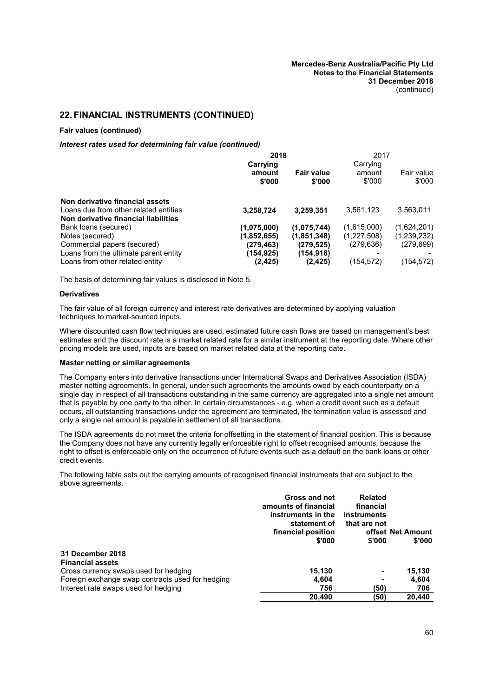#### **Fair values (continued)**

#### *Interest rates used for determining fair value (continued)*

|                                       | 2018<br>Carrying | 2017<br>Carrying            |                  |                      |
|---------------------------------------|------------------|-----------------------------|------------------|----------------------|
|                                       | amount<br>\$'000 | <b>Fair value</b><br>\$'000 | amount<br>\$'000 | Fair value<br>\$'000 |
| Non derivative financial assets       |                  |                             |                  |                      |
| Loans due from other related entities | 3,258,724        | 3,259,351                   | 3,561,123        | 3,563,011            |
| Non derivative financial liabilities  |                  |                             |                  |                      |
| Bank loans (secured)                  | (1,075,000)      | (1,075,744)                 | (1,615,000)      | (1,624,201)          |
| Notes (secured)                       | (1,852,655)      | (1, 851, 348)               | (1,227,508)      | (1,239,232)          |
| Commercial papers (secured)           | (279,463)        | (279.525)                   | (279, 636)       | (279, 699)           |
| Loans from the ultimate parent entity | (154,925)        | (154, 918)                  |                  |                      |
| Loans from other related entity       | (2, 425)         | (2, 425)                    | (154,572)        | (154,572)            |

The basis of determining fair values is disclosed in Note [5.](#page-31-0)

#### **Derivatives**

The fair value of all foreign currency and interest rate derivatives are determined by applying valuation techniques to market-sourced inputs.

Where discounted cash flow techniques are used, estimated future cash flows are based on management's best estimates and the discount rate is a market related rate for a similar instrument at the reporting date. Where other pricing models are used, inputs are based on market related data at the reporting date.

#### **Master netting or similar agreements**

The Company enters into derivative transactions under International Swaps and Derivatives Association (ISDA) master netting agreements. In general, under such agreements the amounts owed by each counterparty on a single day in respect of all transactions outstanding in the same currency are aggregated into a single net amount that is payable by one party to the other. In certain circumstances - e.g. when a credit event such as a default occurs, all outstanding transactions under the agreement are terminated, the termination value is assessed and only a single net amount is payable in settlement of all transactions.

The ISDA agreements do not meet the criteria for offsetting in the statement of financial position. This is because the Company does not have any currently legally enforceable right to offset recognised amounts, because the right to offset is enforceable only on the occurrence of future events such as a default on the bank loans or other credit events.

The following table sets out the carrying amounts of recognised financial instruments that are subject to the above agreements.

|                                                  | Gross and net<br>amounts of financial<br>instruments in the<br>statement of<br>financial position<br>\$'000 | <b>Related</b><br>financial<br>instruments<br>that are not<br>\$'000 | offset Net Amount<br>\$'000 |
|--------------------------------------------------|-------------------------------------------------------------------------------------------------------------|----------------------------------------------------------------------|-----------------------------|
| 31 December 2018<br><b>Financial assets</b>      |                                                                                                             |                                                                      |                             |
| Cross currency swaps used for hedging            | 15.130                                                                                                      | $\overline{\phantom{0}}$                                             | 15,130                      |
| Foreign exchange swap contracts used for hedging | 4,604                                                                                                       |                                                                      | 4,604                       |
| Interest rate swaps used for hedging             | 756                                                                                                         | (50)                                                                 | 706                         |
|                                                  | 20.490                                                                                                      | (50)                                                                 | 20.440                      |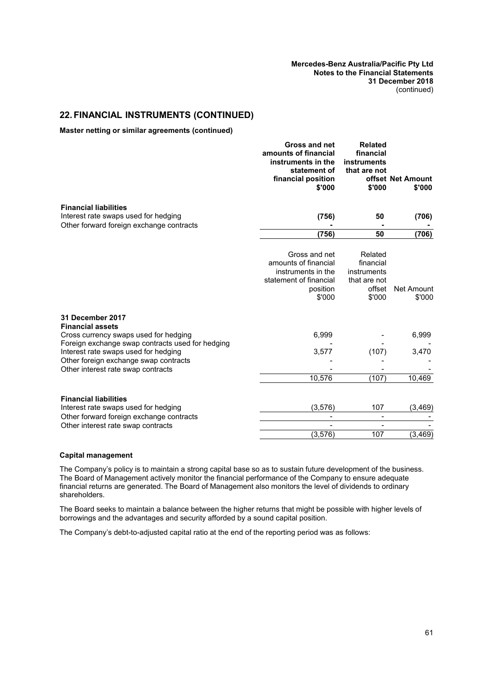**Master netting or similar agreements (continued)**

|                                                                                                                                                        | Gross and net<br>amounts of financial<br>instruments in the<br>statement of<br>financial position<br>\$'000 | <b>Related</b><br>financial<br>instruments<br>that are not<br>\$'000    | offset Net Amount<br>\$'000 |
|--------------------------------------------------------------------------------------------------------------------------------------------------------|-------------------------------------------------------------------------------------------------------------|-------------------------------------------------------------------------|-----------------------------|
| <b>Financial liabilities</b><br>Interest rate swaps used for hedging                                                                                   | (756)                                                                                                       | 50                                                                      | (706)                       |
| Other forward foreign exchange contracts                                                                                                               |                                                                                                             |                                                                         |                             |
|                                                                                                                                                        | (756)                                                                                                       | 50                                                                      | (706)                       |
|                                                                                                                                                        | Gross and net<br>amounts of financial<br>instruments in the<br>statement of financial<br>position<br>\$'000 | Related<br>financial<br>instruments<br>that are not<br>offset<br>\$'000 | Net Amount<br>\$'000        |
| 31 December 2017<br><b>Financial assets</b><br>Cross currency swaps used for hedging<br>Foreign exchange swap contracts used for hedging               | 6,999                                                                                                       |                                                                         | 6,999                       |
| Interest rate swaps used for hedging<br>Other foreign exchange swap contracts                                                                          | 3,577                                                                                                       | (107)                                                                   | 3,470                       |
| Other interest rate swap contracts                                                                                                                     |                                                                                                             |                                                                         |                             |
|                                                                                                                                                        | 10,576                                                                                                      | (107)                                                                   | 10,469                      |
| <b>Financial liabilities</b><br>Interest rate swaps used for hedging<br>Other forward foreign exchange contracts<br>Other interest rate swap contracts | (3, 576)                                                                                                    | 107<br>$\overline{\phantom{0}}$<br>$\overline{\phantom{a}}$             | (3, 469)                    |
|                                                                                                                                                        | (3, 576)                                                                                                    | 107                                                                     | (3, 469)                    |

#### **Capital management**

The Company's policy is to maintain a strong capital base so as to sustain future development of the business. The Board of Management actively monitor the financial performance of the Company to ensure adequate financial returns are generated. The Board of Management also monitors the level of dividends to ordinary shareholders.

The Board seeks to maintain a balance between the higher returns that might be possible with higher levels of borrowings and the advantages and security afforded by a sound capital position.

The Company's debt-to-adjusted capital ratio at the end of the reporting period was as follows: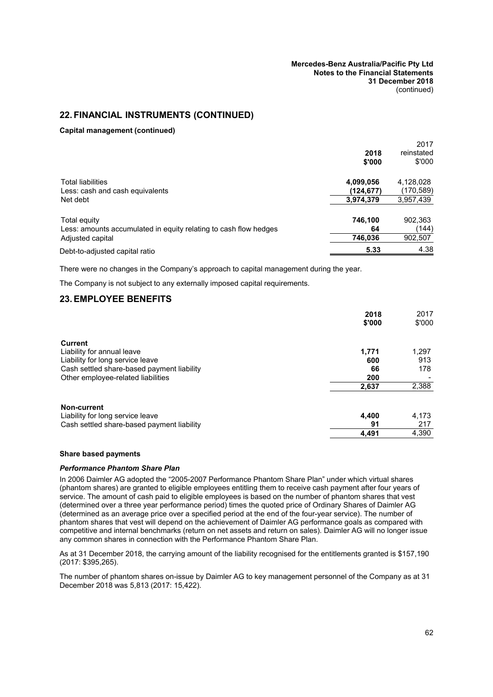#### **Capital management (continued)**

|                                                                  |           | 2017       |
|------------------------------------------------------------------|-----------|------------|
|                                                                  | 2018      | reinstated |
|                                                                  | \$'000    | \$'000     |
| <b>Total liabilities</b>                                         | 4,099,056 | 4,128,028  |
| Less: cash and cash equivalents                                  | (124,677) | (170,589)  |
| Net debt                                                         | 3,974,379 | 3,957,439  |
| Total equity                                                     | 746,100   | 902,363    |
| Less: amounts accumulated in equity relating to cash flow hedges | 64        | (144)      |
| Adjusted capital                                                 | 746,036   | 902,507    |
| Debt-to-adjusted capital ratio                                   | 5.33      | 4.38       |
|                                                                  |           |            |

There were no changes in the Company's approach to capital management during the year.

The Company is not subject to any externally imposed capital requirements.

### **23.EMPLOYEE BENEFITS**

|                                            | 2018   | 2017   |
|--------------------------------------------|--------|--------|
|                                            | \$'000 | \$'000 |
| Current                                    |        |        |
| Liability for annual leave                 | 1,771  | 1,297  |
| Liability for long service leave           | 600    | 913    |
| Cash settled share-based payment liability | 66     | 178    |
| Other employee-related liabilities         | 200    |        |
|                                            | 2,637  | 2,388  |
| Non-current                                |        |        |
| Liability for long service leave           | 4,400  | 4,173  |
| Cash settled share-based payment liability | 91     | 217    |
|                                            | 4,491  | 4,390  |

#### **Share based payments**

#### *Performance Phantom Share Plan*

In 2006 Daimler AG adopted the "2005-2007 Performance Phantom Share Plan" under which virtual shares (phantom shares) are granted to eligible employees entitling them to receive cash payment after four years of service. The amount of cash paid to eligible employees is based on the number of phantom shares that vest (determined over a three year performance period) times the quoted price of Ordinary Shares of Daimler AG (determined as an average price over a specified period at the end of the four-year service). The number of phantom shares that vest will depend on the achievement of Daimler AG performance goals as compared with competitive and internal benchmarks (return on net assets and return on sales). Daimler AG will no longer issue any common shares in connection with the Performance Phantom Share Plan.

As at 31 December 2018, the carrying amount of the liability recognised for the entitlements granted is \$157,190 (2017: \$395,265).

The number of phantom shares on-issue by Daimler AG to key management personnel of the Company as at 31 December 2018 was 5,813 (2017: 15,422).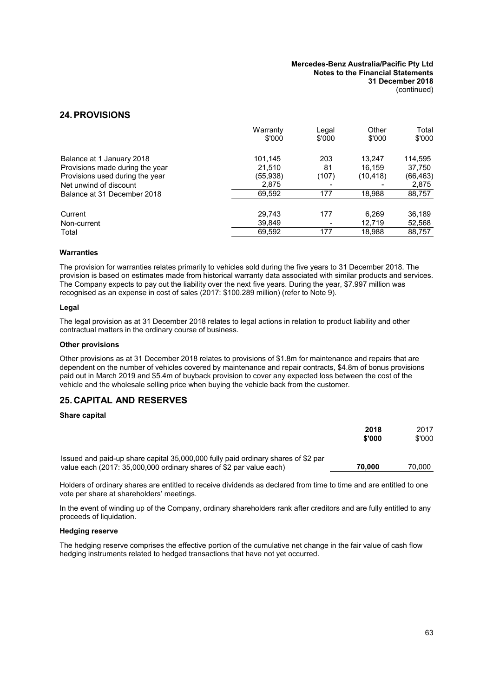### <span id="page-64-0"></span>**24.PROVISIONS**

|                                 | Warranty<br>\$'000 | Legal<br>\$'000 | Other<br>\$'000 | Total<br>\$'000 |
|---------------------------------|--------------------|-----------------|-----------------|-----------------|
| Balance at 1 January 2018       | 101.145            | 203             | 13.247          | 114,595         |
| Provisions made during the year | 21,510             | 81              | 16,159          | 37,750          |
| Provisions used during the year | (55,938)           | (107)           | (10, 418)       | (66, 463)       |
| Net unwind of discount          | 2,875              |                 |                 | 2,875           |
| Balance at 31 December 2018     | 69,592             | 177             | 18.988          | 88,757          |
| Current                         | 29,743             | 177             | 6,269           | 36,189          |
| Non-current                     | 39,849             |                 | 12,719          | 52,568          |
| Total                           | 69,592             | 177             | 18,988          | 88,757          |

#### **Warranties**

The provision for warranties relates primarily to vehicles sold during the five years to 31 December 2018. The provision is based on estimates made from historical warranty data associated with similar products and services. The Company expects to pay out the liability over the next five years. During the year, \$7.997 million was recognised as an expense in cost of sales (2017: \$100.289 million) (refer to Note [9](#page-34-1)).

#### **Legal**

The legal provision as at 31 December 2018 relates to legal actions in relation to product liability and other contractual matters in the ordinary course of business.

#### **Other provisions**

Other provisions as at 31 December 2018 relates to provisions of \$1.8m for maintenance and repairs that are dependent on the number of vehicles covered by maintenance and repair contracts, \$4.8m of bonus provisions paid out in March 2019 and \$5.4m of buyback provision to cover any expected loss between the cost of the vehicle and the wholesale selling price when buying the vehicle back from the customer.

### **25. CAPITAL AND RESERVES**

#### **Share capital**

|                                                                                                                                                          | 2018<br>\$'000 | 2017<br>\$'000 |
|----------------------------------------------------------------------------------------------------------------------------------------------------------|----------------|----------------|
| Issued and paid-up share capital 35,000,000 fully paid ordinary shares of \$2 par<br>value each (2017: 35,000,000 ordinary shares of \$2 par value each) | 70.000         | 70.000         |

Holders of ordinary shares are entitled to receive dividends as declared from time to time and are entitled to one vote per share at shareholders' meetings.

In the event of winding up of the Company, ordinary shareholders rank after creditors and are fully entitled to any proceeds of liquidation.

#### **Hedging reserve**

The hedging reserve comprises the effective portion of the cumulative net change in the fair value of cash flow hedging instruments related to hedged transactions that have not yet occurred.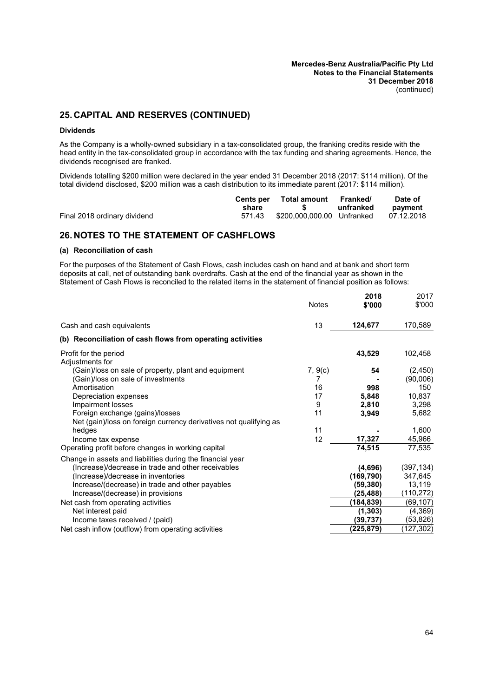# **25. CAPITAL AND RESERVES (CONTINUED)**

#### **Dividends**

As the Company is a wholly-owned subsidiary in a tax-consolidated group, the franking credits reside with the head entity in the tax-consolidated group in accordance with the tax funding and sharing agreements. Hence, the dividends recognised are franked.

Dividends totalling \$200 million were declared in the year ended 31 December 2018 (2017: \$114 million). Of the total dividend disclosed, \$200 million was a cash distribution to its immediate parent (2017: \$114 million).

|                              | Cents per | Total amount Franked/                                                                                                                                                                                                          |           | Date of    |
|------------------------------|-----------|--------------------------------------------------------------------------------------------------------------------------------------------------------------------------------------------------------------------------------|-----------|------------|
|                              | share     | $\sim$ 5 and 5 and 5 and 5 and 5 and 6 and 6 and 6 and 6 and 6 and 6 and 6 and 6 and 6 and 6 and 6 and 6 and 6 and 6 and 6 and 6 and 6 and 6 and 6 and 6 and 6 and 6 and 6 and 6 and 6 and 6 and 6 and 6 and 6 and 6 and 6 and | unfranked | payment    |
| Final 2018 ordinary dividend | 571.43    |                                                                                                                                                                                                                                |           | 07.12.2018 |

# <span id="page-65-0"></span>**26. NOTES TO THE STATEMENT OF CASHFLOWS**

#### **(a) Reconciliation of cash**

For the purposes of the Statement of Cash Flows, cash includes cash on hand and at bank and short term deposits at call, net of outstanding bank overdrafts. Cash at the end of the financial year as shown in the Statement of Cash Flows is reconciled to the related items in the statement of financial position as follows:

|                                                                   | <b>Notes</b> | 2018<br>\$'000 | 2017<br>\$'000 |
|-------------------------------------------------------------------|--------------|----------------|----------------|
| Cash and cash equivalents                                         | 13           | 124,677        | 170,589        |
| (b) Reconciliation of cash flows from operating activities        |              |                |                |
| Profit for the period<br>Adjustments for                          |              | 43,529         | 102,458        |
| (Gain)/loss on sale of property, plant and equipment              | 7, 9(c)      | 54             | (2, 450)       |
| (Gain)/loss on sale of investments                                | 7            |                | (90,006)       |
| Amortisation                                                      | 16           | 998            | 150            |
| Depreciation expenses                                             | 17           | 5,848          | 10,837         |
| Impairment losses                                                 | 9            | 2,810          | 3,298          |
| Foreign exchange (gains)/losses                                   | 11           | 3,949          | 5,682          |
| Net (gain)/loss on foreign currency derivatives not qualifying as |              |                |                |
| hedges                                                            | 11           |                | 1,600          |
| Income tax expense                                                | 12           | 17,327         | 45,966         |
| Operating profit before changes in working capital                |              | 74,515         | 77,535         |
| Change in assets and liabilities during the financial year        |              |                |                |
| (Increase)/decrease in trade and other receivables                |              | (4,696)        | (397, 134)     |
| (Increase)/decrease in inventories                                |              | (169, 790)     | 347,645        |
| Increase/(decrease) in trade and other payables                   |              | (59,380)       | 13,119         |
| Increase/(decrease) in provisions                                 |              | (25,488)       | (110, 272)     |
| Net cash from operating activities                                |              | (184,839)      | (69, 107)      |
| Net interest paid                                                 |              | (1, 303)       | (4,369)        |
| Income taxes received / (paid)                                    |              | (39,737)       | (53, 826)      |
| Net cash inflow (outflow) from operating activities               |              | (225,879)      | (127, 302)     |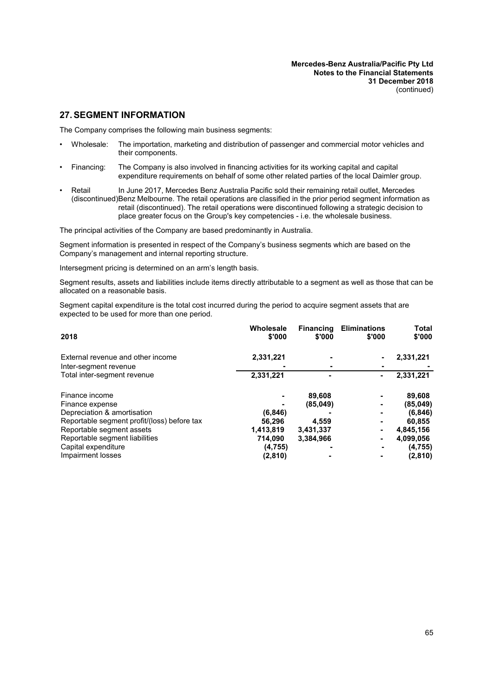# **27.SEGMENT INFORMATION**

The Company comprises the following main business segments:

- Wholesale: The importation, marketing and distribution of passenger and commercial motor vehicles and their components.
- Financing: The Company is also involved in financing activities for its working capital and capital expenditure requirements on behalf of some other related parties of the local Daimler group.
- **Retail** (discontinued)Benz Melbourne. The retail operations are classified in the prior period segment information as In June 2017, Mercedes Benz Australia Pacific sold their remaining retail outlet, Mercedes retail (discontinued). The retail operations were discontinued following a strategic decision to place greater focus on the Group's key competencies - i.e. the wholesale business.

The principal activities of the Company are based predominantly in Australia.

Segment information is presented in respect of the Company's business segments which are based on the Company's management and internal reporting structure.

Intersegment pricing is determined on an arm's length basis.

Segment results, assets and liabilities include items directly attributable to a segment as well as those that can be allocated on a reasonable basis.

Segment capital expenditure is the total cost incurred during the period to acquire segment assets that are expected to be used for more than one period.

| 2018                                        | Wholesale<br>\$'000 | <b>Financing</b><br>\$'000 | <b>Eliminations</b><br>\$'000 | <b>Total</b><br>\$'000 |
|---------------------------------------------|---------------------|----------------------------|-------------------------------|------------------------|
| External revenue and other income           | 2,331,221           | -                          |                               | 2,331,221              |
| Inter-segment revenue                       |                     |                            |                               |                        |
| Total inter-segment revenue                 | 2,331,221           |                            |                               | 2,331,221              |
| Finance income                              |                     | 89,608                     | ٠                             | 89,608                 |
| Finance expense                             |                     | (85,049)                   | ۰                             | (85, 049)              |
| Depreciation & amortisation                 | (6, 846)            |                            |                               | (6, 846)               |
| Reportable segment profit/(loss) before tax | 56.296              | 4.559                      |                               | 60,855                 |
| Reportable segment assets                   | 1,413,819           | 3,431,337                  |                               | 4,845,156              |
| Reportable segment liabilities              | 714,090             | 3,384,966                  | ۰                             | 4,099,056              |
| Capital expenditure                         | (4, 755)            |                            |                               | (4, 755)               |
| Impairment losses                           | (2,810)             |                            |                               | (2,810)                |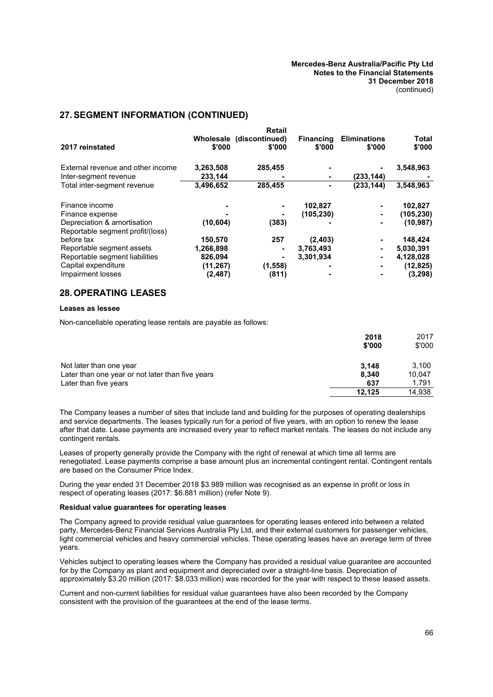# **27.SEGMENT INFORMATION (CONTINUED)**

|                                                                 |           | <b>Retail</b>  |                  |                     |              |
|-----------------------------------------------------------------|-----------|----------------|------------------|---------------------|--------------|
|                                                                 | Wholesale | (discontinued) | <b>Financing</b> | <b>Eliminations</b> | <b>Total</b> |
| 2017 reinstated                                                 | \$'000    | \$'000         | \$'000           | \$'000              | \$'000       |
| External revenue and other income                               | 3,263,508 | 285,455        |                  |                     | 3,548,963    |
| Inter-segment revenue                                           | 233,144   |                |                  | (233, 144)          |              |
| Total inter-segment revenue                                     | 3,496,652 | 285,455        | ٠                | (233, 144)          | 3,548,963    |
| Finance income                                                  |           |                | 102,827          | ۰                   | 102,827      |
| Finance expense                                                 |           |                | (105, 230)       | ۰                   | (105, 230)   |
| Depreciation & amortisation<br>Reportable segment profit/(loss) | (10, 604) | (383)          |                  | ۰                   | (10, 987)    |
| before tax                                                      | 150,570   | 257            | (2, 403)         | ۰                   | 148,424      |
| Reportable segment assets                                       | 1,266,898 |                | 3,763,493        |                     | 5,030,391    |
| Reportable segment liabilities                                  | 826,094   |                | 3.301.934        | ۰                   | 4,128,028    |
| Capital expenditure                                             | (11, 267) | (1,558)        |                  | ۰                   | (12, 825)    |
| Impairment losses                                               | (2, 487)  | (811)          |                  | ۰                   | (3, 298)     |

### **28. OPERATING LEASES**

#### **Leases as lessee**

Non-cancellable operating lease rentals are payable as follows:

|                                                  | 2018<br>\$'000 | 2017<br>\$'000 |
|--------------------------------------------------|----------------|----------------|
| Not later than one year                          | 3.148          | 3.100          |
| Later than one year or not later than five years | 8.340          | 10.047         |
| Later than five years                            | 637            | 1.791          |
|                                                  | 12.125         | 14,938         |

The Company leases a number of sites that include land and building for the purposes of operating dealerships and service departments. The leases typically run for a period of five years, with an option to renew the lease after that date. Lease payments are increased every year to reflect market rentals. The leases do not include any contingent rentals.

Leases of property generally provide the Company with the right of renewal at which time all terms are renegotiated. Lease payments comprise a base amount plus an incremental contingent rental. Contingent rentals are based on the Consumer Price Index.

During the year ended 31 December 2018 \$3.989 million was recognised as an expense in profit or loss in respect of operating leases (2017: \$6.881 million) (refer Note [9](#page-34-1)).

#### **Residual value guarantees for operating leases**

The Company agreed to provide residual value guarantees for operating leases entered into between a related party, Mercedes-Benz Financial Services Australia Pty Ltd, and their external customers for passenger vehicles, light commercial vehicles and heavy commercial vehicles. These operating leases have an average term of three years.

Vehicles subject to operating leases where the Company has provided a residual value guarantee are accounted for by the Company as plant and equipment and depreciated over a straight-line basis. Depreciation of approximately \$3.20 million (2017: \$8.033 million) was recorded for the year with respect to these leased assets.

Current and non-current liabilities for residual value guarantees have also been recorded by the Company consistent with the provision of the guarantees at the end of the lease terms.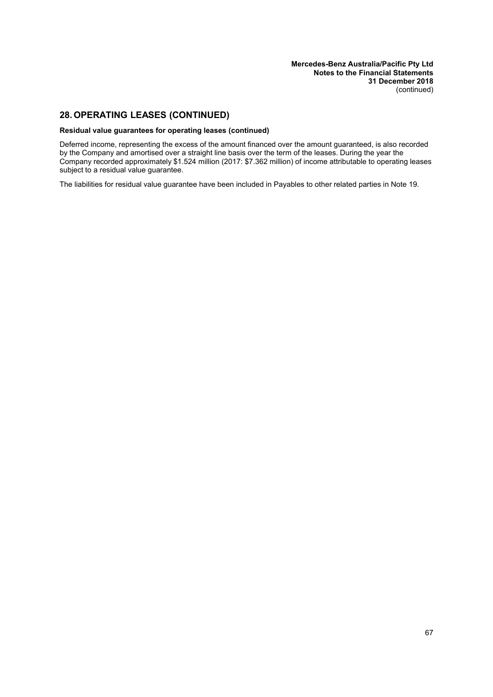# **28. OPERATING LEASES (CONTINUED)**

#### **Residual value guarantees for operating leases (continued)**

Deferred income, representing the excess of the amount financed over the amount guaranteed, is also recorded by the Company and amortised over a straight line basis over the term of the leases. During the year the Company recorded approximately \$1.524 million (2017: \$7.362 million) of income attributable to operating leases subject to a residual value guarantee.

The liabilities for residual value guarantee have been included in Payables to other related parties in Note 19.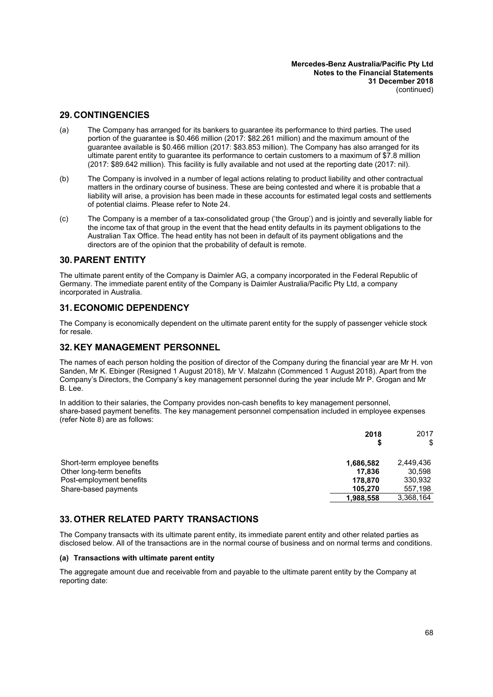### **29. CONTINGENCIES**

- (a) The Company has arranged for its bankers to guarantee its performance to third parties. The used portion of the guarantee is \$0.466 million (2017: \$82.261 million) and the maximum amount of the guarantee available is \$0.466 million (2017: \$83.853 million). The Company has also arranged for its ultimate parent entity to guarantee its performance to certain customers to a maximum of \$7.8 million (2017: \$89.642 million). This facility is fully available and not used at the reporting date (2017: nil).
- (b) The Company is involved in a number of legal actions relating to product liability and other contractual matters in the ordinary course of business. These are being contested and where it is probable that a liability will arise, a provision has been made in these accounts for estimated legal costs and settlements of potential claims. Please refer to Note [24.](#page-64-0)
- (c) The Company is a member of a tax-consolidated group ('the Group') and is jointly and severally liable for the income tax of that group in the event that the head entity defaults in its payment obligations to the Australian Tax Office. The head entity has not been in default of its payment obligations and the directors are of the opinion that the probability of default is remote.

### **30.PARENT ENTITY**

The ultimate parent entity of the Company is Daimler AG, a company incorporated in the Federal Republic of Germany. The immediate parent entity of the Company is Daimler Australia/Pacific Pty Ltd, a company incorporated in Australia.

### **31.ECONOMIC DEPENDENCY**

The Company is economically dependent on the ultimate parent entity for the supply of passenger vehicle stock for resale.

### **32. KEY MANAGEMENT PERSONNEL**

The names of each person holding the position of director of the Company during the financial year are Mr H. von Sanden, Mr K. Ebinger (Resigned 1 August 2018), Mr V. Malzahn (Commenced 1 August 2018). Apart from the Company's Directors, the Company's key management personnel during the year include Mr P. Grogan and Mr B. Lee.

In addition to their salaries, the Company provides non-cash benefits to key management personnel, share-based payment benefits. The key management personnel compensation included in employee expenses (refer Note [8\)](#page-34-4) are as follows:

|                              | 2018<br>S | 2017<br>\$ |
|------------------------------|-----------|------------|
| Short-term employee benefits | 1,686,582 | 2,449,436  |
| Other long-term benefits     | 17.836    | 30.598     |
| Post-employment benefits     | 178.870   | 330,932    |
| Share-based payments         | 105.270   | 557,198    |
|                              | 1,988,558 | 3,368,164  |

### **33. OTHER RELATED PARTY TRANSACTIONS**

<span id="page-69-0"></span>The Company transacts with its ultimate parent entity, its immediate parent entity and other related parties as disclosed below. All of the transactions are in the normal course of business and on normal terms and conditions.

#### **(a) Transactions with ultimate parent entity**

The aggregate amount due and receivable from and payable to the ultimate parent entity by the Company at reporting date: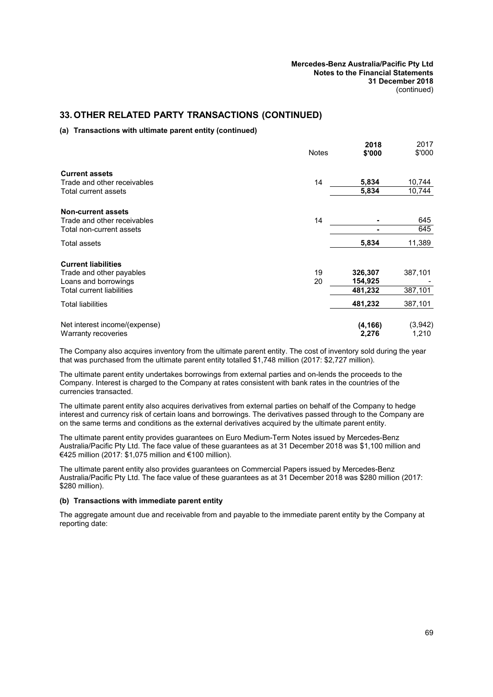# **33. OTHER RELATED PARTY TRANSACTIONS (CONTINUED)**

#### **(a) Transactions with ultimate parent entity (continued)**

|                               | <b>Notes</b> | 2018<br>\$'000 | 2017<br>\$'000 |
|-------------------------------|--------------|----------------|----------------|
| <b>Current assets</b>         |              |                |                |
| Trade and other receivables   | 14           | 5,834          | 10,744         |
| Total current assets          |              | 5,834          | 10,744         |
| <b>Non-current assets</b>     |              |                |                |
| Trade and other receivables   | 14           |                | 645            |
| Total non-current assets      |              | ۰              | 645            |
| Total assets                  |              | 5,834          | 11,389         |
| <b>Current liabilities</b>    |              |                |                |
| Trade and other payables      | 19           | 326,307        | 387,101        |
| Loans and borrowings          | 20           | 154,925        |                |
| Total current liabilities     |              | 481,232        | 387,101        |
| Total liabilities             |              | 481,232        | 387,101        |
| Net interest income/(expense) |              | (4, 166)       | (3,942)        |
| Warranty recoveries           |              | 2,276          | 1,210          |

The Company also acquires inventory from the ultimate parent entity. The cost of inventory sold during the year that was purchased from the ultimate parent entity totalled \$1,748 million (2017: \$2,727 million).

The ultimate parent entity undertakes borrowings from external parties and on-lends the proceeds to the Company. Interest is charged to the Company at rates consistent with bank rates in the countries of the currencies transacted.

The ultimate parent entity also acquires derivatives from external parties on behalf of the Company to hedge interest and currency risk of certain loans and borrowings. The derivatives passed through to the Company are on the same terms and conditions as the external derivatives acquired by the ultimate parent entity.

The ultimate parent entity provides guarantees on Euro Medium-Term Notes issued by Mercedes-Benz Australia/Pacific Pty Ltd. The face value of these guarantees as at 31 December 2018 was \$1,100 million and €425 million (2017: \$1,075 million and €100 million).

<span id="page-70-0"></span>The ultimate parent entity also provides guarantees on Commercial Papers issued by Mercedes-Benz Australia/Pacific Pty Ltd. The face value of these guarantees as at 31 December 2018 was \$280 million (2017: \$280 million).

#### **(b) Transactions with immediate parent entity**

The aggregate amount due and receivable from and payable to the immediate parent entity by the Company at reporting date: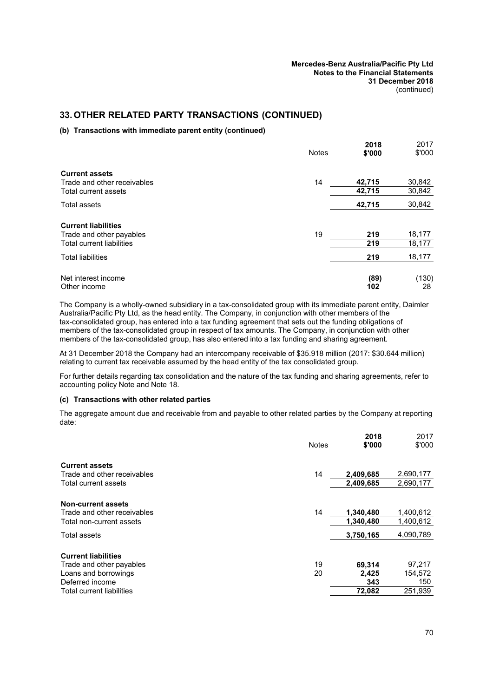# **33. OTHER RELATED PARTY TRANSACTIONS (CONTINUED)**

#### **(b) Transactions with immediate parent entity (continued)**

|                                                              | <b>Notes</b> | 2018<br>\$'000 | 2017<br>\$'000   |
|--------------------------------------------------------------|--------------|----------------|------------------|
| <b>Current assets</b><br>Trade and other receivables         | 14           | 42,715         | 30,842           |
| Total current assets                                         |              | 42,715         | 30,842           |
| <b>Total assets</b>                                          |              | 42,715         | 30,842           |
| <b>Current liabilities</b>                                   |              |                |                  |
| Trade and other payables<br><b>Total current liabilities</b> | 19           | 219<br>219     | 18,177<br>18,177 |
| <b>Total liabilities</b>                                     |              | 219            | 18,177           |
| Net interest income<br>Other income                          |              | (89)<br>102    | (130)<br>28      |

The Company is a wholly-owned subsidiary in a tax-consolidated group with its immediate parent entity, Daimler Australia/Pacific Pty Ltd, as the head entity. The Company, in conjunction with other members of the tax-consolidated group, has entered into a tax funding agreement that sets out the funding obligations of members of the tax-consolidated group in respect of tax amounts. The Company, in conjunction with other members of the tax-consolidated group, has also entered into a tax funding and sharing agreement.

At 31 December 2018 the Company had an intercompany receivable of \$35.918 million (2017: \$30.644 million) relating to current tax receivable assumed by the head entity of the tax consolidated group.

<span id="page-71-0"></span>For further details regarding tax consolidation and the nature of the tax funding and sharing agreements, refer to accounting policy Note and Note [18](#page-41-0).

#### **(c) Transactions with other related parties**

The aggregate amount due and receivable from and payable to other related parties by the Company at reporting date:

|                             | <b>Notes</b> | 2018<br>\$'000 | 2017<br>\$'000 |
|-----------------------------|--------------|----------------|----------------|
| <b>Current assets</b>       |              |                |                |
| Trade and other receivables | 14           | 2,409,685      | 2,690,177      |
| Total current assets        |              | 2,409,685      | 2,690,177      |
| <b>Non-current assets</b>   |              |                |                |
| Trade and other receivables | 14           | 1,340,480      | 1,400,612      |
| Total non-current assets    |              | 1,340,480      | 1,400,612      |
| Total assets                |              | 3,750,165      | 4,090,789      |
| <b>Current liabilities</b>  |              |                |                |
| Trade and other payables    | 19           | 69,314         | 97,217         |
| Loans and borrowings        | 20           | 2,425          | 154,572        |
| Deferred income             |              | 343            | 150            |
| Total current liabilities   |              | 72.082         | 251,939        |